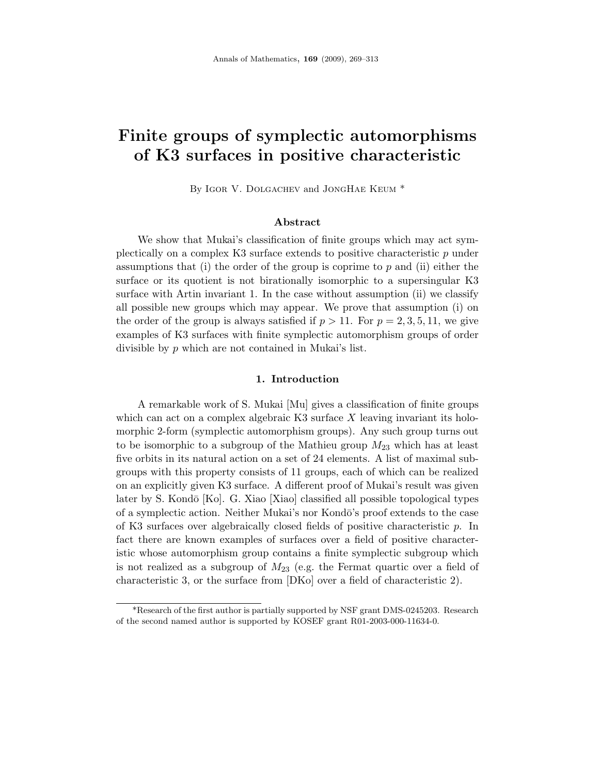# Finite groups of symplectic automorphisms of K3 surfaces in positive characteristic

By IGOR V. DOLGACHEV and JONGHAE KEUM  $*$ 

## Abstract

We show that Mukai's classification of finite groups which may act symplectically on a complex K3 surface extends to positive characteristic  $p$  under assumptions that (i) the order of the group is coprime to  $p$  and (ii) either the surface or its quotient is not birationally isomorphic to a supersingular K3 surface with Artin invariant 1. In the case without assumption (ii) we classify all possible new groups which may appear. We prove that assumption (i) on the order of the group is always satisfied if  $p > 11$ . For  $p = 2, 3, 5, 11$ , we give examples of K3 surfaces with finite symplectic automorphism groups of order divisible by p which are not contained in Mukai's list.

#### 1. Introduction

A remarkable work of S. Mukai [Mu] gives a classification of finite groups which can act on a complex algebraic K3 surface  $X$  leaving invariant its holomorphic 2-form (symplectic automorphism groups). Any such group turns out to be isomorphic to a subgroup of the Mathieu group  $M_{23}$  which has at least five orbits in its natural action on a set of 24 elements. A list of maximal subgroups with this property consists of 11 groups, each of which can be realized on an explicitly given K3 surface. A different proof of Mukai's result was given later by S. Kondō [Ko]. G. Xiao [Xiao] classified all possible topological types of a symplectic action. Neither Mukai's nor Kondō's proof extends to the case of K3 surfaces over algebraically closed fields of positive characteristic p. In fact there are known examples of surfaces over a field of positive characteristic whose automorphism group contains a finite symplectic subgroup which is not realized as a subgroup of  $M_{23}$  (e.g. the Fermat quartic over a field of characteristic 3, or the surface from [DKo] over a field of characteristic 2).

<sup>\*</sup>Research of the first author is partially supported by NSF grant DMS-0245203. Research of the second named author is supported by KOSEF grant R01-2003-000-11634-0.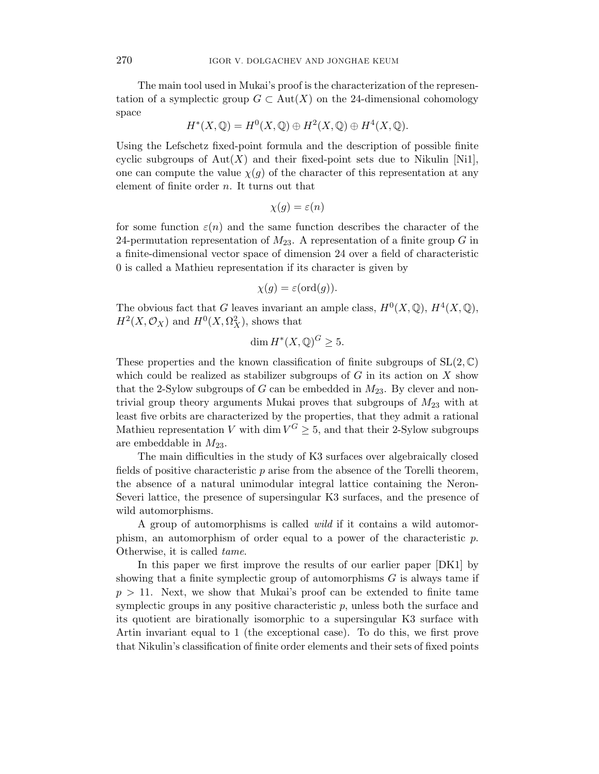The main tool used in Mukai's proof is the characterization of the representation of a symplectic group  $G \subset Aut(X)$  on the 24-dimensional cohomology space

$$
H^*(X, \mathbb{Q}) = H^0(X, \mathbb{Q}) \oplus H^2(X, \mathbb{Q}) \oplus H^4(X, \mathbb{Q}).
$$

Using the Lefschetz fixed-point formula and the description of possible finite cyclic subgroups of  $Aut(X)$  and their fixed-point sets due to Nikulin [Ni1], one can compute the value  $\chi(g)$  of the character of this representation at any element of finite order  $n$ . It turns out that

$$
\chi(g) = \varepsilon(n)
$$

for some function  $\varepsilon(n)$  and the same function describes the character of the 24-permutation representation of  $M_{23}$ . A representation of a finite group G in a finite-dimensional vector space of dimension 24 over a field of characteristic 0 is called a Mathieu representation if its character is given by

$$
\chi(g) = \varepsilon(\text{ord}(g)).
$$

The obvious fact that G leaves invariant an ample class,  $H^0(X, \mathbb{Q}), H^4(X, \mathbb{Q}),$  $H^2(X, \mathcal{O}_X)$  and  $H^0(X, \Omega_X^2)$ , shows that

$$
\dim H^*(X, \mathbb{Q})^G \ge 5.
$$

These properties and the known classification of finite subgroups of  $SL(2,\mathbb{C})$ which could be realized as stabilizer subgroups of  $G$  in its action on  $X$  show that the 2-Sylow subgroups of G can be embedded in  $M_{23}$ . By clever and nontrivial group theory arguments Mukai proves that subgroups of  $M_{23}$  with at least five orbits are characterized by the properties, that they admit a rational Mathieu representation V with dim  $V^G \geq 5$ , and that their 2-Sylow subgroups are embeddable in  $M_{23}$ .

The main difficulties in the study of K3 surfaces over algebraically closed fields of positive characteristic  $p$  arise from the absence of the Torelli theorem, the absence of a natural unimodular integral lattice containing the Neron-Severi lattice, the presence of supersingular K3 surfaces, and the presence of wild automorphisms.

A group of automorphisms is called wild if it contains a wild automorphism, an automorphism of order equal to a power of the characteristic  $p$ . Otherwise, it is called tame.

In this paper we first improve the results of our earlier paper [DK1] by showing that a finite symplectic group of automorphisms  $G$  is always tame if  $p > 11$ . Next, we show that Mukai's proof can be extended to finite tame symplectic groups in any positive characteristic  $p$ , unless both the surface and its quotient are birationally isomorphic to a supersingular K3 surface with Artin invariant equal to 1 (the exceptional case). To do this, we first prove that Nikulin's classification of finite order elements and their sets of fixed points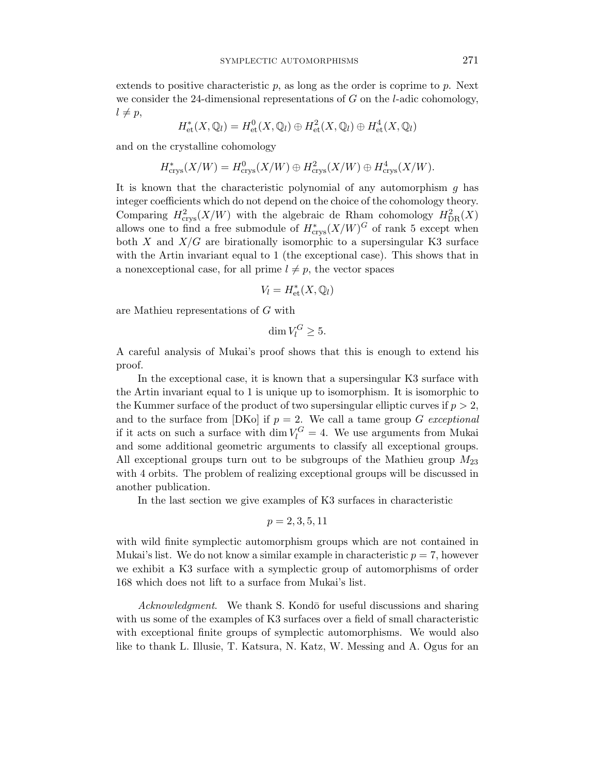extends to positive characteristic  $p$ , as long as the order is coprime to  $p$ . Next we consider the 24-dimensional representations of  $G$  on the *l*-adic cohomology,  $l \neq p$ ,

$$
H_{\operatorname{et}}^*(X, \mathbb{Q}_l) = H_{\operatorname{et}}^0(X, \mathbb{Q}_l) \oplus H_{\operatorname{et}}^2(X, \mathbb{Q}_l) \oplus H_{\operatorname{et}}^4(X, \mathbb{Q}_l)
$$

and on the crystalline cohomology

$$
H_{\text{crys}}^*(X/W) = H_{\text{crys}}^0(X/W) \oplus H_{\text{crys}}^2(X/W) \oplus H_{\text{crys}}^4(X/W).
$$

It is known that the characteristic polynomial of any automorphism  $q$  has integer coefficients which do not depend on the choice of the cohomology theory. Comparing  $H^2_{\text{crys}}(X/W)$  with the algebraic de Rham cohomology  $H^2_{\text{DR}}(X)$ allows one to find a free submodule of  $H^*_{\text{crys}}(X/W)^G$  of rank 5 except when both X and  $X/G$  are birationally isomorphic to a supersingular K3 surface with the Artin invariant equal to 1 (the exceptional case). This shows that in a nonexceptional case, for all prime  $l \neq p$ , the vector spaces

$$
V_l = H^*_{\text{et}}(X, \mathbb{Q}_l)
$$

are Mathieu representations of G with

$$
\dim V_l^G \ge 5.
$$

A careful analysis of Mukai's proof shows that this is enough to extend his proof.

In the exceptional case, it is known that a supersingular K3 surface with the Artin invariant equal to 1 is unique up to isomorphism. It is isomorphic to the Kummer surface of the product of two supersingular elliptic curves if  $p > 2$ , and to the surface from [DKo] if  $p = 2$ . We call a tame group G exceptional if it acts on such a surface with  $\dim V_l^G = 4$ . We use arguments from Mukai and some additional geometric arguments to classify all exceptional groups. All exceptional groups turn out to be subgroups of the Mathieu group  $M_{23}$ with 4 orbits. The problem of realizing exceptional groups will be discussed in another publication.

In the last section we give examples of K3 surfaces in characteristic

$$
p = 2, 3, 5, 11
$$

with wild finite symplectic automorphism groups which are not contained in Mukai's list. We do not know a similar example in characteristic  $p = 7$ , however we exhibit a K3 surface with a symplectic group of automorphisms of order 168 which does not lift to a surface from Mukai's list.

Acknowledgment. We thank S. Kondō for useful discussions and sharing with us some of the examples of K3 surfaces over a field of small characteristic with exceptional finite groups of symplectic automorphisms. We would also like to thank L. Illusie, T. Katsura, N. Katz, W. Messing and A. Ogus for an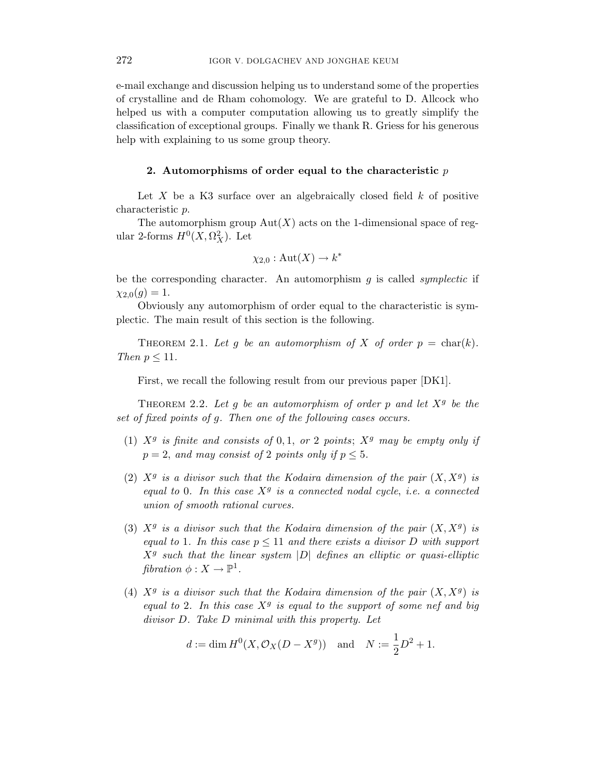e-mail exchange and discussion helping us to understand some of the properties of crystalline and de Rham cohomology. We are grateful to D. Allcock who helped us with a computer computation allowing us to greatly simplify the classification of exceptional groups. Finally we thank R. Griess for his generous help with explaining to us some group theory.

#### 2. Automorphisms of order equal to the characteristic  $p$

Let X be a K3 surface over an algebraically closed field  $k$  of positive characteristic p.

The automorphism group  $Aut(X)$  acts on the 1-dimensional space of regular 2-forms  $H^0(X, \Omega_X^2)$ . Let

$$
\chi_{2,0} : \mathrm{Aut}(X) \to k^*
$$

be the corresponding character. An automorphism  $g$  is called *symplectic* if  $\chi_{2,0}(g) = 1.$ 

Obviously any automorphism of order equal to the characteristic is symplectic. The main result of this section is the following.

THEOREM 2.1. Let g be an automorphism of X of order  $p = \text{char}(k)$ . Then  $p \leq 11$ .

First, we recall the following result from our previous paper [DK1].

THEOREM 2.2. Let g be an automorphism of order p and let  $X<sup>g</sup>$  be the set of fixed points of g. Then one of the following cases occurs.

- (1)  $X<sup>g</sup>$  is finite and consists of 0,1, or 2 points;  $X<sup>g</sup>$  may be empty only if  $p = 2$ , and may consist of 2 points only if  $p \leq 5$ .
- (2)  $X<sup>g</sup>$  is a divisor such that the Kodaira dimension of the pair  $(X, X<sup>g</sup>)$  is equal to 0. In this case  $X<sup>g</sup>$  is a connected nodal cycle, i.e. a connected union of smooth rational curves.
- (3)  $X<sup>g</sup>$  is a divisor such that the Kodaira dimension of the pair  $(X, X<sup>g</sup>)$  is equal to 1. In this case  $p \leq 11$  and there exists a divisor D with support  $X<sup>g</sup>$  such that the linear system  $|D|$  defines an elliptic or quasi-elliptic fibration  $\phi: X \to \mathbb{P}^1$ .
- (4)  $X<sup>g</sup>$  is a divisor such that the Kodaira dimension of the pair  $(X, X<sup>g</sup>)$  is equal to 2. In this case  $X<sup>g</sup>$  is equal to the support of some nef and big divisor D. Take D minimal with this property. Let

$$
d := \dim H^0(X, \mathcal{O}_X(D - X^g))
$$
 and  $N := \frac{1}{2}D^2 + 1$ .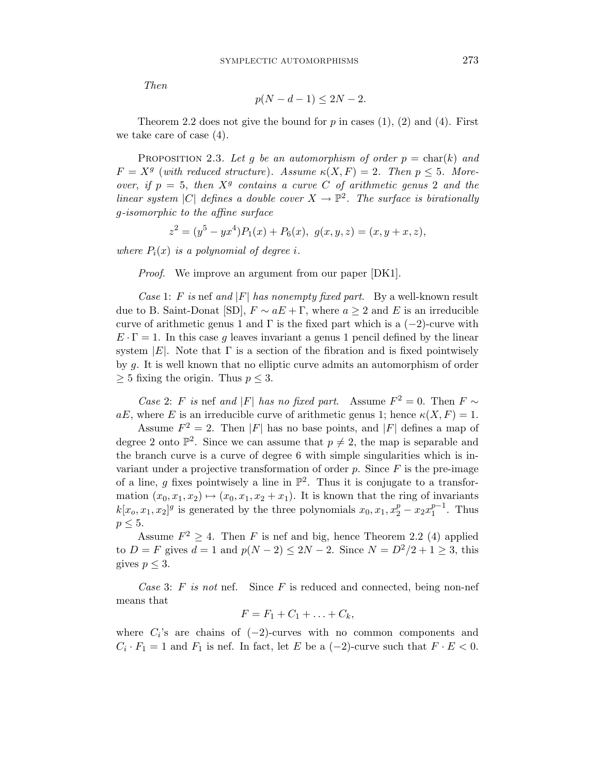Then

$$
p(N-d-1) \le 2N-2.
$$

Theorem 2.2 does not give the bound for  $p$  in cases  $(1)$ ,  $(2)$  and  $(4)$ . First we take care of case (4).

PROPOSITION 2.3. Let g be an automorphism of order  $p = \text{char}(k)$  and  $F = X^g$  (with reduced structure). Assume  $\kappa(X, F) = 2$ . Then  $p \leq 5$ . Moreover, if  $p = 5$ , then  $X<sup>g</sup>$  contains a curve C of arithmetic genus 2 and the linear system |C| defines a double cover  $X \to \mathbb{P}^2$ . The surface is birationally g-isomorphic to the affine surface

$$
z^{2} = (y^{5} - yx^{4})P_{1}(x) + P_{6}(x), \ g(x, y, z) = (x, y + x, z),
$$

where  $P_i(x)$  is a polynomial of degree i.

*Proof.* We improve an argument from our paper [DK1].

Case 1: F is nef and  $|F|$  has nonempty fixed part. By a well-known result due to B. Saint-Donat [SD],  $F \sim aE + \Gamma$ , where  $a \geq 2$  and E is an irreducible curve of arithmetic genus 1 and  $\Gamma$  is the fixed part which is a (−2)-curve with  $E \cdot \Gamma = 1$ . In this case g leaves invariant a genus 1 pencil defined by the linear system  $|E|$ . Note that  $\Gamma$  is a section of the fibration and is fixed pointwisely by g. It is well known that no elliptic curve admits an automorphism of order  $\geq 5$  fixing the origin. Thus  $p \leq 3$ .

Case 2: F is nef and |F| has no fixed part. Assume  $F^2 = 0$ . Then  $F \sim$  $aE$ , where E is an irreducible curve of arithmetic genus 1; hence  $\kappa(X, F) = 1$ .

Assume  $F^2 = 2$ . Then |F| has no base points, and |F| defines a map of degree 2 onto  $\mathbb{P}^2$ . Since we can assume that  $p \neq 2$ , the map is separable and the branch curve is a curve of degree 6 with simple singularities which is invariant under a projective transformation of order  $p$ . Since  $F$  is the pre-image of a line, g fixes pointwisely a line in  $\mathbb{P}^2$ . Thus it is conjugate to a transformation  $(x_0, x_1, x_2) \mapsto (x_0, x_1, x_2 + x_1)$ . It is known that the ring of invariants  $k[x_o, x_1, x_2]^g$  is generated by the three polynomials  $x_0, x_1, x_2^p - x_2 x_1^{p-1}$  $_1^{p-1}$ . Thus  $p \leq 5$ .

Assume  $F^2 \geq 4$ . Then F is nef and big, hence Theorem 2.2 (4) applied to  $D = F$  gives  $d = 1$  and  $p(N - 2) \leq 2N - 2$ . Since  $N = D^2/2 + 1 > 3$ , this gives  $p \leq 3$ .

Case 3: F is not nef. Since F is reduced and connected, being non-nef means that

$$
F = F_1 + C_1 + \ldots + C_k,
$$

where  $C_i$ 's are chains of  $(-2)$ -curves with no common components and  $C_i \cdot F_1 = 1$  and  $F_1$  is nef. In fact, let E be a  $(-2)$ -curve such that  $F \cdot E < 0$ .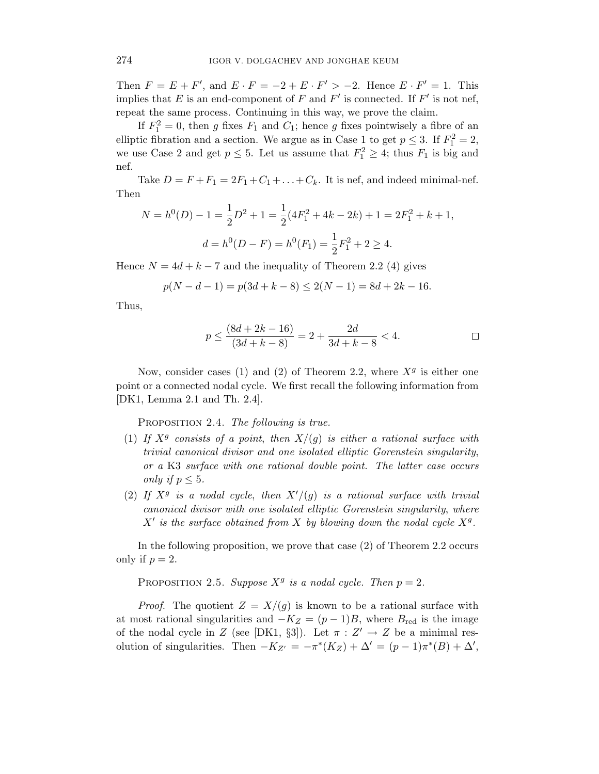Then  $F = E + F'$ , and  $E \cdot F = -2 + E \cdot F' > -2$ . Hence  $E \cdot F' = 1$ . This implies that E is an end-component of F and  $F'$  is connected. If  $F'$  is not nef, repeat the same process. Continuing in this way, we prove the claim.

If  $F_1^2 = 0$ , then g fixes  $F_1$  and  $C_1$ ; hence g fixes pointwisely a fibre of an elliptic fibration and a section. We argue as in Case 1 to get  $p \leq 3$ . If  $F_1^2 = 2$ , we use Case 2 and get  $p \leq 5$ . Let us assume that  $F_1^2 \geq 4$ ; thus  $F_1$  is big and nef.

Take  $D = F + F_1 = 2F_1 + C_1 + \ldots + C_k$ . It is nef, and indeed minimal-nef. Then

$$
N = h^{0}(D) - 1 = \frac{1}{2}D^{2} + 1 = \frac{1}{2}(4F_{1}^{2} + 4k - 2k) + 1 = 2F_{1}^{2} + k + 1,
$$
  

$$
d = h^{0}(D - F) = h^{0}(F_{1}) = \frac{1}{2}F_{1}^{2} + 2 \ge 4.
$$

Hence  $N = 4d + k - 7$  and the inequality of Theorem 2.2 (4) gives

$$
p(N - d - 1) = p(3d + k - 8) \le 2(N - 1) = 8d + 2k - 16.
$$

Thus,

$$
p \le \frac{(8d+2k-16)}{(3d+k-8)} = 2 + \frac{2d}{3d+k-8} < 4. \quad \Box
$$

Now, consider cases (1) and (2) of Theorem 2.2, where  $X<sup>g</sup>$  is either one point or a connected nodal cycle. We first recall the following information from [DK1, Lemma 2.1 and Th. 2.4].

PROPOSITION 2.4. The following is true.

- (1) If  $X^g$  consists of a point, then  $X/(g)$  is either a rational surface with trivial canonical divisor and one isolated elliptic Gorenstein singularity, or a K3 surface with one rational double point. The latter case occurs only if  $p \leq 5$ .
- (2) If  $X^g$  is a nodal cycle, then  $X'/(g)$  is a rational surface with trivial canonical divisor with one isolated elliptic Gorenstein singularity, where  $X'$  is the surface obtained from X by blowing down the nodal cycle  $X<sup>g</sup>$ .

In the following proposition, we prove that case (2) of Theorem 2.2 occurs only if  $p = 2$ .

PROPOSITION 2.5. Suppose  $X^g$  is a nodal cycle. Then  $p=2$ .

*Proof.* The quotient  $Z = X/(g)$  is known to be a rational surface with at most rational singularities and  $-K_Z = (p-1)B$ , where  $B_{\text{red}}$  is the image of the nodal cycle in Z (see [DK1, §3]). Let  $\pi : Z' \to Z$  be a minimal resolution of singularities. Then  $-K_{Z'} = -\pi^*(K_Z) + \Delta' = (p-1)\pi^*(B) + \Delta',$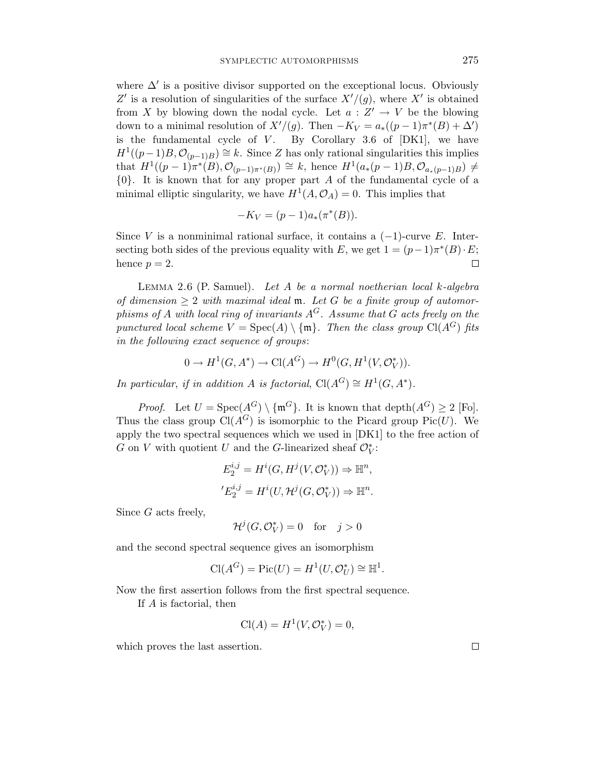where  $\Delta'$  is a positive divisor supported on the exceptional locus. Obviously Z' is a resolution of singularities of the surface  $X'/(g)$ , where X' is obtained from X by blowing down the nodal cycle. Let  $a: Z' \to V$  be the blowing down to a minimal resolution of  $X'/(g)$ . Then  $-K_V = a_*((p-1)\pi^*(B) + \Delta')$ is the fundamental cycle of  $V$ . By Corollary 3.6 of  $[DK1]$ , we have  $H^1((p-1)B, \mathcal{O}_{(p-1)B}) \cong k$ . Since Z has only rational singularities this implies that  $H^1((p-1)\pi^*(B), \mathcal{O}_{(p-1)\pi^*(B)}) \cong k$ , hence  $H^1(a_*(p-1)B, \mathcal{O}_{a_*(p-1)B}) \neq$  ${0}$ . It is known that for any proper part A of the fundamental cycle of a minimal elliptic singularity, we have  $H^1(A, \mathcal{O}_A) = 0$ . This implies that

$$
-K_V = (p-1)a_*(\pi^*(B)).
$$

Since V is a nonminimal rational surface, it contains a  $(-1)$ -curve E. Intersecting both sides of the previous equality with E, we get  $1 = (p-1)\pi^*(B) \cdot E$ ; hence  $p = 2$ .  $\Box$ 

LEMMA 2.6 (P. Samuel). Let  $A$  be a normal noetherian local  $k$ -algebra of dimension  $\geq 2$  with maximal ideal m. Let G be a finite group of automorphisms of A with local ring of invariants  $A^G$ . Assume that G acts freely on the punctured local scheme  $V = \text{Spec}(A) \setminus \{\mathfrak{m}\}\$ . Then the class group  $\text{Cl}(A^G)$  fits in the following exact sequence of groups:

$$
0 \to H^1(G, A^*) \to \mathrm{Cl}(A^G) \to H^0(G, H^1(V, \mathcal{O}_V^*)).
$$

In particular, if in addition A is factorial,  $Cl(A^G) \cong H^1(G, A^*)$ .

*Proof.* Let  $U = \text{Spec}(A^G) \setminus \{\mathfrak{m}^G\}$ . It is known that depth $(A^G) \geq 2$  [Fo]. Thus the class group  $Cl(A^G)$  is isomorphic to the Picard group Pic(U). We apply the two spectral sequences which we used in [DK1] to the free action of G on V with quotient U and the G-linearized sheaf  $\mathcal{O}_V^*$ :

$$
E_2^{i,j} = H^i(G, H^j(V, \mathcal{O}_V^*)) \Rightarrow \mathbb{H}^n,
$$
  

$$
{}^{\prime}E_2^{i,j} = H^i(U, \mathcal{H}^j(G, \mathcal{O}_V^*)) \Rightarrow \mathbb{H}^n.
$$

Since G acts freely,

$$
\mathcal{H}^j(G, \mathcal{O}_V^*) = 0 \quad \text{for} \quad j > 0
$$

and the second spectral sequence gives an isomorphism

$$
\operatorname{Cl}(A^G) = \operatorname{Pic}(U) = H^1(U, \mathcal{O}_U^*) \cong \mathbb{H}^1.
$$

Now the first assertion follows from the first spectral sequence.

If A is factorial, then

$$
\operatorname{Cl}(A) = H^1(V, \mathcal{O}_V^*) = 0,
$$

which proves the last assertion.

 $\Box$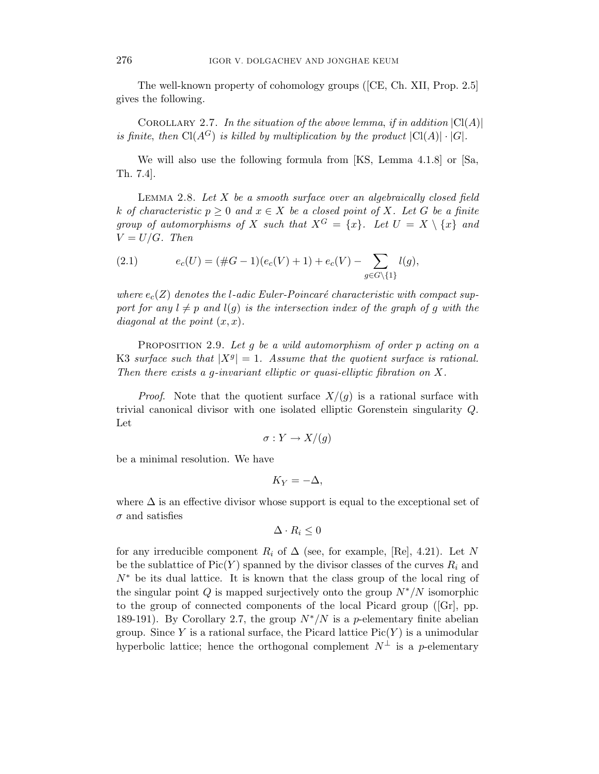The well-known property of cohomology groups ([CE, Ch. XII, Prop. 2.5] gives the following.

COROLLARY 2.7. In the situation of the above lemma, if in addition  $|Cl(A)|$ is finite, then  $Cl(A^G)$  is killed by multiplication by the product  $|Cl(A)| \cdot |G|$ .

We will also use the following formula from [KS, Lemma 4.1.8] or [Sa, Th. 7.4].

LEMMA 2.8. Let  $X$  be a smooth surface over an algebraically closed field k of characteristic  $p \geq 0$  and  $x \in X$  be a closed point of X. Let G be a finite group of automorphisms of X such that  $X^G = \{x\}$ . Let  $U = X \setminus \{x\}$  and  $V = U/G$ . Then

(2.1) 
$$
e_c(U) = (\#G - 1)(e_c(V) + 1) + e_c(V) - \sum_{g \in G \setminus \{1\}} l(g),
$$

where  $e_c(Z)$  denotes the l-adic Euler-Poincaré characteristic with compact support for any  $l \neq p$  and  $l(q)$  is the intersection index of the graph of q with the diagonal at the point  $(x, x)$ .

PROPOSITION 2.9. Let g be a wild automorphism of order p acting on a K3 surface such that  $|X^g| = 1$ . Assume that the quotient surface is rational. Then there exists a g-invariant elliptic or quasi-elliptic fibration on  $X$ .

*Proof.* Note that the quotient surface  $X/(g)$  is a rational surface with trivial canonical divisor with one isolated elliptic Gorenstein singularity Q. Let

$$
\sigma: Y \to X/(g)
$$

be a minimal resolution. We have

$$
K_Y = -\Delta,
$$

where  $\Delta$  is an effective divisor whose support is equal to the exceptional set of  $\sigma$  and satisfies

$$
\Delta \cdot R_i \leq 0
$$

for any irreducible component  $R_i$  of  $\Delta$  (see, for example, [Re], 4.21). Let N be the sublattice of  $Pic(Y)$  spanned by the divisor classes of the curves  $R_i$  and  $N^*$  be its dual lattice. It is known that the class group of the local ring of the singular point Q is mapped surjectively onto the group  $N^*/N$  isomorphic to the group of connected components of the local Picard group ([Gr], pp. 189-191). By Corollary 2.7, the group  $N^*/N$  is a p-elementary finite abelian group. Since Y is a rational surface, the Picard lattice  $Pic(Y)$  is a unimodular hyperbolic lattice; hence the orthogonal complement  $N^{\perp}$  is a p-elementary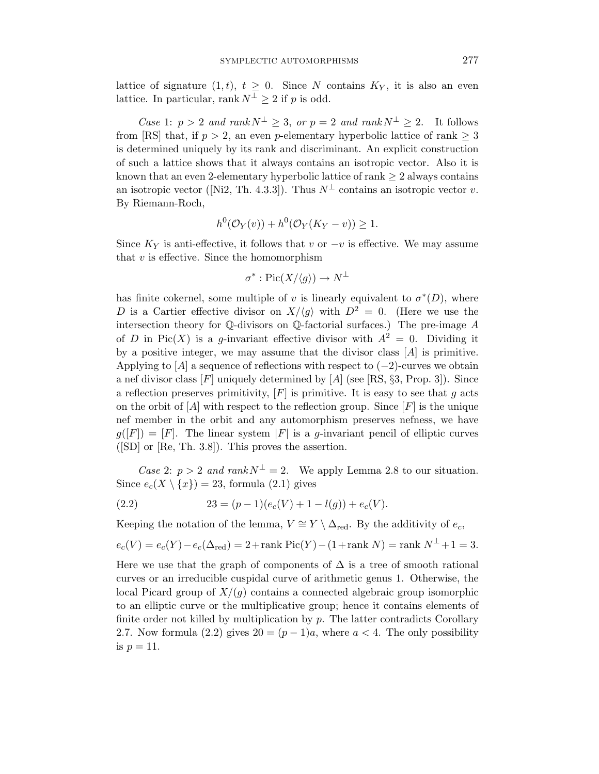lattice of signature  $(1, t)$ ,  $t \geq 0$ . Since N contains  $K_Y$ , it is also an even lattice. In particular, rank  $N^{\perp} \geq 2$  if p is odd.

Case 1:  $p > 2$  and rank  $N^{\perp} \geq 3$ , or  $p = 2$  and rank  $N^{\perp} \geq 2$ . It follows from [RS] that, if  $p > 2$ , an even p-elementary hyperbolic lattice of rank  $\geq 3$ is determined uniquely by its rank and discriminant. An explicit construction of such a lattice shows that it always contains an isotropic vector. Also it is known that an even 2-elementary hyperbolic lattice of rank  $\geq 2$  always contains an isotropic vector ([Ni2, Th. 4.3.3]). Thus  $N^{\perp}$  contains an isotropic vector v. By Riemann-Roch,

$$
h^{0}(\mathcal{O}_{Y}(v)) + h^{0}(\mathcal{O}_{Y}(K_{Y}-v)) \geq 1.
$$

Since  $K_Y$  is anti-effective, it follows that v or  $-v$  is effective. We may assume that  $v$  is effective. Since the homomorphism

$$
\sigma^* : Pic(X/\langle g \rangle) \to N^{\perp}
$$

has finite cokernel, some multiple of v is linearly equivalent to  $\sigma^*(D)$ , where D is a Cartier effective divisor on  $X/\langle q \rangle$  with  $D^2 = 0$ . (Here we use the intersection theory for  $\mathbb Q$ -divisors on  $\mathbb Q$ -factorial surfaces.) The pre-image A of D in Pic(X) is a g-invariant effective divisor with  $A^2 = 0$ . Dividing it by a positive integer, we may assume that the divisor class  $[A]$  is primitive. Applying to [A] a sequence of reflections with respect to  $(-2)$ -curves we obtain a nef divisor class  $[F]$  uniquely determined by  $[A]$  (see [RS, §3, Prop. 3]). Since a reflection preserves primitivity,  $[F]$  is primitive. It is easy to see that g acts on the orbit of  $[A]$  with respect to the reflection group. Since  $[F]$  is the unique nef member in the orbit and any automorphism preserves nefness, we have  $g([F]) = [F]$ . The linear system |F| is a g-invariant pencil of elliptic curves ([SD] or [Re, Th. 3.8]). This proves the assertion.

Case 2:  $p > 2$  and rank  $N^{\perp} = 2$ . We apply Lemma 2.8 to our situation. Since  $e_c(X \setminus \{x\}) = 23$ , formula (2.1) gives

(2.2) 
$$
23 = (p-1)(e_c(V) + 1 - l(g)) + e_c(V).
$$

Keeping the notation of the lemma,  $V \cong Y \setminus \Delta_{\text{red}}$ . By the additivity of  $e_c$ ,

$$
e_c(V) = e_c(Y) - e_c(\Delta_{\text{red}}) = 2 + \text{rank Pic}(Y) - (1 + \text{rank } N) = \text{rank } N^{\perp} + 1 = 3.
$$

Here we use that the graph of components of  $\Delta$  is a tree of smooth rational curves or an irreducible cuspidal curve of arithmetic genus 1. Otherwise, the local Picard group of  $X/(g)$  contains a connected algebraic group isomorphic to an elliptic curve or the multiplicative group; hence it contains elements of finite order not killed by multiplication by  $p$ . The latter contradicts Corollary 2.7. Now formula (2.2) gives  $20 = (p-1)a$ , where  $a < 4$ . The only possibility is  $p = 11$ .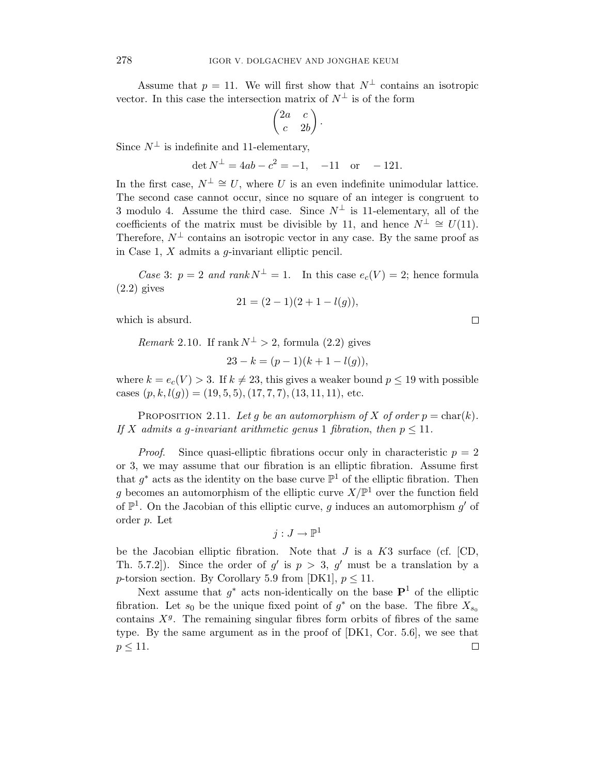Assume that  $p = 11$ . We will first show that  $N^{\perp}$  contains an isotropic vector. In this case the intersection matrix of  $N^{\perp}$  is of the form

$$
\begin{pmatrix} 2a & c \ c & 2b \end{pmatrix}.
$$

Since  $N^{\perp}$  is indefinite and 11-elementary.

$$
\det N^{\perp} = 4ab - c^2 = -1, -11 \text{ or } -121.
$$

In the first case,  $N^{\perp} \cong U$ , where U is an even indefinite unimodular lattice. The second case cannot occur, since no square of an integer is congruent to 3 modulo 4. Assume the third case. Since  $N^{\perp}$  is 11-elementary, all of the coefficients of the matrix must be divisible by 11, and hence  $N^{\perp} \cong U(11)$ . Therefore,  $N^{\perp}$  contains an isotropic vector in any case. By the same proof as in Case 1,  $X$  admits a  $g$ -invariant elliptic pencil.

Case 3:  $p = 2$  and rank  $N^{\perp} = 1$ . In this case  $e_c(V) = 2$ ; hence formula  $(2.2)$  gives

$$
21 = (2 - 1)(2 + 1 - l(g)),
$$

which is absurd.

*Remark* 2.10. If rank  $N^{\perp} > 2$ , formula (2.2) gives

$$
23 - k = (p - 1)(k + 1 - l(g)),
$$

where  $k = e_c(V) > 3$ . If  $k \neq 23$ , this gives a weaker bound  $p \leq 19$  with possible cases  $(p, k, l(q)) = (19, 5, 5), (17, 7, 7), (13, 11, 11),$  etc.

PROPOSITION 2.11. Let g be an automorphism of X of order  $p = \text{char}(k)$ . If X admits a g-invariant arithmetic genus 1 fibration, then  $p \leq 11$ .

*Proof.* Since quasi-elliptic fibrations occur only in characteristic  $p = 2$ or 3, we may assume that our fibration is an elliptic fibration. Assume first that  $g^*$  acts as the identity on the base curve  $\mathbb{P}^1$  of the elliptic fibration. Then g becomes an automorphism of the elliptic curve  $X/\mathbb{P}^1$  over the function field of  $\mathbb{P}^1$ . On the Jacobian of this elliptic curve, g induces an automorphism g' of order p. Let

$$
j:J\to \mathbb{P}^1
$$

be the Jacobian elliptic fibration. Note that  $J$  is a  $K3$  surface (cf.  $[CD,$ Th. 5.7.2.]). Since the order of  $g'$  is  $p > 3$ ,  $g'$  must be a translation by a p-torsion section. By Corollary 5.9 from [DK1],  $p \le 11$ .

Next assume that  $g^*$  acts non-identically on the base  $\mathbf{P}^1$  of the elliptic fibration. Let  $s_0$  be the unique fixed point of  $g^*$  on the base. The fibre  $X_{s_0}$ contains  $X<sup>g</sup>$ . The remaining singular fibres form orbits of fibres of the same type. By the same argument as in the proof of [DK1, Cor. 5.6], we see that  $p \leq 11$ .  $\Box$ 

 $\Box$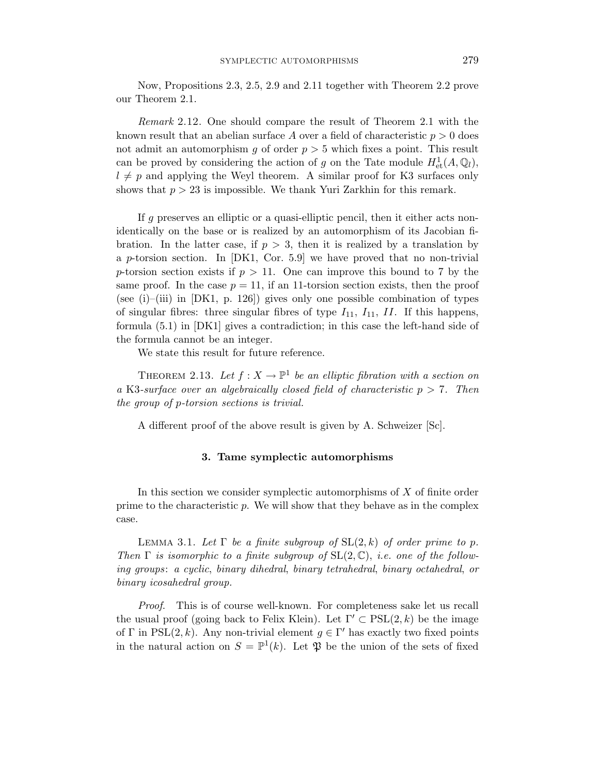Now, Propositions 2.3, 2.5, 2.9 and 2.11 together with Theorem 2.2 prove our Theorem 2.1.

Remark 2.12. One should compare the result of Theorem 2.1 with the known result that an abelian surface A over a field of characteristic  $p > 0$  does not admit an automorphism g of order  $p > 5$  which fixes a point. This result can be proved by considering the action of g on the Tate module  $H^1_{\text{et}}(A,\mathbb{Q}_l)$ ,  $l \neq p$  and applying the Weyl theorem. A similar proof for K3 surfaces only shows that  $p > 23$  is impossible. We thank Yuri Zarkhin for this remark.

If g preserves an elliptic or a quasi-elliptic pencil, then it either acts nonidentically on the base or is realized by an automorphism of its Jacobian fibration. In the latter case, if  $p > 3$ , then it is realized by a translation by a p-torsion section. In [DK1, Cor. 5.9] we have proved that no non-trivial p-torsion section exists if  $p > 11$ . One can improve this bound to 7 by the same proof. In the case  $p = 11$ , if an 11-torsion section exists, then the proof (see (i)–(iii) in  $[DK1, p. 126]$ ) gives only one possible combination of types of singular fibres: three singular fibres of type  $I_{11}$ ,  $I_{11}$ ,  $II$ . If this happens, formula (5.1) in [DK1] gives a contradiction; in this case the left-hand side of the formula cannot be an integer.

We state this result for future reference.

THEOREM 2.13. Let  $f: X \to \mathbb{P}^1$  be an elliptic fibration with a section on a K3-surface over an algebraically closed field of characteristic  $p > 7$ . Then the group of p-torsion sections is trivial.

A different proof of the above result is given by A. Schweizer [Sc].

## 3. Tame symplectic automorphisms

In this section we consider symplectic automorphisms of X of finite order prime to the characteristic  $p$ . We will show that they behave as in the complex case.

LEMMA 3.1. Let  $\Gamma$  be a finite subgroup of  $SL(2, k)$  of order prime to p. Then  $\Gamma$  is isomorphic to a finite subgroup of  $SL(2,\mathbb{C})$ , i.e. one of the following groups: a cyclic, binary dihedral, binary tetrahedral, binary octahedral, or binary icosahedral group.

Proof. This is of course well-known. For completeness sake let us recall the usual proof (going back to Felix Klein). Let  $\Gamma' \subset \text{PSL}(2, k)$  be the image of  $\Gamma$  in PSL(2, k). Any non-trivial element  $g \in \Gamma'$  has exactly two fixed points in the natural action on  $S = \mathbb{P}^1(k)$ . Let  $\mathfrak P$  be the union of the sets of fixed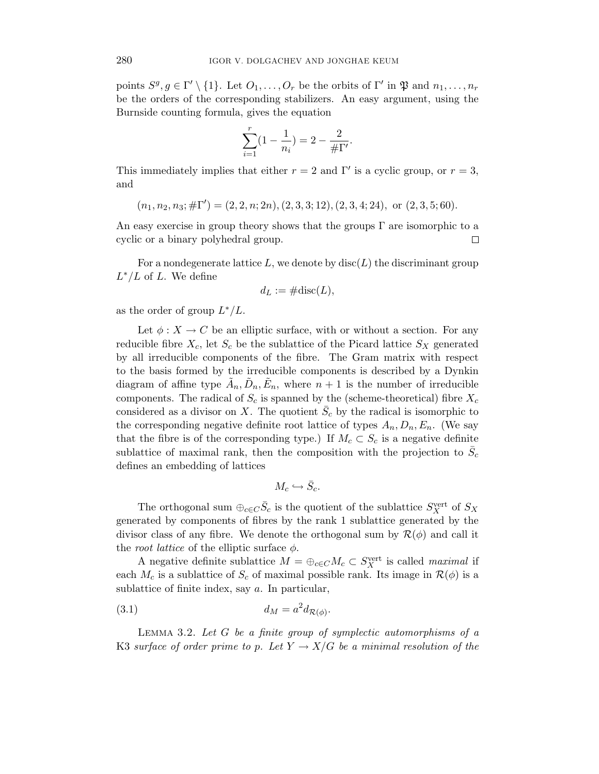points  $S^g, g \in \Gamma' \setminus \{1\}$ . Let  $O_1, \ldots, O_r$  be the orbits of  $\Gamma'$  in  $\mathfrak{P}$  and  $n_1, \ldots, n_r$ be the orders of the corresponding stabilizers. An easy argument, using the Burnside counting formula, gives the equation

$$
\sum_{i=1}^{r} (1 - \frac{1}{n_i}) = 2 - \frac{2}{\# \Gamma'}.
$$

This immediately implies that either  $r = 2$  and  $\Gamma'$  is a cyclic group, or  $r = 3$ , and

$$
(n_1, n_2, n_3; \# \Gamma') = (2, 2, n; 2n), (2, 3, 3; 12), (2, 3, 4; 24),
$$
 or  $(2, 3, 5; 60).$ 

An easy exercise in group theory shows that the groups  $\Gamma$  are isomorphic to a cyclic or a binary polyhedral group.  $\Box$ 

For a nondegenerate lattice L, we denote by  $\text{disc}(L)$  the discriminant group  $L^*/L$  of L. We define

$$
d_L := \# \text{disc}(L),
$$

as the order of group  $L^*/L$ .

Let  $\phi: X \to C$  be an elliptic surface, with or without a section. For any reducible fibre  $X_c$ , let  $S_c$  be the sublattice of the Picard lattice  $S_X$  generated by all irreducible components of the fibre. The Gram matrix with respect to the basis formed by the irreducible components is described by a Dynkin diagram of affine type  $\tilde{A}_n, \tilde{D}_n, \tilde{E}_n$ , where  $n+1$  is the number of irreducible components. The radical of  $S_c$  is spanned by the (scheme-theoretical) fibre  $X_c$ considered as a divisor on X. The quotient  $\bar{S}_c$  by the radical is isomorphic to the corresponding negative definite root lattice of types  $A_n, D_n, E_n$ . (We say that the fibre is of the corresponding type.) If  $M_c \subset S_c$  is a negative definite sublattice of maximal rank, then the composition with the projection to  $\bar{S}_c$ defines an embedding of lattices

$$
M_c \hookrightarrow \overline{S}_c.
$$

The orthogonal sum  $\bigoplus_{c \in C} \overline{S}_c$  is the quotient of the sublattice  $S_X^{\text{vert}}$  of  $S_X$ generated by components of fibres by the rank 1 sublattice generated by the divisor class of any fibre. We denote the orthogonal sum by  $\mathcal{R}(\phi)$  and call it the *root lattice* of the elliptic surface  $\phi$ .

A negative definite sublattice  $M = \bigoplus_{c \in C} M_c \subset S_X^{\text{vert}}$  is called *maximal* if each  $M_c$  is a sublattice of  $S_c$  of maximal possible rank. Its image in  $\mathcal{R}(\phi)$  is a sublattice of finite index, say a. In particular,

$$
(3.1) \t\t d_M = a^2 d_{\mathcal{R}(\phi)}.
$$

Lemma 3.2. Let G be a finite group of symplectic automorphisms of a K3 surface of order prime to p. Let  $Y \to X/G$  be a minimal resolution of the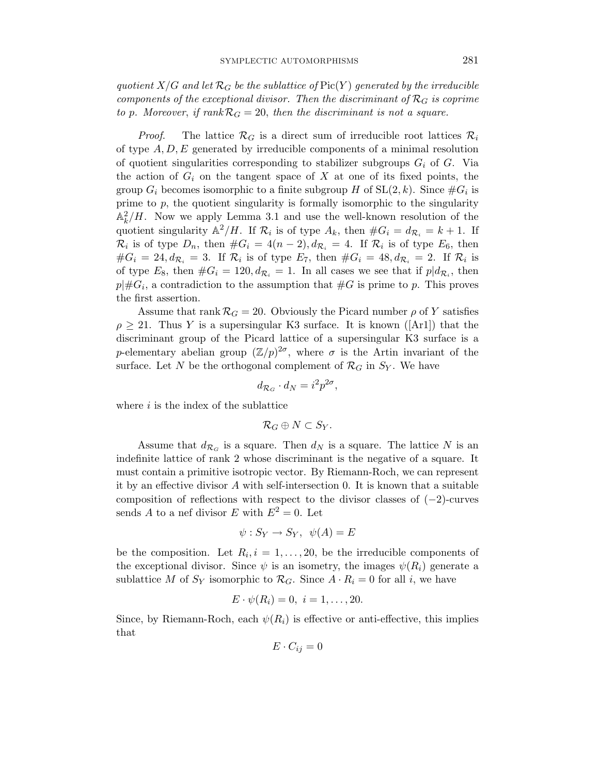quotient  $X/G$  and let  $\mathcal{R}_G$  be the sublattice of  $Pic(Y)$  generated by the irreducible components of the exceptional divisor. Then the discriminant of  $\mathcal{R}_G$  is coprime to p. Moreover, if rank  $\mathcal{R}_G = 20$ , then the discriminant is not a square.

*Proof.* The lattice  $\mathcal{R}_G$  is a direct sum of irreducible root lattices  $\mathcal{R}_i$ of type  $A, D, E$  generated by irreducible components of a minimal resolution of quotient singularities corresponding to stabilizer subgroups  $G_i$  of G. Via the action of  $G_i$  on the tangent space of X at one of its fixed points, the group  $G_i$  becomes isomorphic to a finite subgroup H of  $SL(2, k)$ . Since  $\#G_i$  is prime to  $p$ , the quotient singularity is formally isomorphic to the singularity  $\mathbb{A}_k^2/H$ . Now we apply Lemma 3.1 and use the well-known resolution of the quotient singularity  $\mathbb{A}^2/H$ . If  $\mathcal{R}_i$  is of type  $A_k$ , then  $\#G_i = d_{\mathcal{R}_i} = k+1$ . If  $\mathcal{R}_i$  is of type  $D_n$ , then  $\#G_i = 4(n-2), d_{\mathcal{R}_i} = 4$ . If  $\mathcal{R}_i$  is of type  $E_6$ , then  $\#G_i = 24, d_{\mathcal{R}_i} = 3$ . If  $\mathcal{R}_i$  is of type  $E_7$ , then  $\#G_i = 48, d_{\mathcal{R}_i} = 2$ . If  $\mathcal{R}_i$  is of type  $E_8$ , then  $\#G_i = 120, d_{\mathcal{R}_i} = 1$ . In all cases we see that if  $p|d_{\mathcal{R}_i}$ , then  $p\#G_i$ , a contradiction to the assumption that  $\#G$  is prime to p. This proves the first assertion.

Assume that rank  $\mathcal{R}_G = 20$ . Obviously the Picard number  $\rho$  of Y satisfies  $\rho \geq 21$ . Thus Y is a supersingular K3 surface. It is known ([Ar1]) that the discriminant group of the Picard lattice of a supersingular K3 surface is a p-elementary abelian group  $(\mathbb{Z}/p)^{2\sigma}$ , where  $\sigma$  is the Artin invariant of the surface. Let N be the orthogonal complement of  $\mathcal{R}_G$  in  $S_Y$ . We have

$$
d_{\mathcal{R}_G} \cdot d_N = i^2 p^{2\sigma},
$$

where  $i$  is the index of the sublattice

 $\mathcal{R}_G \oplus N \subset S_Y$ .

Assume that  $d_{\mathcal{R}_G}$  is a square. Then  $d_N$  is a square. The lattice N is an indefinite lattice of rank 2 whose discriminant is the negative of a square. It must contain a primitive isotropic vector. By Riemann-Roch, we can represent it by an effective divisor  $A$  with self-intersection 0. It is known that a suitable composition of reflections with respect to the divisor classes of  $(-2)$ -curves sends A to a nef divisor E with  $E^2 = 0$ . Let

$$
\psi: S_Y \to S_Y, \ \ \psi(A) = E
$$

be the composition. Let  $R_i$ ,  $i = 1, \ldots, 20$ , be the irreducible components of the exceptional divisor. Since  $\psi$  is an isometry, the images  $\psi(R_i)$  generate a sublattice M of  $S_Y$  isomorphic to  $\mathcal{R}_G$ . Since  $A \cdot R_i = 0$  for all i, we have

$$
E\cdot\psi(R_i)=0,\ i=1,\ldots,20.
$$

Since, by Riemann-Roch, each  $\psi(R_i)$  is effective or anti-effective, this implies that

$$
E\cdot C_{ij}=0
$$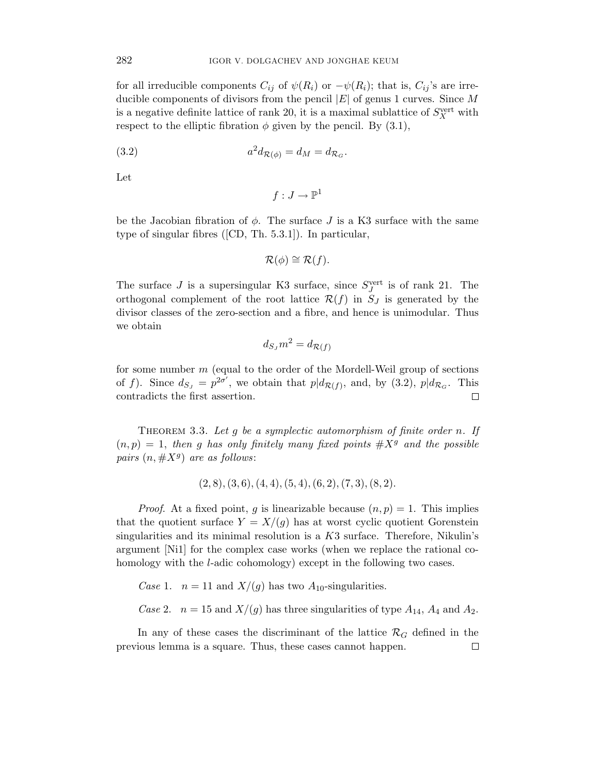for all irreducible components  $C_{ij}$  of  $\psi(R_i)$  or  $-\psi(R_i)$ ; that is,  $C_{ij}$ 's are irreducible components of divisors from the pencil  $|E|$  of genus 1 curves. Since M is a negative definite lattice of rank 20, it is a maximal sublattice of  $S_X^{\text{vert}}$  with respect to the elliptic fibration  $\phi$  given by the pencil. By  $(3.1)$ ,

(3.2) 
$$
a^2 d_{\mathcal{R}(\phi)} = d_M = d_{\mathcal{R}_G}.
$$

Let

$$
f:J\to \mathbb{P}^1
$$

be the Jacobian fibration of  $\phi$ . The surface J is a K3 surface with the same type of singular fibres ([CD, Th. 5.3.1]). In particular,

$$
\mathcal{R}(\phi) \cong \mathcal{R}(f).
$$

The surface  $J$  is a supersingular K3 surface, since  $S_J^{\text{vert}}$  is of rank 21. The orthogonal complement of the root lattice  $\mathcal{R}(f)$  in  $S_J$  is generated by the divisor classes of the zero-section and a fibre, and hence is unimodular. Thus we obtain

$$
d_{S_J}m^2 = d_{\mathcal{R}(f)}
$$

for some number  $m$  (equal to the order of the Mordell-Weil group of sections of f). Since  $d_{S_J} = p^{2\sigma'}$ , we obtain that  $p|d_{\mathcal{R}(f)}$ , and, by (3.2),  $p|d_{\mathcal{R}_G}$ . This contradicts the first assertion.  $\Box$ 

THEOREM 3.3. Let  $q$  be a symplectic automorphism of finite order n. If  $(n, p) = 1$ , then g has only finitely many fixed points  $\#X^g$  and the possible pairs  $(n, \#X^g)$  are as follows:

$$
(2,8), (3,6), (4,4), (5,4), (6,2), (7,3), (8,2).
$$

*Proof.* At a fixed point, g is linearizable because  $(n, p) = 1$ . This implies that the quotient surface  $Y = X/(q)$  has at worst cyclic quotient Gorenstein singularities and its minimal resolution is a  $K3$  surface. Therefore, Nikulin's argument [Ni1] for the complex case works (when we replace the rational cohomology with the *l*-adic cohomology) except in the following two cases.

Case 1.  $n = 11$  and  $X/(g)$  has two  $A_{10}$ -singularities.

Case 2.  $n = 15$  and  $X/(g)$  has three singularities of type  $A_{14}$ ,  $A_4$  and  $A_2$ .

In any of these cases the discriminant of the lattice  $\mathcal{R}_G$  defined in the previous lemma is a square. Thus, these cases cannot happen. $\Box$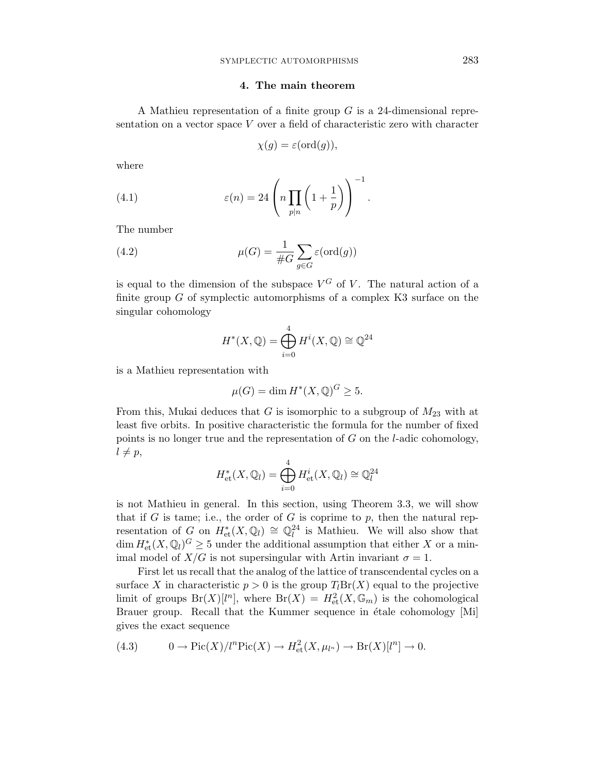## 4. The main theorem

A Mathieu representation of a finite group G is a 24-dimensional representation on a vector space V over a field of characteristic zero with character

$$
\chi(g) = \varepsilon(\text{ord}(g)),
$$

where

(4.1) 
$$
\varepsilon(n) = 24 \left( n \prod_{p|n} \left( 1 + \frac{1}{p} \right) \right)^{-1}.
$$

The number

(4.2) 
$$
\mu(G) = \frac{1}{\#G} \sum_{g \in G} \varepsilon(\text{ord}(g))
$$

is equal to the dimension of the subspace  $V^G$  of V. The natural action of a finite group  $G$  of symplectic automorphisms of a complex K3 surface on the singular cohomology

$$
H^*(X, \mathbb{Q}) = \bigoplus_{i=0}^4 H^i(X, \mathbb{Q}) \cong \mathbb{Q}^{24}
$$

is a Mathieu representation with

$$
\mu(G) = \dim H^*(X, \mathbb{Q})^G \ge 5.
$$

From this, Mukai deduces that G is isomorphic to a subgroup of  $M_{23}$  with at least five orbits. In positive characteristic the formula for the number of fixed points is no longer true and the representation of  $G$  on the *l*-adic cohomology,  $l \neq p$ ,

$$
H_{\mathrm{et}}^*(X,\mathbb{Q}_l) = \bigoplus_{i=0}^4 H_{\mathrm{et}}^i(X,\mathbb{Q}_l) \cong \mathbb{Q}_l^{24}
$$

is not Mathieu in general. In this section, using Theorem 3.3, we will show that if  $G$  is tame; i.e., the order of  $G$  is coprime to  $p$ , then the natural representation of G on  $H^*_{\text{et}}(X,\mathbb{Q}_l) \cong \mathbb{Q}_l^{24}$  is Mathieu. We will also show that  $\dim H_{\mathrm{et}}^*(X, \mathbb{Q}_l)^G \geq 5$  under the additional assumption that either X or a minimal model of  $X/G$  is not supersingular with Artin invariant  $\sigma = 1$ .

First let us recall that the analog of the lattice of transcendental cycles on a surface X in characteristic  $p > 0$  is the group  $T_l Br(X)$  equal to the projective limit of groups  $Br(X)[l^n]$ , where  $Br(X) = H^2_{\text{et}}(X, \mathbb{G}_m)$  is the cohomological Brauer group. Recall that the Kummer sequence in étale cohomology [Mi] gives the exact sequence

(4.3) 
$$
0 \to Pic(X)/l^{n}Pic(X) \to H^{2}_{et}(X,\mu_{l^{n}}) \to Br(X)[l^{n}] \to 0.
$$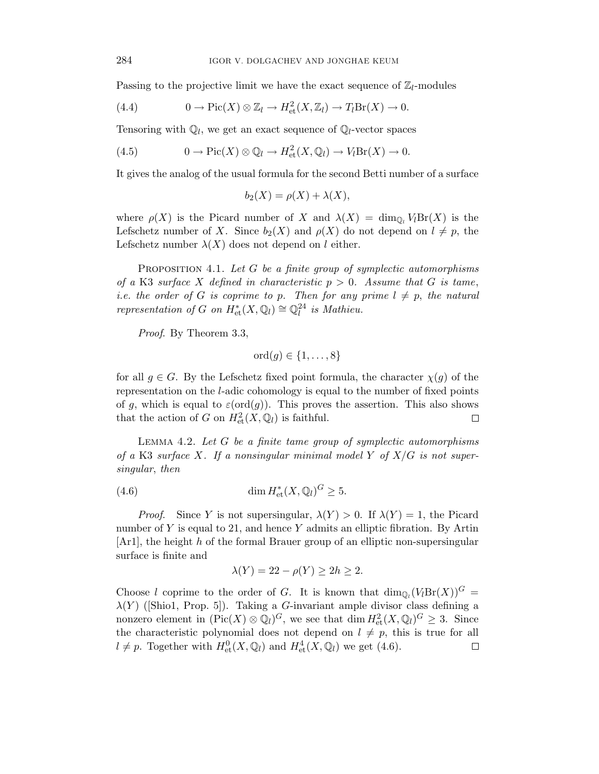Passing to the projective limit we have the exact sequence of  $\mathbb{Z}_l$ -modules

(4.4) 
$$
0 \to Pic(X) \otimes \mathbb{Z}_l \to H^2_{\text{et}}(X, \mathbb{Z}_l) \to T_l Br(X) \to 0.
$$

Tensoring with  $\mathbb{Q}_l$ , we get an exact sequence of  $\mathbb{Q}_l$ -vector spaces

(4.5) 
$$
0 \to Pic(X) \otimes \mathbb{Q}_l \to H^2_{\text{et}}(X, \mathbb{Q}_l) \to V_l Br(X) \to 0.
$$

It gives the analog of the usual formula for the second Betti number of a surface

$$
b_2(X) = \rho(X) + \lambda(X),
$$

where  $\rho(X)$  is the Picard number of X and  $\lambda(X) = \dim_{\mathbb{Q}_l} V_l \text{Br}(X)$  is the Lefschetz number of X. Since  $b_2(X)$  and  $\rho(X)$  do not depend on  $l \neq p$ , the Lefschetz number  $\lambda(X)$  does not depend on l either.

PROPOSITION 4.1. Let  $G$  be a finite group of symplectic automorphisms of a K3 surface X defined in characteristic  $p > 0$ . Assume that G is tame, *i.e.* the order of G is coprime to p. Then for any prime  $l \neq p$ , the natural representation of G on  $H^*_{\text{et}}(X, \mathbb{Q}_l) \cong \mathbb{Q}_l^{24}$  is Mathieu.

Proof. By Theorem 3.3,

$$
ord(g) \in \{1, \ldots, 8\}
$$

for all  $g \in G$ . By the Lefschetz fixed point formula, the character  $\chi(g)$  of the representation on the l-adic cohomology is equal to the number of fixed points of g, which is equal to  $\varepsilon(\text{ord}(g))$ . This proves the assertion. This also shows that the action of G on  $H^2_{\text{et}}(X,\mathbb{Q}_l)$  is faithful.  $\Box$ 

LEMMA 4.2. Let  $G$  be a finite tame group of symplectic automorphisms of a K3 surface X. If a nonsingular minimal model Y of  $X/G$  is not supersingular, then

(4.6) 
$$
\dim H_{\mathrm{et}}^*(X, \mathbb{Q}_l)^G \geq 5.
$$

*Proof.* Since Y is not supersingular,  $\lambda(Y) > 0$ . If  $\lambda(Y) = 1$ , the Picard number of  $Y$  is equal to 21, and hence  $Y$  admits an elliptic fibration. By Artin [Ar1], the height h of the formal Brauer group of an elliptic non-supersingular surface is finite and

$$
\lambda(Y) = 22 - \rho(Y) \ge 2h \ge 2.
$$

Choose l coprime to the order of G. It is known that  $\dim_{\mathbb{Q}_l}(V_l\text{Br}(X))^G$  =  $\lambda(Y)$  ([Shio1, Prop. 5]). Taking a G-invariant ample divisor class defining a nonzero element in  $(\text{Pic}(X) \otimes \mathbb{Q}_l)^G$ , we see that  $\dim H^2_{\text{et}}(X, \mathbb{Q}_l)^G \geq 3$ . Since the characteristic polynomial does not depend on  $l \neq p$ , this is true for all  $l \neq p$ . Together with  $H^0_{\text{\rm et}}(X, \mathbb{Q}_l)$  and  $H^4_{\text{\rm et}}(X, \mathbb{Q}_l)$  we get (4.6).  $\Box$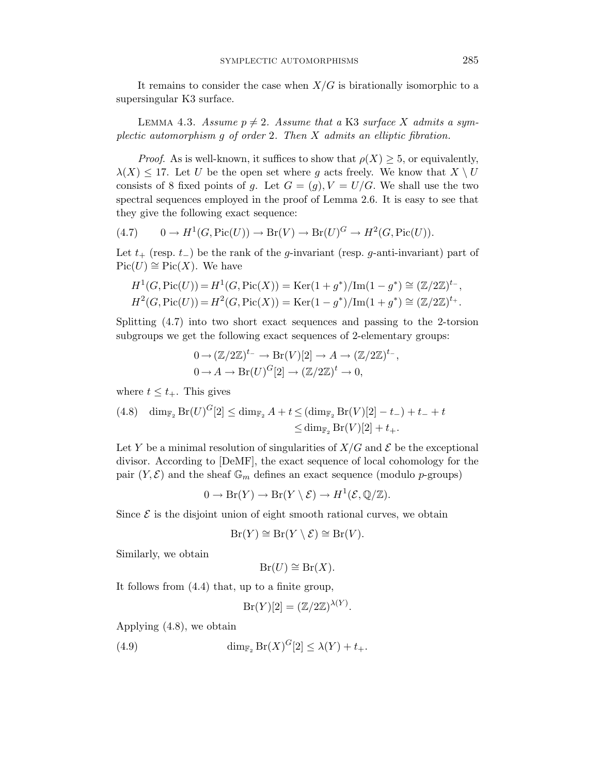It remains to consider the case when  $X/G$  is birationally isomorphic to a supersingular K3 surface.

LEMMA 4.3. Assume  $p \neq 2$ . Assume that a K3 surface X admits a symplectic automorphism g of order 2. Then X admits an elliptic fibration.

*Proof.* As is well-known, it suffices to show that  $\rho(X) \geq 5$ , or equivalently,  $\lambda(X) \leq 17$ . Let U be the open set where q acts freely. We know that  $X \setminus U$ consists of 8 fixed points of g. Let  $G = (g), V = U/G$ . We shall use the two spectral sequences employed in the proof of Lemma 2.6. It is easy to see that they give the following exact sequence:

$$
(4.7) \qquad 0 \to H^1(G, \text{Pic}(U)) \to \text{Br}(V) \to \text{Br}(U)^G \to H^2(G, \text{Pic}(U)).
$$

Let  $t_{+}$  (resp.  $t_{-}$ ) be the rank of the *g*-invariant (resp. *g*-anti-invariant) part of  $Pic(U) \cong Pic(X)$ . We have

$$
H^1(G, \text{Pic}(U)) = H^1(G, \text{Pic}(X)) = \text{Ker}(1 + g^*)/\text{Im}(1 - g^*) \cong (\mathbb{Z}/2\mathbb{Z})^{t-},
$$
  

$$
H^2(G, \text{Pic}(U)) = H^2(G, \text{Pic}(X)) = \text{Ker}(1 - g^*)/\text{Im}(1 + g^*) \cong (\mathbb{Z}/2\mathbb{Z})^{t+}.
$$

Splitting (4.7) into two short exact sequences and passing to the 2-torsion subgroups we get the following exact sequences of 2-elementary groups:

$$
0 \to (\mathbb{Z}/2\mathbb{Z})^{t-} \to \text{Br}(V)[2] \to A \to (\mathbb{Z}/2\mathbb{Z})^{t-},
$$
  

$$
0 \to A \to \text{Br}(U)^{G}[2] \to (\mathbb{Z}/2\mathbb{Z})^{t} \to 0,
$$

where  $t \leq t_{+}$ . This gives

(4.8) 
$$
\dim_{\mathbb{F}_2} \text{Br}(U)^G[2] \le \dim_{\mathbb{F}_2} A + t \le (\dim_{\mathbb{F}_2} \text{Br}(V)[2] - t_-) + t_- + t
$$

$$
\le \dim_{\mathbb{F}_2} \text{Br}(V)[2] + t_+.
$$

Let Y be a minimal resolution of singularities of  $X/G$  and  $\mathcal E$  be the exceptional divisor. According to [DeMF], the exact sequence of local cohomology for the pair  $(Y, \mathcal{E})$  and the sheaf  $\mathbb{G}_m$  defines an exact sequence (modulo p-groups)

$$
0 \to Br(Y) \to Br(Y \setminus \mathcal{E}) \to H^1(\mathcal{E}, \mathbb{Q}/\mathbb{Z}).
$$

Since  $\mathcal E$  is the disjoint union of eight smooth rational curves, we obtain

$$
Br(Y) \cong Br(Y \setminus \mathcal{E}) \cong Br(V).
$$

Similarly, we obtain

$$
Br(U) \cong Br(X).
$$

It follows from (4.4) that, up to a finite group,

$$
Br(Y)[2] = (\mathbb{Z}/2\mathbb{Z})^{\lambda(Y)}.
$$

Applying (4.8), we obtain

(4.9)  $\dim_{\mathbb{F}_2} \text{Br}(X)^G[2] \leq \lambda(Y) + t_+.$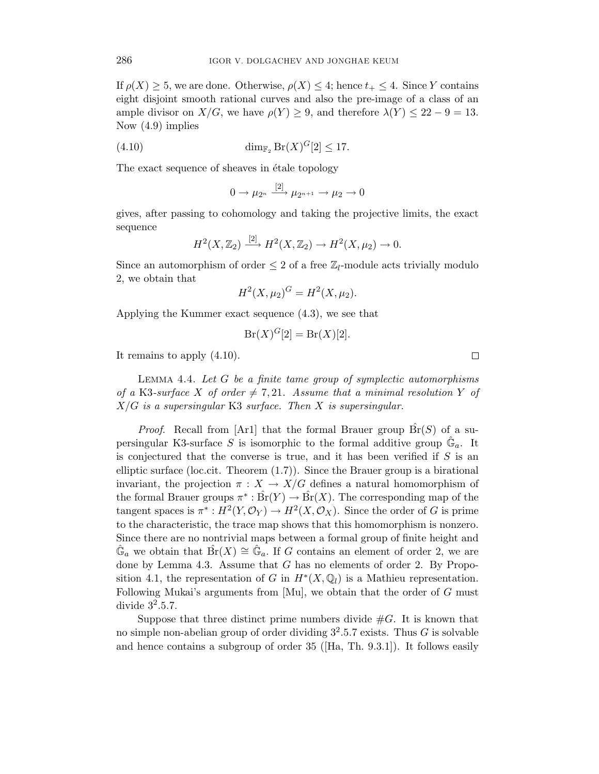If  $\rho(X) \geq 5$ , we are done. Otherwise,  $\rho(X) \leq 4$ ; hence  $t_{+} \leq 4$ . Since Y contains eight disjoint smooth rational curves and also the pre-image of a class of an ample divisor on  $X/G$ , we have  $\rho(Y) \geq 9$ , and therefore  $\lambda(Y) \leq 22 - 9 = 13$ . Now (4.9) implies

$$
\dim_{\mathbb{F}_2} \operatorname{Br}(X)^G[2] \le 17.
$$

The exact sequence of sheaves in étale topology

$$
0 \to \mu_{2^n} \xrightarrow{[2]} \mu_{2^{n+1}} \to \mu_2 \to 0
$$

gives, after passing to cohomology and taking the projective limits, the exact sequence

$$
H^2(X, \mathbb{Z}_2) \xrightarrow{[2]} H^2(X, \mathbb{Z}_2) \to H^2(X, \mu_2) \to 0.
$$

Since an automorphism of order  $\leq 2$  of a free  $\mathbb{Z}_l$ -module acts trivially modulo 2, we obtain that

$$
H^2(X, \mu_2)^G = H^2(X, \mu_2).
$$

Applying the Kummer exact sequence (4.3), we see that

$$
Br(X)^G[2] = Br(X)[2].
$$

It remains to apply (4.10).

LEMMA 4.4. Let  $G$  be a finite tame group of symplectic automorphisms of a K3-surface X of order  $\neq 7, 21$ . Assume that a minimal resolution Y of  $X/G$  is a supersingular K3 surface. Then X is supersingular.

*Proof.* Recall from [Ar1] that the formal Brauer group  $\text{Br}(S)$  of a supersingular K3-surface S is isomorphic to the formal additive group  $\hat{\mathbb{G}}_a$ . It is conjectured that the converse is true, and it has been verified if  $S$  is an elliptic surface (loc.cit. Theorem (1.7)). Since the Brauer group is a birational invariant, the projection  $\pi : X \to X/G$  defines a natural homomorphism of the formal Brauer groups  $\pi^* : \hat{Br}(Y) \to \hat{Br}(X)$ . The corresponding map of the tangent spaces is  $\pi^*: H^2(Y, \mathcal{O}_Y) \to H^2(X, \mathcal{O}_X)$ . Since the order of G is prime to the characteristic, the trace map shows that this homomorphism is nonzero. Since there are no nontrivial maps between a formal group of finite height and  $\hat{\mathbb{G}}_a$  we obtain that  $\hat{\text{Br}}(X) \cong \hat{\mathbb{G}}_a$ . If G contains an element of order 2, we are done by Lemma 4.3. Assume that G has no elements of order 2. By Proposition 4.1, the representation of G in  $H^*(X, \mathbb{Q}_l)$  is a Mathieu representation. Following Mukai's arguments from [Mu], we obtain that the order of G must divide  $3^2.5.7$ .

Suppose that three distinct prime numbers divide  $#G$ . It is known that no simple non-abelian group of order dividing  $3^2.5.7$  exists. Thus G is solvable and hence contains a subgroup of order 35 ([Ha, Th. 9.3.1]). It follows easily

 $\Box$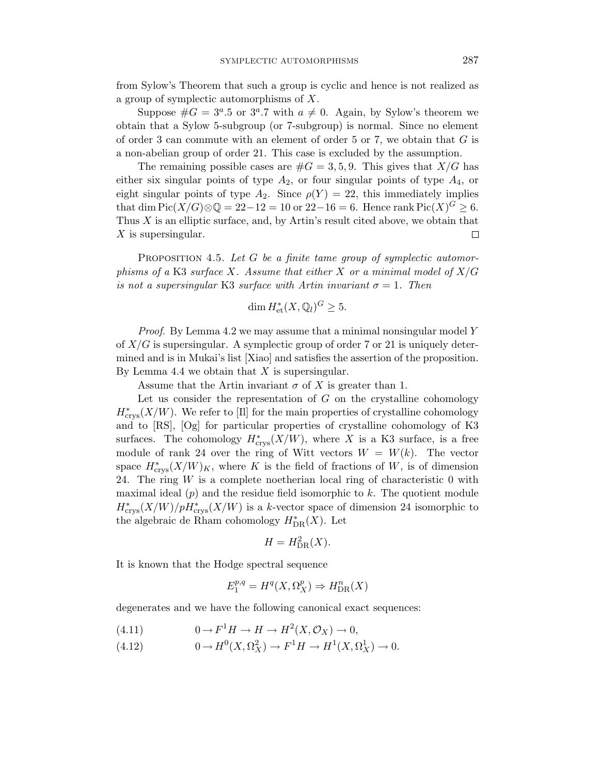from Sylow's Theorem that such a group is cyclic and hence is not realized as a group of symplectic automorphisms of X.

Suppose  $\#G = 3^a.5$  or  $3^a.7$  with  $a \neq 0$ . Again, by Sylow's theorem we obtain that a Sylow 5-subgroup (or 7-subgroup) is normal. Since no element of order 3 can commute with an element of order  $5$  or  $7$ , we obtain that  $G$  is a non-abelian group of order 21. This case is excluded by the assumption.

The remaining possible cases are  $\#G = 3, 5, 9$ . This gives that  $X/G$  has either six singular points of type  $A_2$ , or four singular points of type  $A_4$ , or eight singular points of type  $A_2$ . Since  $\rho(Y) = 22$ , this immediately implies that dim  $Pic(X/G) \otimes \mathbb{Q} = 22-12 = 10$  or  $22-16 = 6$ . Hence rank  $Pic(X)^G \geq 6$ . Thus  $X$  is an elliptic surface, and, by Artin's result cited above, we obtain that X is supersingular.  $\Box$ 

PROPOSITION 4.5. Let  $G$  be a finite tame group of symplectic automorphisms of a K3 surface X. Assume that either X or a minimal model of  $X/G$ is not a supersingular K3 surface with Artin invariant  $\sigma = 1$ . Then

$$
\dim H_{\text{et}}^*(X, \mathbb{Q}_l)^G \ge 5.
$$

Proof. By Lemma 4.2 we may assume that a minimal nonsingular model Y of  $X/G$  is supersingular. A symplectic group of order 7 or 21 is uniquely determined and is in Mukai's list [Xiao] and satisfies the assertion of the proposition. By Lemma 4.4 we obtain that  $X$  is supersingular.

Assume that the Artin invariant  $\sigma$  of X is greater than 1.

Let us consider the representation of  $G$  on the crystalline cohomology  $H_{\text{crys}}^*(X/W)$ . We refer to [Il] for the main properties of crystalline cohomology and to [RS], [Og] for particular properties of crystalline cohomology of K3 surfaces. The cohomology  $H_{\text{crys}}^*(X/W)$ , where X is a K3 surface, is a free module of rank 24 over the ring of Witt vectors  $W = W(k)$ . The vector space  $H_{\text{crys}}^*(X/W)_K$ , where K is the field of fractions of W, is of dimension 24. The ring  $W$  is a complete noetherian local ring of characteristic 0 with maximal ideal  $(p)$  and the residue field isomorphic to k. The quotient module  $H_{\text{crys}}^*(X/W)/pH_{\text{crys}}^*(X/W)$  is a k-vector space of dimension 24 isomorphic to the algebraic de Rham cohomology  $H^*_{\text{DR}}(X)$ . Let

$$
H = H_{\text{DR}}^2(X).
$$

It is known that the Hodge spectral sequence

$$
E_1^{p,q} = H^q(X, \Omega_X^p) \Rightarrow H^n_{\text{DR}}(X)
$$

degenerates and we have the following canonical exact sequences:

- (4.11)  $0 \to F^1 H \to H \to H^2(X, \mathcal{O}_X) \to 0,$
- (4.12)  $0 \to H^0(X, \Omega_X^2) \to F^1 H \to H^1(X, \Omega_X^1) \to 0.$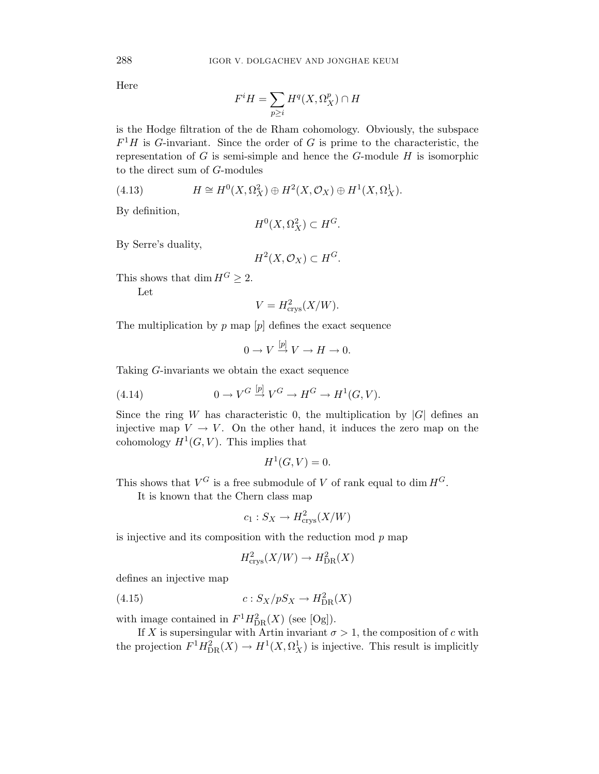Here

$$
F^iH=\sum_{p\geq i}H^q(X,\Omega^p_X)\cap H
$$

is the Hodge filtration of the de Rham cohomology. Obviously, the subspace  $F^1H$  is G-invariant. Since the order of G is prime to the characteristic, the representation of  $G$  is semi-simple and hence the  $G$ -module  $H$  is isomorphic to the direct sum of G-modules

(4.13) 
$$
H \cong H^0(X, \Omega_X^2) \oplus H^2(X, \mathcal{O}_X) \oplus H^1(X, \Omega_X^1).
$$

By definition,

$$
H^0(X, \Omega_X^2) \subset H^G.
$$

By Serre's duality,

$$
H^2(X, \mathcal{O}_X) \subset H^G.
$$

This shows that dim  $H^G \geq 2$ .

Let

$$
V = H_{\text{crys}}^2(X/W).
$$

The multiplication by  $p$  map  $[p]$  defines the exact sequence

$$
0 \to V \stackrel{[p]}{\to} V \to H \to 0.
$$

Taking G-invariants we obtain the exact sequence

(4.14) 
$$
0 \to V^G \stackrel{[p]}{\to} V^G \to H^G \to H^1(G, V).
$$

Since the ring W has characteristic 0, the multiplication by  $|G|$  defines an injective map  $V \to V$ . On the other hand, it induces the zero map on the cohomology  $H^1(G, V)$ . This implies that

$$
H^1(G, V) = 0.
$$

This shows that  $V^G$  is a free submodule of V of rank equal to dim  $H^G$ .

It is known that the Chern class map

$$
c_1: S_X \to H^2_{\text{crys}}(X/W)
$$

is injective and its composition with the reduction mod  $p$  map

$$
H^2_{\text{crys}}(X/W) \to H^2_{\text{DR}}(X)
$$

defines an injective map

$$
(4.15) \t\t c: S_X/pS_X \to H^2_{\text{DR}}(X)
$$

with image contained in  $F^1H^2_{\text{DR}}(X)$  (see [Og]).

If X is supersingular with Artin invariant  $\sigma > 1$ , the composition of c with the projection  $F^1 H_{DR}^2(X) \to H^1(X, \Omega_X^1)$  is injective. This result is implicitly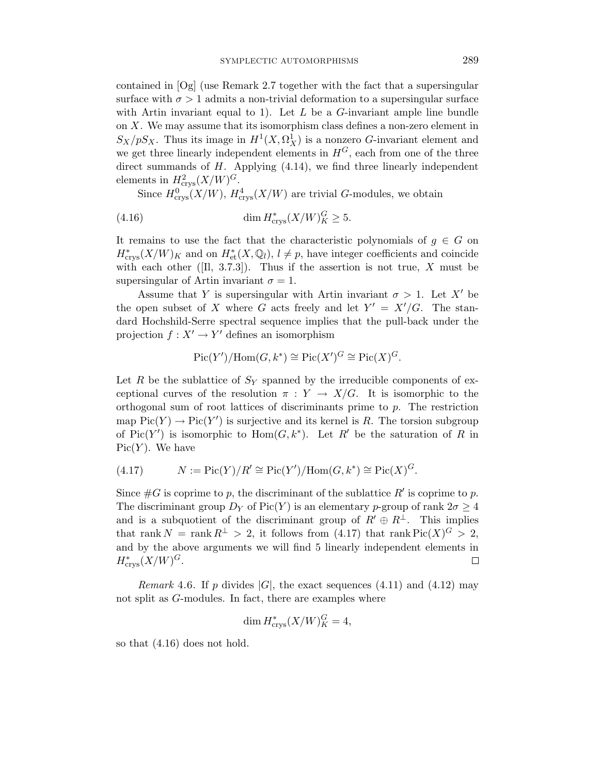contained in [Og] (use Remark 2.7 together with the fact that a supersingular surface with  $\sigma > 1$  admits a non-trivial deformation to a supersingular surface with Artin invariant equal to 1). Let  $L$  be a  $G$ -invariant ample line bundle on X. We may assume that its isomorphism class defines a non-zero element in  $S_X/pS_X$ . Thus its image in  $H^1(X, \Omega_X^1)$  is a nonzero *G*-invariant element and we get three linearly independent elements in  $H<sup>G</sup>$ , each from one of the three direct summands of  $H$ . Applying  $(4.14)$ , we find three linearly independent elements in  $H^2_{\text{crys}}(X/W)^G$ .

Since  $H_{\text{crys}}^0(X/W)$ ,  $H_{\text{crys}}^4(X/W)$  are trivial G-modules, we obtain

(4.16) 
$$
\dim H_{\text{crys}}^*(X/W)_K^G \geq 5.
$$

It remains to use the fact that the characteristic polynomials of  $g \in G$  on  $H_{\text{crys}}^*(X/W)_K$  and on  $H_{\text{et}}^*(X,\mathbb{Q}_l), l \neq p$ , have integer coefficients and coincide with each other ([II, 3.7.3]). Thus if the assertion is not true,  $X$  must be supersingular of Artin invariant  $\sigma = 1$ .

Assume that Y is supersingular with Artin invariant  $\sigma > 1$ . Let X' be the open subset of X where G acts freely and let  $Y' = X'/G$ . The standard Hochshild-Serre spectral sequence implies that the pull-back under the projection  $f: X' \to Y'$  defines an isomorphism

$$
Pic(Y')/Hom(G, k^*) \cong Pic(X')^G \cong Pic(X)^G.
$$

Let  $R$  be the sublattice of  $S_Y$  spanned by the irreducible components of exceptional curves of the resolution  $\pi : Y \to X/G$ . It is isomorphic to the orthogonal sum of root lattices of discriminants prime to p. The restriction map  $Pic(Y) \to Pic(Y')$  is surjective and its kernel is R. The torsion subgroup of Pic(Y') is isomorphic to  $Hom(G, k^*)$ . Let R' be the saturation of R in  $Pic(Y)$ . We have

(4.17) 
$$
N := \text{Pic}(Y)/R' \cong \text{Pic}(Y')/\text{Hom}(G, k^*) \cong \text{Pic}(X)^G.
$$

Since  $\#G$  is coprime to p, the discriminant of the sublattice R' is coprime to p. The discriminant group  $D_Y$  of Pic(Y) is an elementary p-group of rank  $2\sigma \geq 4$ and is a subquotient of the discriminant group of  $R' \oplus R^{\perp}$ . This implies that rank  $N = \text{rank } R^{\perp} > 2$ , it follows from (4.17) that rank  $\text{Pic}(X)^G > 2$ , and by the above arguments we will find 5 linearly independent elements in  $H_{\text{crys}}^*(X/W)^G$ .  $\Box$ 

*Remark* 4.6. If p divides  $|G|$ , the exact sequences (4.11) and (4.12) may not split as G-modules. In fact, there are examples where

$$
\dim H^*_{\text{crys}}(X/W)_K^G = 4,
$$

so that (4.16) does not hold.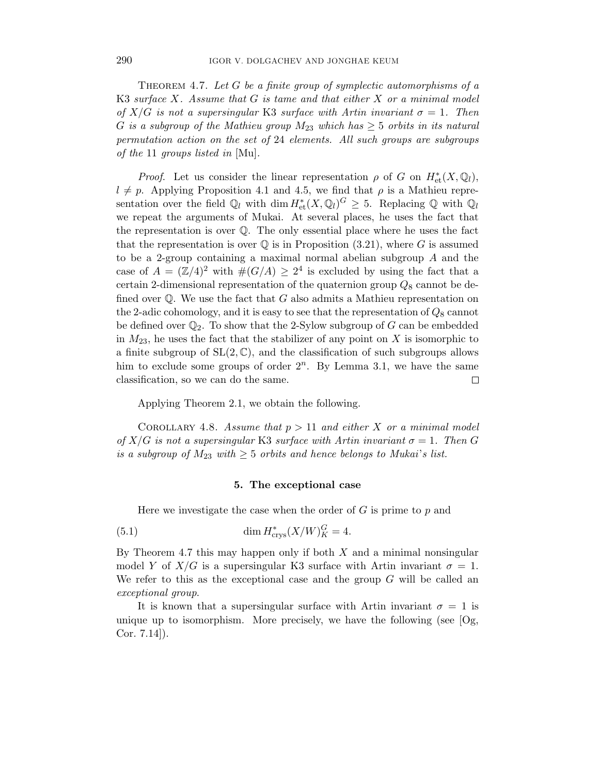THEOREM 4.7. Let  $G$  be a finite group of symplectic automorphisms of a K3 surface X. Assume that G is tame and that either X or a minimal model of  $X/G$  is not a supersingular K3 surface with Artin invariant  $\sigma = 1$ . Then G is a subgroup of the Mathieu group  $M_{23}$  which has  $\geq 5$  orbits in its natural permutation action on the set of 24 elements. All such groups are subgroups of the 11 groups listed in [Mu].

*Proof.* Let us consider the linear representation  $\rho$  of G on  $H^*_{\text{et}}(X,\mathbb{Q}_l)$ ,  $l \neq p$ . Applying Proposition 4.1 and 4.5, we find that  $\rho$  is a Mathieu representation over the field  $\mathbb{Q}_l$  with dim  $H^*_{\text{et}}(X, \mathbb{Q}_l)^G \geq 5$ . Replacing  $\mathbb{Q}$  with  $\mathbb{Q}_l$ we repeat the arguments of Mukai. At several places, he uses the fact that the representation is over Q. The only essential place where he uses the fact that the representation is over  $\mathbb Q$  is in Proposition (3.21), where G is assumed to be a 2-group containing a maximal normal abelian subgroup A and the case of  $A = (\mathbb{Z}/4)^2$  with  $\#(G/A) \geq 2^4$  is excluded by using the fact that a certain 2-dimensional representation of the quaternion group  $Q_8$  cannot be defined over  $\mathbb{Q}$ . We use the fact that G also admits a Mathieu representation on the 2-adic cohomology, and it is easy to see that the representation of  $Q_8$  cannot be defined over  $\mathbb{Q}_2$ . To show that the 2-Sylow subgroup of G can be embedded in  $M_{23}$ , he uses the fact that the stabilizer of any point on X is isomorphic to a finite subgroup of  $SL(2,\mathbb{C})$ , and the classification of such subgroups allows him to exclude some groups of order  $2^n$ . By Lemma 3.1, we have the same classification, so we can do the same.  $\Box$ 

Applying Theorem 2.1, we obtain the following.

COROLLARY 4.8. Assume that  $p > 11$  and either X or a minimal model of  $X/G$  is not a supersingular K3 surface with Artin invariant  $\sigma = 1$ . Then G is a subgroup of  $M_{23}$  with  $\geq 5$  orbits and hence belongs to Mukai's list.

#### 5. The exceptional case

Here we investigate the case when the order of  $G$  is prime to  $p$  and

(5.1) 
$$
\dim H_{\text{crys}}^*(X/W)_K^G = 4.
$$

By Theorem 4.7 this may happen only if both  $X$  and a minimal nonsingular model Y of  $X/G$  is a supersingular K3 surface with Artin invariant  $\sigma = 1$ . We refer to this as the exceptional case and the group  $G$  will be called an exceptional group.

It is known that a supersingular surface with Artin invariant  $\sigma = 1$  is unique up to isomorphism. More precisely, we have the following (see  $[Og,$ Cor. 7.14]).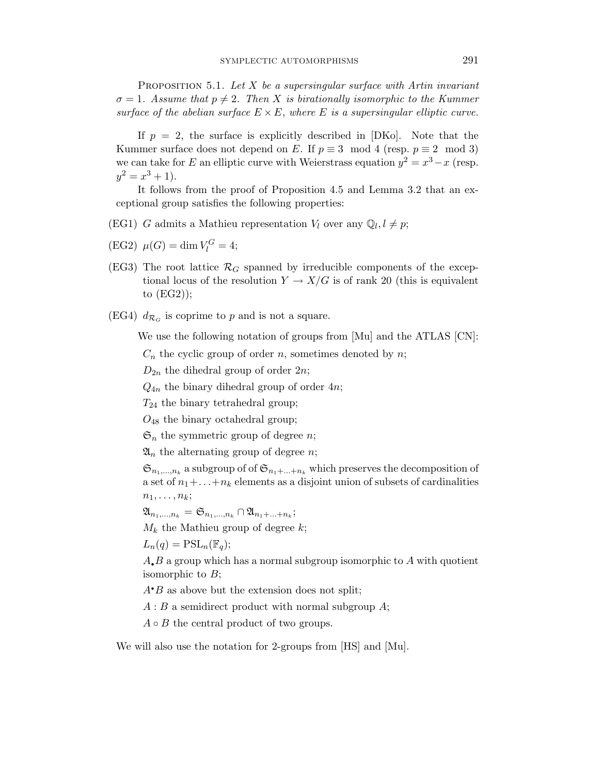PROPOSITION 5.1. Let  $X$  be a supersingular surface with Artin invariant  $\sigma = 1$ . Assume that  $p \neq 2$ . Then X is birationally isomorphic to the Kummer surface of the abelian surface  $E \times E$ , where E is a supersingular elliptic curve.

If  $p = 2$ , the surface is explicitly described in [DKo]. Note that the Kummer surface does not depend on E. If  $p \equiv 3 \mod 4$  (resp.  $p \equiv 2 \mod 3$ ) we can take for E an elliptic curve with Weierstrass equation  $y^2 = x^3 - x$  (resp.  $y^2 = x^3 + 1$ .

It follows from the proof of Proposition 4.5 and Lemma 3.2 that an exceptional group satisfies the following properties:

- (EG1) G admits a Mathieu representation  $V_l$  over any  $\mathbb{Q}_l, l \neq p$ ;
- $(EG2) \mu(G) = \dim V_l^G = 4;$
- (EG3) The root lattice  $\mathcal{R}_G$  spanned by irreducible components of the exceptional locus of the resolution  $Y \to X/G$  is of rank 20 (this is equivalent to (EG2));
- (EG4)  $d_{\mathcal{R}_G}$  is coprime to p and is not a square.

We use the following notation of groups from [Mu] and the ATLAS [CN]:

 $C_n$  the cyclic group of order n, sometimes denoted by n;

 $D_{2n}$  the dihedral group of order  $2n$ ;

 $Q_{4n}$  the binary dihedral group of order  $4n$ ;

 $T_{24}$  the binary tetrahedral group;

 $O_{48}$  the binary octahedral group;

 $\mathfrak{S}_n$  the symmetric group of degree *n*;

 $\mathfrak{A}_n$  the alternating group of degree *n*;

 $\mathfrak{S}_{n_1,...,n_k}$  a subgroup of of  $\mathfrak{S}_{n_1+...+n_k}$  which preserves the decomposition of a set of  $n_1 + \ldots + n_k$  elements as a disjoint union of subsets of cardinalities  $n_1, \ldots, n_k;$ 

 $\mathfrak{A}_{n_1,...,n_k}=\mathfrak{S}_{n_1,...,n_k}\cap\mathfrak{A}_{n_1+...+n_k};$ 

 $M_k$  the Mathieu group of degree k;

 $L_n(q) = \text{PSL}_n(\mathbb{F}_q);$ 

 $A_{\bullet}B$  a group which has a normal subgroup isomorphic to A with quotient isomorphic to  $B$ ;

 $A^{\bullet}B$  as above but the extension does not split;

 $A : B$  a semidirect product with normal subgroup  $A$ ;

 $A \circ B$  the central product of two groups.

We will also use the notation for 2-groups from [HS] and [Mu].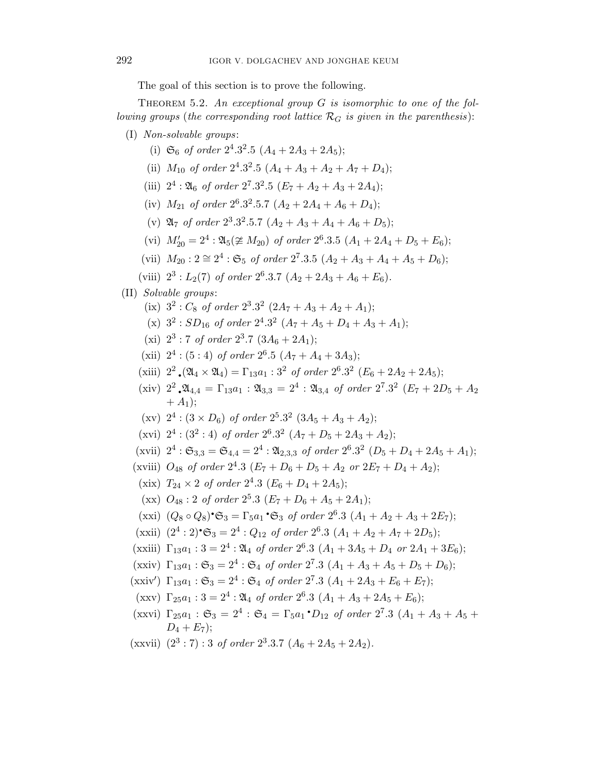The goal of this section is to prove the following.

THEOREM 5.2. An exceptional group  $G$  is isomorphic to one of the following groups (the corresponding root lattice  $\mathcal{R}_G$  is given in the parenthesis):

# (I) Non-solvable groups:

- (i)  $\mathfrak{S}_6$  of order  $2^4.3^2.5$   $(A_4 + 2A_3 + 2A_5);$
- (ii)  $M_{10}$  of order  $2^4.3^2.5$   $(A_4 + A_3 + A_2 + A_7 + D_4);$
- (iii)  $2^4$  :  $\mathfrak{A}_6$  of order  $2^7 \cdot 3^2 \cdot 5$   $(E_7 + A_2 + A_3 + 2A_4);$
- (iv)  $M_{21}$  of order  $2^6.3^2.5.7$   $(A_2 + 2A_4 + A_6 + D_4);$
- (v)  $\mathfrak{A}_7$  of order  $2^3.3^2.5.7$   $(A_2 + A_3 + A_4 + A_6 + D_5);$
- (vi)  $M'_{20} = 2^4 : \mathfrak{A}_5(\not\cong M_{20})$  of order  $2^6.3.5$   $(A_1 + 2A_4 + D_5 + E_6);$
- (vii)  $M_{20}$ :  $2 \cong 2^4$ :  $\mathfrak{S}_5$  of order  $2^7.3.5$   $(A_2 + A_3 + A_4 + A_5 + D_6);$
- (viii)  $2^3$ :  $L_2(7)$  of order  $2^6.3.7$   $(A_2 + 2A_3 + A_6 + E_6)$ .

# (II) Solvable groups:

- (ix)  $3^2$ :  $C_8$  of order  $2^3 \cdot 3^2$   $(2A_7 + A_3 + A_2 + A_1);$
- (x)  $3^2$ :  $SD_{16}$  of order  $2^4.3^2$   $(A_7 + A_5 + D_4 + A_3 + A_1);$
- (xi)  $2^3$ : 7 of order  $2^3.7$   $(3A_6 + 2A_1);$
- (xii)  $2^4$  : (5 : 4) of order  $2^6.5$   $(A_7 + A_4 + 3A_3);$
- (xiii)  $2^2 \cdot (24 \times 24) = \Gamma_{13} a_1 : 3^2 \text{ of order } 2^6 \cdot 3^2 (E_6 + 2A_2 + 2A_5);$
- (xiv)  $2^2 \cdot \mathfrak{A}_{4,4} = \Gamma_{13} a_1 : \mathfrak{A}_{3,3} = 2^4 : \mathfrak{A}_{3,4}$  of order  $2^7 \cdot 3^2 (E_7 + 2D_5 + A_2)$  $+A_1$ :
- (xv)  $2^4$  :  $(3 \times D_6)$  of order  $2^5.3^2$   $(3A_5 + A_3 + A_2);$
- (xvi)  $2^4$  : (3<sup>2</sup> : 4) of order  $2^6 \cdot 3^2 (A_7 + D_5 + 2A_3 + A_2);$
- (xvii)  $2^4$ :  $\mathfrak{S}_{3,3} = \mathfrak{S}_{4,4} = 2^4$ :  $\mathfrak{A}_{2,3,3}$  of order  $2^6 \cdot 3^2$   $(D_5 + D_4 + 2A_5 + A_1);$
- (xviii)  $O_{48}$  of order  $2^4.3$   $(E_7 + D_6 + D_5 + A_2$  or  $2E_7 + D_4 + A_2$ );
- (xix)  $T_{24} \times 2$  of order  $2^4.3$   $(E_6 + D_4 + 2A_5);$
- (xx)  $O_{48}$ : 2 of order  $2^5.3$   $(E_7 + D_6 + A_5 + 2A_1);$
- $(xxi)$   $(Q_8 \circ Q_8) \cdot \mathfrak{S}_3 = \Gamma_5 a_1 \cdot \mathfrak{S}_3$  of order  $2^6 \cdot 3 (A_1 + A_2 + A_3 + 2E_7);$
- $(xxii)$   $(2^4:2) \cdot \mathfrak{S}_3 = 2^4: Q_{12}$  of order  $2^6.3 (A_1 + A_2 + A_7 + 2D_5);$
- (xxiii)  $\Gamma_{13}a_1: 3 = 2^4: \mathfrak{A}_4$  of order  $2^6.3$   $(A_1 + 3A_5 + D_4$  or  $2A_1 + 3E_6);$
- (xxiv)  $\Gamma_{13}a_1 : \mathfrak{S}_3 = 2^4 : \mathfrak{S}_4$  of order  $2^7.3$   $(A_1 + A_3 + A_5 + D_5 + D_6);$
- $(xxi)'$   $\Gamma_{13}a_1 : \mathfrak{S}_3 = 2^4 : \mathfrak{S}_4$  of order  $2^7.3$   $(A_1 + 2A_3 + E_6 + E_7);$
- $(xxy) \Gamma_{25}a_1: 3 = 2^4: \mathfrak{A}_4$  of order  $2^6.3 (A_1 + A_3 + 2A_5 + E_6);$
- (xxvi)  $\Gamma_{25}a_1 : \mathfrak{S}_3 = 2^4 : \mathfrak{S}_4 = \Gamma_5 a_1 \cdot D_{12}$  of order  $2^7.3$   $(A_1 + A_3 + A_5 + A_6)$  $D_4 + E_7$ :
- (xxvii)  $(2^3 : 7) : 3$  of order  $2^3 \cdot 3 \cdot 7$   $(A_6 + 2A_5 + 2A_2)$ .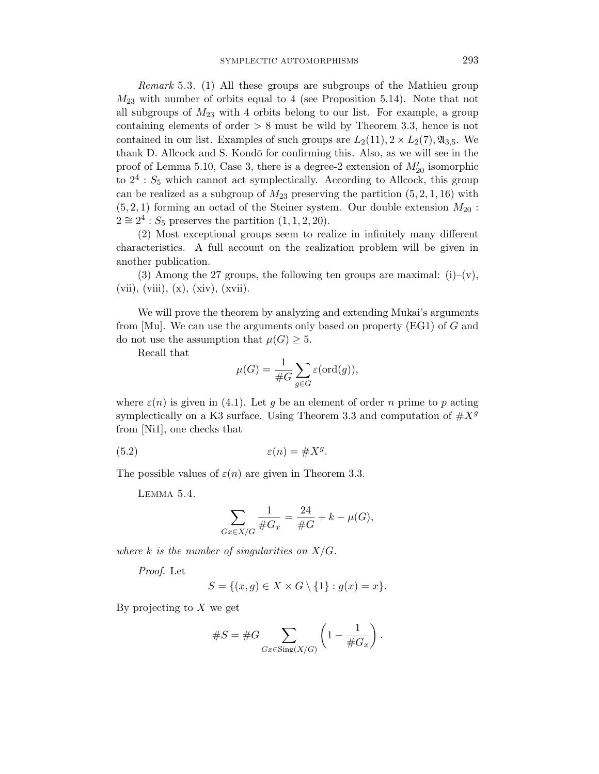Remark 5.3. (1) All these groups are subgroups of the Mathieu group  $M_{23}$  with number of orbits equal to 4 (see Proposition 5.14). Note that not all subgroups of  $M_{23}$  with 4 orbits belong to our list. For example, a group containing elements of order  $> 8$  must be wild by Theorem 3.3, hence is not contained in our list. Examples of such groups are  $L_2(11), 2 \times L_2(7), \mathfrak{A}_{3,5}$ . We thank D. Allcock and S. Kondō for confirming this. Also, as we will see in the proof of Lemma 5.10, Case 3, there is a degree-2 extension of  $M'_{20}$  isomorphic to  $2^4$ :  $S_5$  which cannot act symplectically. According to Allcock, this group can be realized as a subgroup of  $M_{23}$  preserving the partition  $(5, 2, 1, 16)$  with  $(5, 2, 1)$  forming an octad of the Steiner system. Our double extension  $M_{20}$ :  $2 \approx 2^4$ :  $S_5$  preserves the partition  $(1, 1, 2, 20)$ .

(2) Most exceptional groups seem to realize in infinitely many different characteristics. A full account on the realization problem will be given in another publication.

(3) Among the 27 groups, the following ten groups are maximal:  $(i)-(v)$ ,  $(vii)$ ,  $(viii)$ ,  $(x)$ ,  $(xiv)$ ,  $(xvii)$ .

We will prove the theorem by analyzing and extending Mukai's arguments from  $[Mu]$ . We can use the arguments only based on property (EG1) of G and do not use the assumption that  $\mu(G) \geq 5$ .

Recall that

$$
\mu(G) = \frac{1}{\#G} \sum_{g \in G} \varepsilon(\text{ord}(g)),
$$

where  $\varepsilon(n)$  is given in (4.1). Let g be an element of order n prime to p acting symplectically on a K3 surface. Using Theorem 3.3 and computation of  $\#X^g$ from [Ni1], one checks that

$$
(5.2) \qquad \qquad \varepsilon(n) = \#X^g.
$$

The possible values of  $\varepsilon(n)$  are given in Theorem 3.3.

Lemma 5.4.

$$
\sum_{Gx \in X/G} \frac{1}{\#G_x} = \frac{24}{\#G} + k - \mu(G),
$$

where k is the number of singularities on  $X/G$ .

Proof. Let

$$
S = \{(x, g) \in X \times G \setminus \{1\} : g(x) = x\}.
$$

By projecting to  $X$  we get

#S = #G X Gx∈Sing(X/G) 1 − 1 #G<sup>x</sup> .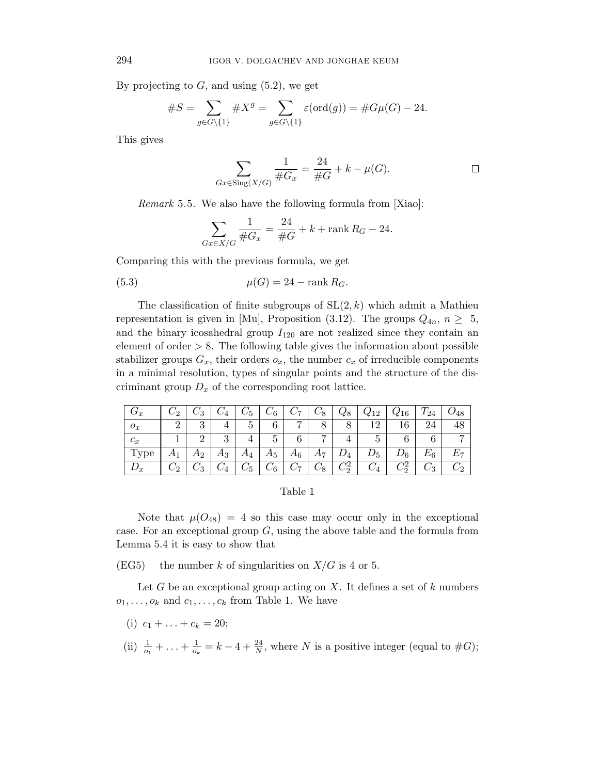By projecting to  $G$ , and using  $(5.2)$ , we get

#S = X g∈G\{1} #X<sup>g</sup> = X g∈G\{1} ε(ord(g)) = #Gµ(G) − 24.

This gives

$$
\sum_{Gx \in \text{Sing}(X/G)} \frac{1}{\#G_x} = \frac{24}{\#G} + k - \mu(G).
$$

Remark 5.5. We also have the following formula from [Xiao]:

$$
\sum_{Gx \in X/G} \frac{1}{\#G_x} = \frac{24}{\#G} + k + \text{rank } R_G - 24.
$$

Comparing this with the previous formula, we get

$$
\mu(G) = 24 - \text{rank } R_G.
$$

The classification of finite subgroups of  $SL(2, k)$  which admit a Mathieu representation is given in [Mu], Proposition (3.12). The groups  $Q_{4n}$ ,  $n \geq 5$ , and the binary icosahedral group  $I_{120}$  are not realized since they contain an element of order  $> 8$ . The following table gives the information about possible stabilizer groups  $G_x$ , their orders  $o_x$ , the number  $c_x$  of irreducible components in a minimal resolution, types of singular points and the structure of the discriminant group  $D_x$  of the corresponding root lattice.

|       |                   |                |                |                 |          |           |                        | $C_2   C_3   C_4   C_5   C_6   C_7   C_8   Q_8   Q_{12}   Q_{16}   T_{24}   Q_{48}$                                                                                       |                 |       |  |
|-------|-------------------|----------------|----------------|-----------------|----------|-----------|------------------------|---------------------------------------------------------------------------------------------------------------------------------------------------------------------------|-----------------|-------|--|
| $O_x$ | $-2$ <sup>+</sup> | 3 <sup>1</sup> |                | $4 \mid 5 \mid$ |          | 6   7   8 |                        | 8 12                                                                                                                                                                      | 16 <sup>1</sup> | 24    |  |
| $c_x$ |                   | 2 <sup>1</sup> | 3 <sup>1</sup> | $4\vert$        | $5 \mid$ |           | $6 \mid 7 \mid 4 \mid$ | 5 <sup>1</sup>                                                                                                                                                            | 6 <sup>1</sup>  | 6     |  |
| Type  |                   |                |                |                 |          |           |                        | $\parallel A_1 \parallel A_2 \parallel A_3 \parallel A_4 \parallel A_5 \parallel A_6 \parallel A_7 \parallel D_4 \parallel D_5 \parallel D_6 \parallel E_6 \parallel E_7$ |                 |       |  |
|       |                   |                |                |                 |          |           |                        | $C_2 \mid C_3 \mid C_4 \mid C_5 \mid C_6 \mid C_7 \mid C_8 \mid C_2^2 \mid C_4 \mid$                                                                                      | $C_2^2$         | $C_3$ |  |

## Table 1

Note that  $\mu(O_{48}) = 4$  so this case may occur only in the exceptional case. For an exceptional group  $G$ , using the above table and the formula from Lemma 5.4 it is easy to show that

(EG5) the number k of singularities on  $X/G$  is 4 or 5.

Let G be an exceptional group acting on  $X$ . It defines a set of  $k$  numbers  $o_1, \ldots, o_k$  and  $c_1, \ldots, c_k$  from Table 1. We have

- (i)  $c_1 + \ldots + c_k = 20;$
- (ii)  $\frac{1}{o_1} + \ldots + \frac{1}{o_n}$  $\frac{1}{\sigma_k} = k - 4 + \frac{24}{N}$ , where N is a positive integer (equal to  $#G$ );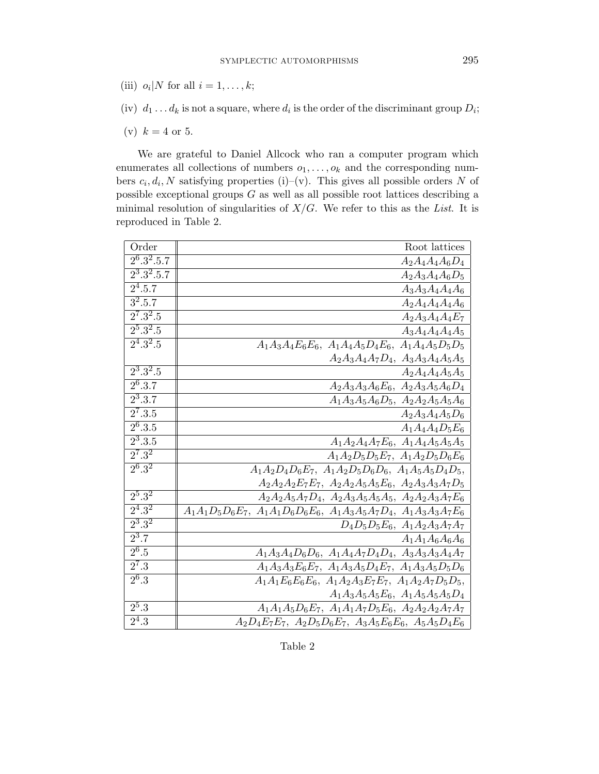- (iii)  $o_i|N$  for all  $i = 1, \ldots, k;$
- (iv)  $d_1 \ldots d_k$  is not a square, where  $d_i$  is the order of the discriminant group  $D_i$ ;
- (v)  $k = 4$  or 5.

We are grateful to Daniel Allcock who ran a computer program which enumerates all collections of numbers  $o_1, \ldots, o_k$  and the corresponding numbers  $c_i, d_i, N$  satisfying properties (i)–(v). This gives all possible orders N of possible exceptional groups  $G$  as well as all possible root lattices describing a minimal resolution of singularities of  $X/G$ . We refer to this as the List. It is reproduced in Table 2.

| Order                  | Root lattices                                                                 |
|------------------------|-------------------------------------------------------------------------------|
| $2^6.3^2.5.7$          | $A_2A_4A_4A_6D_4$                                                             |
| $2^3.3^2.5.7$          | $A_2A_3A_4A_6D_5$                                                             |
| $\overline{2}^{4}.5.7$ | $A_3A_3A_4A_4A_6$                                                             |
| $3^2.5.7$              | $\overline{A}_2A_4A_4A_4A_6$                                                  |
| $2^7.3^2.5$            | $A_2A_3A_4A_4E_7$                                                             |
| $\overline{2^5.3^2.5}$ | $A_3A_4A_4A_4A_5$                                                             |
| $2^4.3^2.5$            | $A_1A_3A_4E_6E_6$ , $A_1A_4A_5D_4E_6$ , $A_1A_4A_5D_5D_5$                     |
|                        | $A_2A_3A_4A_7D_4$ , $A_3A_3A_4A_5A_5$                                         |
| $2^3.3^2.5$            | $A_2A_4A_4A_5A_5$                                                             |
| $2^6.3.7$              | $A_2A_3A_3A_6E_6$ , $A_2A_3A_5A_6D_4$                                         |
| $\overline{2^3.3.7}$   | $A_1A_3A_5A_6D_5$ , $A_2A_2A_5A_5A_6$                                         |
| $2^7.3.5$              | $A_2A_3A_4A_5D_6$                                                             |
| $2^6.3.5$              | $A_1A_4A_4D_5E_6$                                                             |
| $\overline{2^3.3.5}$   | $A_1A_2A_4A_7E_6$ , $A_1A_4A_5A_5A_5$                                         |
| $2^7.3^2$              | $A_1A_2D_5D_5E_7$ , $A_1A_2D_5D_6E_6$                                         |
| $2^6.3^2$              | $A_1A_2D_4D_6E_7$ , $A_1A_2D_5D_6D_6$ , $A_1A_5A_5D_4D_5$ ,                   |
|                        | $A_2A_2A_2E_7E_7$ , $A_2A_2A_5A_5E_6$ , $A_2A_3A_3A_7D_5$                     |
| $2^5.3^2$              | $A_2A_2A_5A_7D_4$ , $A_2A_3A_5A_5A_5$ , $A_2A_2A_3A_7E_6$                     |
| $2^4.3^2$              | $A_1A_1D_5D_6E_7$ , $A_1A_1D_6D_6E_6$ , $A_1A_3A_5A_7D_4$ , $A_1A_3A_3A_7E_6$ |
| $2^3.3^2$              | $D_4D_5D_5E_6$ , $A_1A_2A_3A_7A_7$                                            |
| $2^3.7$                | $A_1A_1A_6A_6A_6$                                                             |
| $\overline{2^6.5}$     | $A_1A_3A_4D_6D_6$ , $A_1A_4A_7D_4D_4$ , $A_3A_3A_3A_4A_7$                     |
| $2^7.3$                | $A_1A_3A_3E_6E_7$ , $A_1A_3A_5D_4E_7$ , $A_1A_3A_5D_5D_6$                     |
| $2^6.3$                | $A_1A_1E_6E_6E_6$ , $A_1A_2A_3E_7E_7$ , $A_1A_2A_7D_5D_5$ ,                   |
|                        | $A_1A_3A_5A_5E_6$ , $A_1A_5A_5A_5D_4$                                         |
| $2^5.3$                | $A_1A_1A_5D_6E_7$ , $A_1A_1A_7D_5E_6$ , $A_2A_2A_2A_7A_7$                     |
| $2^4.3$                | $A_2D_4E_7E_7$ , $A_2D_5D_6E_7$ , $A_3A_5E_6E_6$ , $A_5A_5D_4E_6$             |

Table 2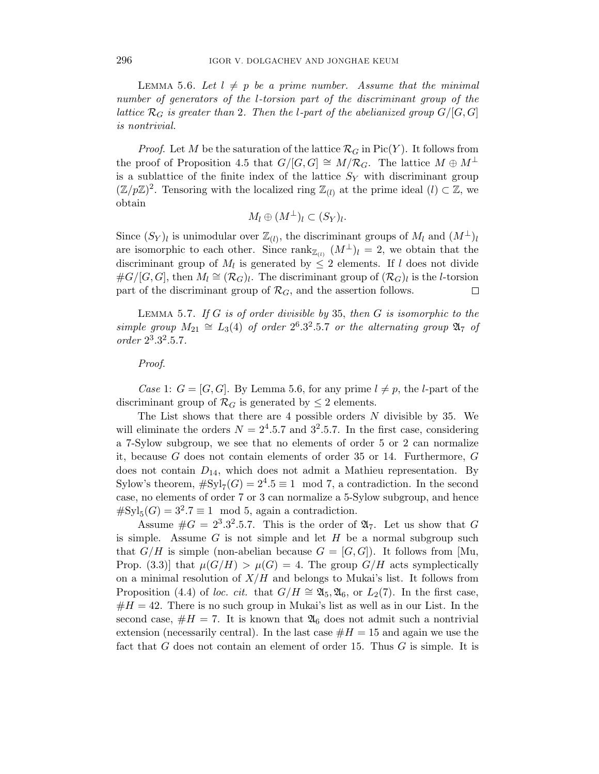LEMMA 5.6. Let  $l \neq p$  be a prime number. Assume that the minimal number of generators of the l-torsion part of the discriminant group of the lattice  $\mathcal{R}_G$  is greater than 2. Then the l-part of the abelianized group  $G/[G, G]$ is nontrivial.

*Proof.* Let M be the saturation of the lattice  $\mathcal{R}_G$  in Pic $(Y)$ . It follows from the proof of Proposition 4.5 that  $G/[G, G] \cong M/R_G$ . The lattice  $M \oplus M^{\perp}$ is a sublattice of the finite index of the lattice  $S_Y$  with discriminant group  $(\mathbb{Z}/p\mathbb{Z})^2$ . Tensoring with the localized ring  $\mathbb{Z}_{(l)}$  at the prime ideal  $(l) \subset \mathbb{Z}$ , we obtain

$$
M_l \oplus (M^{\perp})_l \subset (S_Y)_l.
$$

Since  $(S_Y)_l$  is unimodular over  $\mathbb{Z}_{(l)}$ , the discriminant groups of  $M_l$  and  $(M^{\perp})_l$ are isomorphic to each other. Since  $\text{rank}_{\mathbb{Z}_{(l)}} (M^{\perp})_l = 2$ , we obtain that the discriminant group of  $M_l$  is generated by  $\leq 2$  elements. If l does not divide  $\#G/[G,G]$ , then  $M_l \cong (\mathcal{R}_G)_l$ . The discriminant group of  $(\mathcal{R}_G)_l$  is the l-torsion part of the discriminant group of  $\mathcal{R}_G$ , and the assertion follows.  $\Box$ 

LEMMA 5.7. If G is of order divisible by 35, then  $G$  is isomorphic to the simple group  $M_{21} \cong L_3(4)$  of order  $2^6 \cdot 3^2 \cdot 5 \cdot 7$  or the alternating group  $\mathfrak{A}_7$  of order  $2^3.3^2.5.7$ .

## Proof.

Case 1:  $G = [G, G]$ . By Lemma 5.6, for any prime  $l \neq p$ , the l-part of the discriminant group of  $\mathcal{R}_G$  is generated by  $\leq 2$  elements.

The List shows that there are 4 possible orders  $N$  divisible by 35. We will eliminate the orders  $N = 2<sup>4</sup>$ .5.7 and  $3<sup>2</sup>$ .5.7. In the first case, considering a 7-Sylow subgroup, we see that no elements of order 5 or 2 can normalize it, because G does not contain elements of order 35 or 14. Furthermore, G does not contain  $D_{14}$ , which does not admit a Mathieu representation. By Sylow's theorem,  $\#\text{Syl}_7(G) = 2^4.5 \equiv 1 \mod 7$ , a contradiction. In the second case, no elements of order 7 or 3 can normalize a 5-Sylow subgroup, and hence  $\# \text{Syl}_5(G) = 3^2.7 \equiv 1 \mod 5$ , again a contradiction.

Assume  $\#G = 2^3 \cdot 3^2 \cdot 5 \cdot 7$ . This is the order of  $\mathfrak{A}_7$ . Let us show that G is simple. Assume  $G$  is not simple and let  $H$  be a normal subgroup such that  $G/H$  is simple (non-abelian because  $G = [G, G]$ ). It follows from [Mu, Prop. (3.3)] that  $\mu(G/H) > \mu(G) = 4$ . The group  $G/H$  acts symplectically on a minimal resolution of  $X/H$  and belongs to Mukai's list. It follows from Proposition (4.4) of loc. cit. that  $G/H \cong \mathfrak{A}_5, \mathfrak{A}_6$ , or  $L_2(7)$ . In the first case,  $#H = 42$ . There is no such group in Mukai's list as well as in our List. In the second case,  $#H = 7$ . It is known that  $\mathfrak{A}_6$  does not admit such a nontrivial extension (necessarily central). In the last case  $\#H = 15$  and again we use the fact that G does not contain an element of order 15. Thus G is simple. It is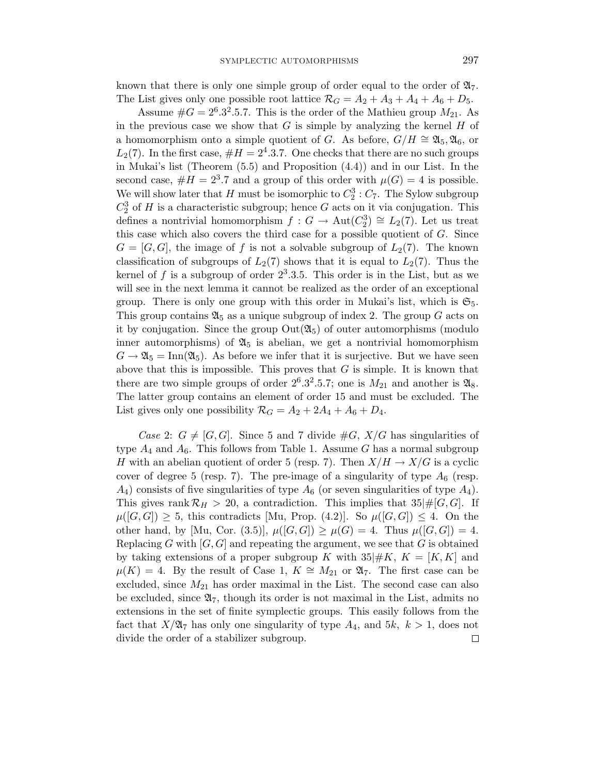known that there is only one simple group of order equal to the order of  $\mathfrak{A}_7$ . The List gives only one possible root lattice  $\mathcal{R}_G = A_2 + A_3 + A_4 + A_6 + D_5$ .

Assume  $\#G = 2^6 \cdot 3^2 \cdot 5 \cdot 7$ . This is the order of the Mathieu group  $M_{21}$ . As in the previous case we show that  $G$  is simple by analyzing the kernel  $H$  of a homomorphism onto a simple quotient of G. As before,  $G/H \cong \mathfrak{A}_5, \mathfrak{A}_6$ , or  $L_2(7)$ . In the first case,  $#H = 2^4.3.7$ . One checks that there are no such groups in Mukai's list (Theorem (5.5) and Proposition (4.4)) and in our List. In the second case,  $#H = 2<sup>3</sup>$ .7 and a group of this order with  $\mu(G) = 4$  is possible. We will show later that H must be isomorphic to  $C_2^3$  :  $C_7$ . The Sylow subgroup  $C_2^3$  of H is a characteristic subgroup; hence G acts on it via conjugation. This defines a nontrivial homomorphism  $f: G \to \text{Aut}(C_2^3) \cong L_2(7)$ . Let us treat this case which also covers the third case for a possible quotient of  $G$ . Since  $G = [G, G]$ , the image of f is not a solvable subgroup of  $L_2(7)$ . The known classification of subgroups of  $L_2(7)$  shows that it is equal to  $L_2(7)$ . Thus the kernel of  $f$  is a subgroup of order  $2^3.3.5$ . This order is in the List, but as we will see in the next lemma it cannot be realized as the order of an exceptional group. There is only one group with this order in Mukai's list, which is  $\mathfrak{S}_5$ . This group contains  $\mathfrak{A}_5$  as a unique subgroup of index 2. The group G acts on it by conjugation. Since the group  $Out(\mathfrak{A}_5)$  of outer automorphisms (modulo inner automorphisms) of  $\mathfrak{A}_5$  is abelian, we get a nontrivial homomorphism  $G \to \mathfrak{A}_5 = \text{Inn}(\mathfrak{A}_5)$ . As before we infer that it is surjective. But we have seen above that this is impossible. This proves that  $G$  is simple. It is known that there are two simple groups of order  $2^6 \cdot 3^2 \cdot 5 \cdot 7$ ; one is  $M_{21}$  and another is  $\mathfrak{A}_8$ . The latter group contains an element of order 15 and must be excluded. The List gives only one possibility  $\mathcal{R}_G = A_2 + 2A_4 + A_6 + D_4$ .

Case 2:  $G \neq [G, G]$ . Since 5 and 7 divide  $\#G$ ,  $X/G$  has singularities of type  $A_4$  and  $A_6$ . This follows from Table 1. Assume G has a normal subgroup H with an abelian quotient of order 5 (resp. 7). Then  $X/H \to X/G$  is a cyclic cover of degree 5 (resp. 7). The pre-image of a singularity of type  $A_6$  (resp.  $A_4$ ) consists of five singularities of type  $A_6$  (or seven singularities of type  $A_4$ ). This gives rank  $\mathcal{R}_H > 20$ , a contradiction. This implies that  $35 \# [G, G]$ . If  $\mu([G, G]) \geq 5$ , this contradicts [Mu, Prop. (4.2)]. So  $\mu([G, G]) \leq 4$ . On the other hand, by [Mu, Cor. (3.5)],  $\mu([G, G]) \geq \mu(G) = 4$ . Thus  $\mu([G, G]) = 4$ . Replacing G with  $[G, G]$  and repeating the argument, we see that G is obtained by taking extensions of a proper subgroup K with  $35\#K$ ,  $K = [K, K]$  and  $\mu(K) = 4$ . By the result of Case 1,  $K \cong M_{21}$  or  $\mathfrak{A}_7$ . The first case can be excluded, since  $M_{21}$  has order maximal in the List. The second case can also be excluded, since  $\mathfrak{A}_7$ , though its order is not maximal in the List, admits no extensions in the set of finite symplectic groups. This easily follows from the fact that  $X/\mathfrak{A}_7$  has only one singularity of type  $A_4$ , and  $5k$ ,  $k > 1$ , does not divide the order of a stabilizer subgroup. $\Box$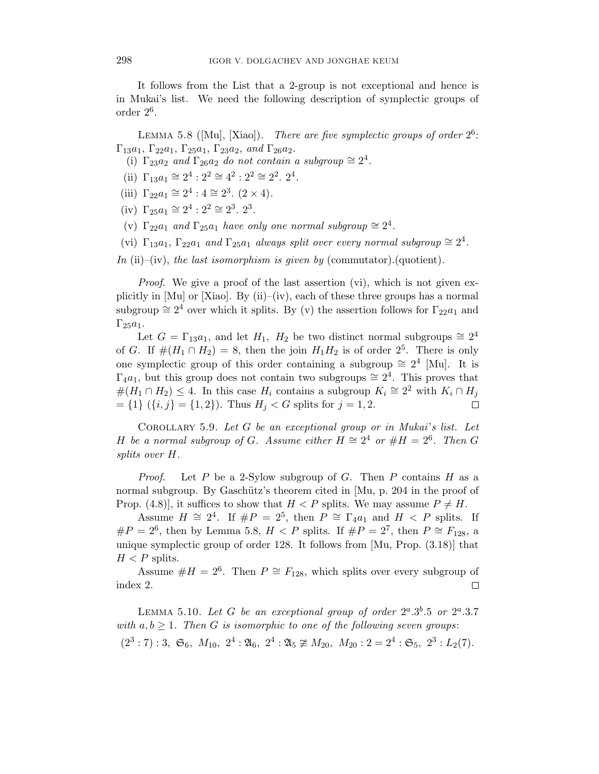It follows from the List that a 2-group is not exceptional and hence is in Mukai's list. We need the following description of symplectic groups of order 2<sup>6</sup> .

LEMMA 5.8 ([Mu], [Xiao]). There are five symplectic groups of order  $2^6$ :  $\Gamma_{13}a_1, \Gamma_{22}a_1, \Gamma_{25}a_1, \Gamma_{23}a_2, \text{ and } \Gamma_{26}a_2.$ 

- (i)  $\Gamma_{23}a_2$  and  $\Gamma_{26}a_2$  do not contain a subgroup  $\cong 2^4$ .
- (ii)  $\Gamma_{13}a_1 \cong 2^4 : 2^2 \cong 4^2 : 2^2 \cong 2^2$ .  $2^4$ .
- (iii)  $\Gamma_{22}a_1 \cong 2^4 : 4 \cong 2^3$ .  $(2 \times 4)$ .
- (iv)  $\Gamma_{25}a_1 \cong 2^4 : 2^2 \cong 2^3$ .  $2^3$ .
- (v)  $\Gamma_{22}a_1$  and  $\Gamma_{25}a_1$  have only one normal subgroup  $\cong 2^4$ .
- (vi)  $\Gamma_{13}a_1, \Gamma_{22}a_1$  and  $\Gamma_{25}a_1$  always split over every normal subgroup  $\cong 2^4$ .
- In (ii)–(iv), the last isomorphism is given by (commutator).(quotient).

*Proof.* We give a proof of the last assertion (vi), which is not given explicitly in [Mu] or [Xiao]. By (ii)–(iv), each of these three groups has a normal subgroup  $\approx 2^4$  over which it splits. By (v) the assertion follows for  $\Gamma_{22}a_1$  and  $\Gamma_{25}a_1$ .

Let  $G = \Gamma_{13}a_1$ , and let  $H_1$ ,  $H_2$  be two distinct normal subgroups  $\cong 2^4$ of G. If  $\#(H_1 \cap H_2) = 8$ , then the join  $H_1 H_2$  is of order  $2^5$ . There is only one symplectic group of this order containing a subgroup  $\cong 2^4$  [Mu]. It is  $\Gamma_4a_1$ , but this group does not contain two subgroups  $\cong 2^4$ . This proves that  $\#(H_1 \cap H_2) \leq 4$ . In this case  $H_i$  contains a subgroup  $K_i \cong 2^2$  with  $K_i \cap H_j$  $=\{1\}$   $(\{i, j\} = \{1, 2\})$ . Thus  $H_j < G$  splits for  $j = 1, 2$ .  $\Box$ 

COROLLARY 5.9. Let  $G$  be an exceptional group or in Mukai's list. Let H be a normal subgroup of G. Assume either  $H \cong 2^4$  or  $#H = 2^6$ . Then G splits over H.

*Proof.* Let P be a 2-Sylow subgroup of G. Then P contains H as a normal subgroup. By Gaschütz's theorem cited in [Mu, p. 204 in the proof of Prop. (4.8)], it suffices to show that  $H < P$  splits. We may assume  $P \neq H$ .

Assume  $H \cong 2^4$ . If  $\#P = 2^5$ , then  $P \cong \Gamma_4 a_1$  and  $H \lt P$  splits. If  $\#P = 2^6$ , then by Lemma 5.8,  $H < P$  splits. If  $\#P = 2^7$ , then  $P \cong F_{128}$ , a unique symplectic group of order 128. It follows from [Mu, Prop. (3.18)] that  $H < P$  splits.

Assume  $#H = 2<sup>6</sup>$ . Then  $P \cong F_{128}$ , which splits over every subgroup of index 2.  $\Box$ 

LEMMA 5.10. Let G be an exceptional group of order  $2^a \cdot 3^b \cdot 5$  or  $2^a \cdot 3 \cdot 7$ with  $a, b \geq 1$ . Then G is isomorphic to one of the following seven groups:

 $(2^3:7):3, \mathfrak{S}_6, M_{10}, 2^4: \mathfrak{A}_6, 2^4: \mathfrak{A}_5 \ncong M_{20}, M_{20}: 2 = 2^4: \mathfrak{S}_5, 2^3: L_2(7).$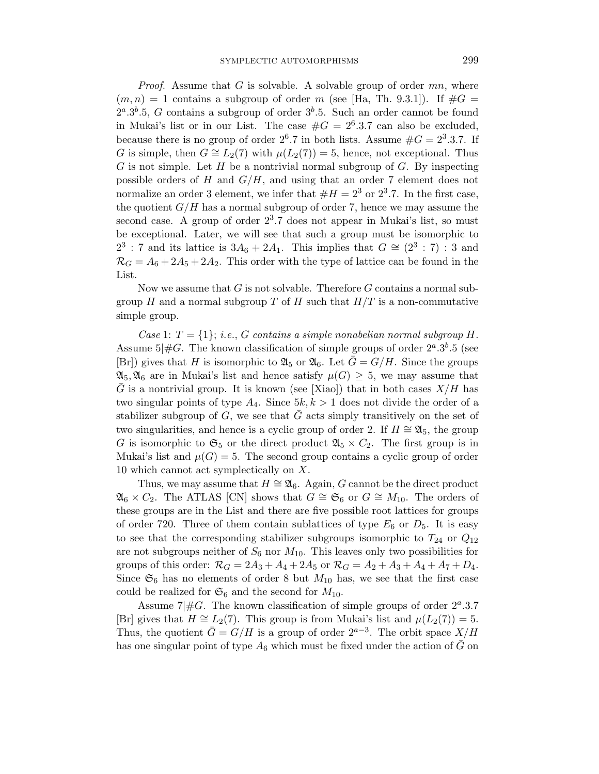*Proof.* Assume that G is solvable. A solvable group of order  $mn$ , where  $(m, n) = 1$  contains a subgroup of order m (see [Ha, Th. 9.3.1]). If  $#G =$  $2^a \cdot 3^b \cdot 5$ , G contains a subgroup of order  $3^b \cdot 5$ . Such an order cannot be found in Mukai's list or in our List. The case  $\#G = 2^6 \cdot 3.7$  can also be excluded, because there is no group of order  $2^6.7$  in both lists. Assume  $\#G = 2^3.3.7$ . If G is simple, then  $G \cong L_2(7)$  with  $\mu(L_2(7)) = 5$ , hence, not exceptional. Thus  $G$  is not simple. Let  $H$  be a nontrivial normal subgroup of  $G$ . By inspecting possible orders of H and  $G/H$ , and using that an order 7 element does not normalize an order 3 element, we infer that  $#H = 2^3$  or  $2^3.7$ . In the first case, the quotient  $G/H$  has a normal subgroup of order 7, hence we may assume the second case. A group of order  $2<sup>3</sup>$ .7 does not appear in Mukai's list, so must be exceptional. Later, we will see that such a group must be isomorphic to  $2^3$ : 7 and its lattice is  $3A_6 + 2A_1$ . This implies that  $G \cong (2^3 : 7)$ : 3 and  $\mathcal{R}_G = A_6 + 2A_5 + 2A_2$ . This order with the type of lattice can be found in the List.

Now we assume that  $G$  is not solvable. Therefore  $G$  contains a normal subgroup H and a normal subgroup T of H such that  $H/T$  is a non-commutative simple group.

Case 1:  $T = \{1\}$ ; i.e., G contains a simple nonabelian normal subgroup H. Assume  $5 \#G$ . The known classification of simple groups of order  $2^a \cdot 3^b \cdot 5$  (see [Br]) gives that H is isomorphic to  $\mathfrak{A}_5$  or  $\mathfrak{A}_6$ . Let  $G = G/H$ . Since the groups  $\mathfrak{A}_5, \mathfrak{A}_6$  are in Mukai's list and hence satisfy  $\mu(G) \geq 5$ , we may assume that G is a nontrivial group. It is known (see [Xiao]) that in both cases  $X/H$  has two singular points of type  $A_4$ . Since  $5k, k > 1$  does not divide the order of a stabilizer subgroup of G, we see that  $\bar{G}$  acts simply transitively on the set of two singularities, and hence is a cyclic group of order 2. If  $H \cong \mathfrak{A}_5$ , the group G is isomorphic to  $\mathfrak{S}_5$  or the direct product  $\mathfrak{A}_5 \times C_2$ . The first group is in Mukai's list and  $\mu(G) = 5$ . The second group contains a cyclic group of order 10 which cannot act symplectically on X.

Thus, we may assume that  $H \cong \mathfrak{A}_6$ . Again, G cannot be the direct product  $\mathfrak{A}_6 \times C_2$ . The ATLAS [CN] shows that  $G \cong \mathfrak{S}_6$  or  $G \cong M_{10}$ . The orders of these groups are in the List and there are five possible root lattices for groups of order 720. Three of them contain sublattices of type  $E_6$  or  $D_5$ . It is easy to see that the corresponding stabilizer subgroups isomorphic to  $T_{24}$  or  $Q_{12}$ are not subgroups neither of  $S_6$  nor  $M_{10}$ . This leaves only two possibilities for groups of this order:  $\mathcal{R}_G = 2A_3 + A_4 + 2A_5$  or  $\mathcal{R}_G = A_2 + A_3 + A_4 + A_7 + D_4$ . Since  $\mathfrak{S}_6$  has no elements of order 8 but  $M_{10}$  has, we see that the first case could be realized for  $\mathfrak{S}_6$  and the second for  $M_{10}$ .

Assume  $7 \neq G$ . The known classification of simple groups of order  $2^a.3.7$ [Br] gives that  $H \cong L_2(7)$ . This group is from Mukai's list and  $\mu(L_2(7)) = 5$ . Thus, the quotient  $\bar{G} = G/H$  is a group of order  $2^{a-3}$ . The orbit space  $X/H$ has one singular point of type  $A_6$  which must be fixed under the action of  $\bar{G}$  on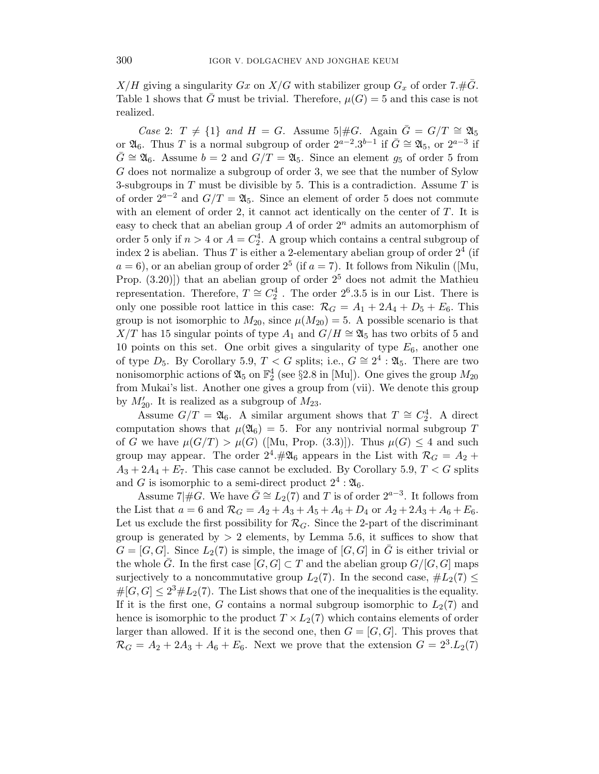$X/H$  giving a singularity  $Gx$  on  $X/G$  with stabilizer group  $G_x$  of order 7.# $\bar{G}$ . Table 1 shows that G must be trivial. Therefore,  $\mu(G) = 5$  and this case is not realized.

Case 2:  $T \neq \{1\}$  and  $H = G$ . Assume 5|#G. Again  $\bar{G} = G/T \cong \mathfrak{A}_5$ or  $\mathfrak{A}_6$ . Thus T is a normal subgroup of order  $2^{a-2} \cdot 3^{b-1}$  if  $\bar{G} \cong \mathfrak{A}_5$ , or  $2^{a-3}$  if  $\bar{G} \cong \mathfrak{A}_6$ . Assume  $b = 2$  and  $G/T = \mathfrak{A}_5$ . Since an element  $g_5$  of order 5 from G does not normalize a subgroup of order 3, we see that the number of Sylow 3-subgroups in  $T$  must be divisible by 5. This is a contradiction. Assume  $T$  is of order  $2^{a-2}$  and  $G/T = \mathfrak{A}_5$ . Since an element of order 5 does not commute with an element of order 2, it cannot act identically on the center of  $T$ . It is easy to check that an abelian group  $A$  of order  $2<sup>n</sup>$  admits an automorphism of order 5 only if  $n > 4$  or  $A = C_2^4$ . A group which contains a central subgroup of index 2 is abelian. Thus T is either a 2-elementary abelian group of order  $2^4$  (if  $a = 6$ ), or an abelian group of order  $2<sup>5</sup>$  (if  $a = 7$ ). It follows from Nikulin ([Mu, Prop.  $(3.20)$ ) that an abelian group of order  $2<sup>5</sup>$  does not admit the Mathieu representation. Therefore,  $T \cong C_2^4$ . The order  $2^6 \cdot 3 \cdot 5$  is in our List. There is only one possible root lattice in this case:  $\mathcal{R}_G = A_1 + 2A_4 + D_5 + E_6$ . This group is not isomorphic to  $M_{20}$ , since  $\mu(M_{20}) = 5$ . A possible scenario is that  $X/T$  has 15 singular points of type  $A_1$  and  $G/H \cong \mathfrak{A}_5$  has two orbits of 5 and 10 points on this set. One orbit gives a singularity of type  $E_6$ , another one of type  $D_5$ . By Corollary 5.9,  $T < G$  splits; i.e.,  $G \cong 2^4 : \mathfrak{A}_5$ . There are two nonisomorphic actions of  $\mathfrak{A}_5$  on  $\mathbb{F}_2^4$  (see §2.8 in [Mu]). One gives the group  $M_{20}$ from Mukai's list. Another one gives a group from (vii). We denote this group by  $M'_{20}$ . It is realized as a subgroup of  $M_{23}$ .

Assume  $G/T = \mathfrak{A}_6$ . A similar argument shows that  $T \cong C_2^4$ . A direct computation shows that  $\mu(\mathfrak{A}_6) = 5$ . For any nontrivial normal subgroup T of G we have  $\mu(G/T) > \mu(G)$  ([Mu, Prop. (3.3)]). Thus  $\mu(G) \leq 4$  and such group may appear. The order  $2^4 \cdot \# \mathfrak{A}_6$  appears in the List with  $\mathcal{R}_G = A_2 +$  $A_3 + 2A_4 + E_7$ . This case cannot be excluded. By Corollary 5.9,  $T < G$  splits and G is isomorphic to a semi-direct product  $2^4$ :  $\mathfrak{A}_6$ .

Assume  $7|\#G$ . We have  $\bar{G} \cong L_2(7)$  and T is of order  $2^{a-3}$ . It follows from the List that  $a = 6$  and  $\mathcal{R}_G = A_2 + A_3 + A_5 + A_6 + D_4$  or  $A_2 + 2A_3 + A_6 + E_6$ . Let us exclude the first possibility for  $\mathcal{R}_G$ . Since the 2-part of the discriminant group is generated by  $> 2$  elements, by Lemma 5.6, it suffices to show that  $G = [G, G]$ . Since  $L_2(7)$  is simple, the image of  $[G, G]$  in G is either trivial or the whole  $\bar{G}$ . In the first case  $[G, G] \subset T$  and the abelian group  $G/[G, G]$  maps surjectively to a noncommutative group  $L_2(7)$ . In the second case,  $\#L_2(7) \leq$  $\#[G,G] \leq 2^3 \# L_2(7)$ . The List shows that one of the inequalities is the equality. If it is the first one, G contains a normal subgroup isomorphic to  $L_2(7)$  and hence is isomorphic to the product  $T \times L_2(7)$  which contains elements of order larger than allowed. If it is the second one, then  $G = [G, G]$ . This proves that  $\mathcal{R}_G = A_2 + 2A_3 + A_6 + E_6$ . Next we prove that the extension  $G = 2^3.L_2(7)$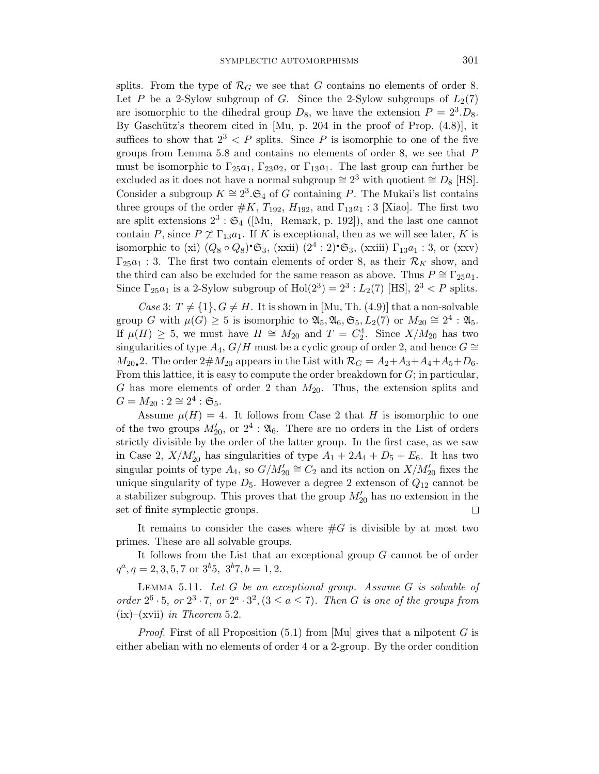splits. From the type of  $\mathcal{R}_G$  we see that G contains no elements of order 8. Let P be a 2-Sylow subgroup of G. Since the 2-Sylow subgroups of  $L_2(7)$ are isomorphic to the dihedral group  $D_8$ , we have the extension  $P = 2^3 \cdot D_8$ . By Gaschütz's theorem cited in  $[Mu, p. 204$  in the proof of Prop.  $(4.8)$ , it suffices to show that  $2^3 < P$  splits. Since P is isomorphic to one of the five groups from Lemma 5.8 and contains no elements of order 8, we see that P must be isomorphic to  $\Gamma_{25}a_1$ ,  $\Gamma_{23}a_2$ , or  $\Gamma_{13}a_1$ . The last group can further be excluded as it does not have a normal subgroup  $\approx 2^3$  with quotient  $\approx D_8$  [HS]. Consider a subgroup  $K \cong 2^3 \cdot \mathfrak{S}_4$  of G containing P. The Mukai's list contains three groups of the order  $#K$ ,  $T_{192}$ ,  $H_{192}$ , and  $\Gamma_{13}a_1 : 3$  [Xiao]. The first two are split extensions  $2^3$ :  $\mathfrak{S}_4$  ([Mu, Remark, p. 192]), and the last one cannot contain P, since  $P \not\cong \Gamma_{13}a_1$ . If K is exceptional, then as we will see later, K is isomorphic to (xi)  $(Q_8 \circ Q_8)^\bullet \mathfrak{S}_3$ , (xxii)  $(2^4:2)^\bullet \mathfrak{S}_3$ , (xxiii)  $\Gamma_{13}a_1:3$ , or (xxv)  $\Gamma_{25}a_1:3$ . The first two contain elements of order 8, as their  $\mathcal{R}_K$  show, and the third can also be excluded for the same reason as above. Thus  $P \cong \Gamma_{25}a_1$ . Since  $\Gamma_{25}a_1$  is a 2-Sylow subgroup of  $Hol(2^3) = 2^3 : L_2(7)$  [HS],  $2^3 < P$  splits.

Case 3:  $T \neq \{1\}$ ,  $G \neq H$ . It is shown in [Mu, Th. (4.9)] that a non-solvable group G with  $\mu(G) \geq 5$  is isomorphic to  $\mathfrak{A}_5, \mathfrak{A}_6, \mathfrak{S}_5, L_2(7)$  or  $M_{20} \cong 2^4 : \mathfrak{A}_5$ . If  $\mu(H) \geq 5$ , we must have  $H \cong M_{20}$  and  $T = C_2^4$ . Since  $X/M_{20}$  has two singularities of type  $A_4$ ,  $G/H$  must be a cyclic group of order 2, and hence  $G \cong$  $M_{20\bullet}$ 2. The order  $2\#M_{20}$  appears in the List with  $\mathcal{R}_G = A_2 + A_3 + A_4 + A_5 + D_6$ . From this lattice, it is easy to compute the order breakdown for  $G$ ; in particular, G has more elements of order 2 than  $M_{20}$ . Thus, the extension splits and  $G = M_{20}$ : 2 ≅ 2<sup>4</sup>:  $\mathfrak{S}_5$ .

Assume  $\mu(H) = 4$ . It follows from Case 2 that H is isomorphic to one of the two groups  $M'_{20}$ , or  $2^4$ :  $\mathfrak{A}_6$ . There are no orders in the List of orders strictly divisible by the order of the latter group. In the first case, as we saw in Case 2,  $X/M'_{20}$  has singularities of type  $A_1 + 2A_4 + D_5 + E_6$ . It has two singular points of type  $A_4$ , so  $G/M'_{20} \cong C_2$  and its action on  $X/M'_{20}$  fixes the unique singularity of type  $D_5$ . However a degree 2 extenson of  $Q_{12}$  cannot be a stabilizer subgroup. This proves that the group  $M'_{20}$  has no extension in the set of finite symplectic groups.  $\Box$ 

It remains to consider the cases where  $#G$  is divisible by at most two primes. These are all solvable groups.

It follows from the List that an exceptional group G cannot be of order  $q^a, q = 2, 3, 5, 7 \text{ or } 3^b 5, 3^b 7, b = 1, 2.$ 

LEMMA 5.11. Let  $G$  be an exceptional group. Assume  $G$  is solvable of order  $2^6 \cdot 5$ , or  $2^3 \cdot 7$ , or  $2^a \cdot 3^2$ ,  $(3 \le a \le 7)$ . Then G is one of the groups from  $(ix)$ – $(xvii)$  in Theorem 5.2.

*Proof.* First of all Proposition  $(5.1)$  from [Mu] gives that a nilpotent G is either abelian with no elements of order 4 or a 2-group. By the order condition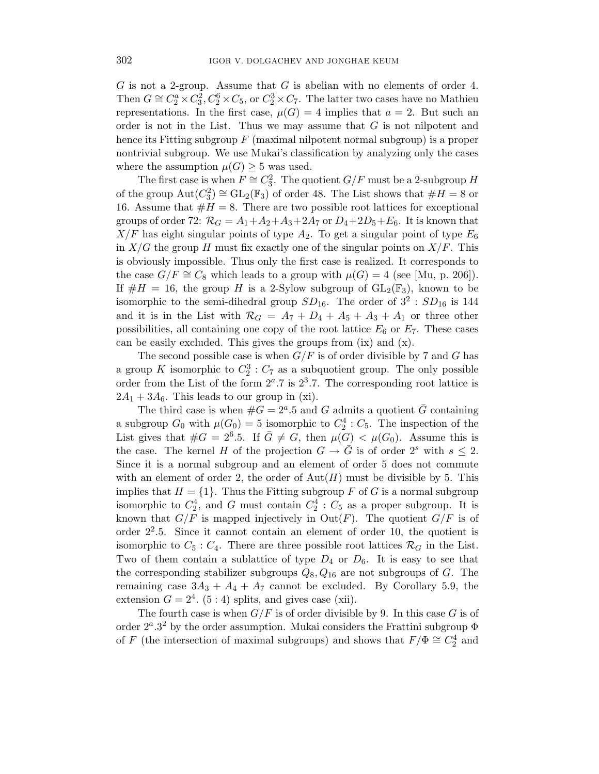$G$  is not a 2-group. Assume that  $G$  is abelian with no elements of order 4. Then  $G \cong C_2^a \times C_3^2, C_2^6 \times C_5$ , or  $C_2^3 \times C_7$ . The latter two cases have no Mathieu representations. In the first case,  $\mu(G) = 4$  implies that  $a = 2$ . But such an order is not in the List. Thus we may assume that  $G$  is not nilpotent and hence its Fitting subgroup  $F$  (maximal nilpotent normal subgroup) is a proper nontrivial subgroup. We use Mukai's classification by analyzing only the cases where the assumption  $\mu(G) \geq 5$  was used.

The first case is when  $F \cong C_3^2$ . The quotient  $G/F$  must be a 2-subgroup H of the group  $\text{Aut}(C_3^2) \cong \text{GL}_2(\mathbb{F}_3)$  of order 48. The List shows that  $\#H = 8$  or 16. Assume that  $#H = 8$ . There are two possible root lattices for exceptional groups of order 72:  $\mathcal{R}_G = A_1 + A_2 + A_3 + 2A_7$  or  $D_4 + 2D_5 + E_6$ . It is known that  $X/F$  has eight singular points of type  $A_2$ . To get a singular point of type  $E_6$ in  $X/G$  the group H must fix exactly one of the singular points on  $X/F$ . This is obviously impossible. Thus only the first case is realized. It corresponds to the case  $G/F \cong C_8$  which leads to a group with  $\mu(G) = 4$  (see [Mu, p. 206]). If  $\#H = 16$ , the group H is a 2-Sylow subgroup of  $GL_2(\mathbb{F}_3)$ , known to be isomorphic to the semi-dihedral group  $SD_{16}$ . The order of  $3^2$ :  $SD_{16}$  is 144 and it is in the List with  $\mathcal{R}_G = A_7 + D_4 + A_5 + A_3 + A_1$  or three other possibilities, all containing one copy of the root lattice  $E_6$  or  $E_7$ . These cases can be easily excluded. This gives the groups from (ix) and (x).

The second possible case is when  $G/F$  is of order divisible by 7 and G has a group K isomorphic to  $C_2^3$ :  $C_7$  as a subquotient group. The only possible order from the List of the form  $2^a.7$  is  $2^3.7$ . The corresponding root lattice is  $2A_1 + 3A_6$ . This leads to our group in (xi).

The third case is when  $\#G = 2^a.5$  and G admits a quotient  $\bar{G}$  containing a subgroup  $G_0$  with  $\mu(G_0) = 5$  isomorphic to  $C_2^4 : C_5$ . The inspection of the List gives that  $\#G = 2^6.5$ . If  $\bar{G} \neq G$ , then  $\mu(G) < \mu(G_0)$ . Assume this is the case. The kernel H of the projection  $G \to G$  is of order  $2^s$  with  $s \leq 2$ . Since it is a normal subgroup and an element of order 5 does not commute with an element of order 2, the order of  $Aut(H)$  must be divisible by 5. This implies that  $H = \{1\}$ . Thus the Fitting subgroup F of G is a normal subgroup isomorphic to  $C_2^4$ , and G must contain  $C_2^4$ :  $C_5$  as a proper subgroup. It is known that  $G/F$  is mapped injectively in  $Out(F)$ . The quotient  $G/F$  is of order  $2^2.5$ . Since it cannot contain an element of order 10, the quotient is isomorphic to  $C_5: C_4$ . There are three possible root lattices  $\mathcal{R}_G$  in the List. Two of them contain a sublattice of type  $D_4$  or  $D_6$ . It is easy to see that the corresponding stabilizer subgroups  $Q_8, Q_{16}$  are not subgroups of G. The remaining case  $3A_3 + A_4 + A_7$  cannot be excluded. By Corollary 5.9, the extension  $G = 2<sup>4</sup>$ . (5:4) splits, and gives case (xii).

The fourth case is when  $G/F$  is of order divisible by 9. In this case G is of order  $2^a \cdot 3^2$  by the order assumption. Mukai considers the Frattini subgroup  $\Phi$ of F (the intersection of maximal subgroups) and shows that  $F/\Phi \cong C_2^4$  and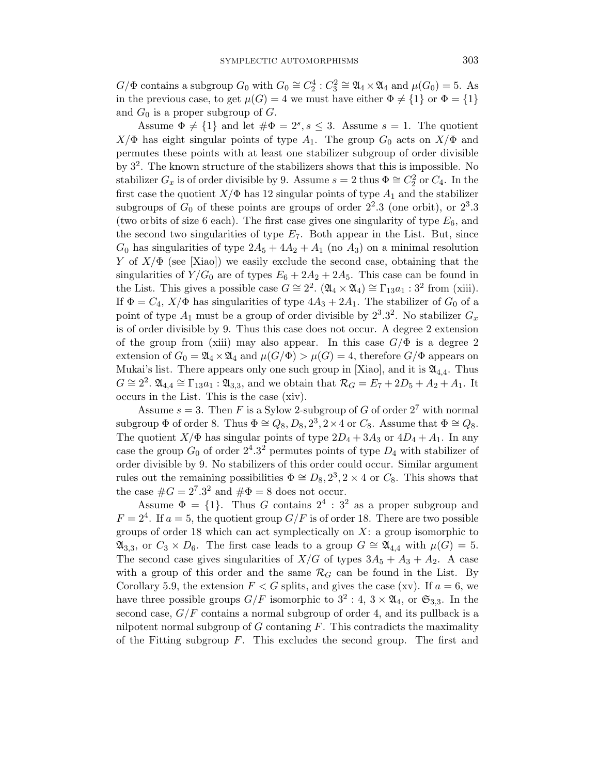$G/\Phi$  contains a subgroup  $G_0$  with  $G_0 \cong C_2^4$  :  $C_3^2 \cong \mathfrak{A}_4 \times \mathfrak{A}_4$  and  $\mu(G_0) = 5$ . As in the previous case, to get  $\mu(G) = 4$  we must have either  $\Phi \neq \{1\}$  or  $\Phi = \{1\}$ and  $G_0$  is a proper subgroup of  $G$ .

Assume  $\Phi \neq \{1\}$  and let  $\#\Phi = 2^s, s \leq 3$ . Assume  $s = 1$ . The quotient  $X/\Phi$  has eight singular points of type  $A_1$ . The group  $G_0$  acts on  $X/\Phi$  and permutes these points with at least one stabilizer subgroup of order divisible by 3<sup>2</sup> . The known structure of the stabilizers shows that this is impossible. No stabilizer  $G_x$  is of order divisible by 9. Assume  $s = 2$  thus  $\Phi \cong C_2^2$  or  $C_4$ . In the first case the quotient  $X/\Phi$  has 12 singular points of type  $A_1$  and the stabilizer subgroups of  $G_0$  of these points are groups of order  $2^2.3$  (one orbit), or  $2^3.3$ (two orbits of size 6 each). The first case gives one singularity of type  $E_6$ , and the second two singularities of type  $E_7$ . Both appear in the List. But, since  $G_0$  has singularities of type  $2A_5 + 4A_2 + A_1$  (no  $A_3$ ) on a minimal resolution Y of  $X/\Phi$  (see [Xiao]) we easily exclude the second case, obtaining that the singularities of  $Y/G_0$  are of types  $E_6 + 2A_2 + 2A_5$ . This case can be found in the List. This gives a possible case  $G \cong 2^2$ .  $(\mathfrak{A}_4 \times \mathfrak{A}_4) \cong \Gamma_{13}a_1 : 3^2$  from (xiii). If  $\Phi = C_4$ ,  $X/\Phi$  has singularities of type  $4A_3 + 2A_1$ . The stabilizer of  $G_0$  of a point of type  $A_1$  must be a group of order divisible by  $2^3 \cdot 3^2$ . No stabilizer  $G_x$ is of order divisible by 9. Thus this case does not occur. A degree 2 extension of the group from (xiii) may also appear. In this case  $G/\Phi$  is a degree 2 extension of  $G_0 = \mathfrak{A}_4 \times \mathfrak{A}_4$  and  $\mu(G/\Phi) > \mu(G) = 4$ , therefore  $G/\Phi$  appears on Mukai's list. There appears only one such group in [Xiao], and it is  $\mathfrak{A}_{4,4}$ . Thus  $G \cong 2^2$ .  $\mathfrak{A}_{4,4} \cong \Gamma_{13}a_1$ :  $\mathfrak{A}_{3,3}$ , and we obtain that  $\mathcal{R}_G = E_7 + 2D_5 + A_2 + A_1$ . It occurs in the List. This is the case (xiv).

Assume  $s = 3$ . Then F is a Sylow 2-subgroup of G of order  $2<sup>7</sup>$  with normal subgroup  $\Phi$  of order 8. Thus  $\Phi \cong Q_8, D_8, 2^3, 2 \times 4$  or  $C_8$ . Assume that  $\Phi \cong Q_8$ . The quotient  $X/\Phi$  has singular points of type  $2D_4 + 3A_3$  or  $4D_4 + A_1$ . In any case the group  $G_0$  of order  $2^4.3^2$  permutes points of type  $D_4$  with stabilizer of order divisible by 9. No stabilizers of this order could occur. Similar argument rules out the remaining possibilities  $\Phi \cong D_8, 2^3, 2 \times 4$  or  $C_8$ . This shows that the case  $\#G = 2^7 \cdot 3^2$  and  $\# \Phi = 8$  does not occur.

Assume  $\Phi = \{1\}$ . Thus G contains  $2^4 : 3^2$  as a proper subgroup and  $F = 2<sup>4</sup>$ . If  $a = 5$ , the quotient group  $G/F$  is of order 18. There are two possible groups of order 18 which can act symplectically on  $X$ : a group isomorphic to  $\mathfrak{A}_{3,3}$ , or  $C_3 \times D_6$ . The first case leads to a group  $G \cong \mathfrak{A}_{4,4}$  with  $\mu(G) = 5$ . The second case gives singularities of  $X/G$  of types  $3A_5 + A_3 + A_2$ . A case with a group of this order and the same  $\mathcal{R}_G$  can be found in the List. By Corollary 5.9, the extension  $F < G$  splits, and gives the case (xv). If  $a = 6$ , we have three possible groups  $G/F$  isomorphic to  $3^2:4, 3 \times \mathfrak{A}_4$ , or  $\mathfrak{S}_{3,3}$ . In the second case,  $G/F$  contains a normal subgroup of order 4, and its pullback is a nilpotent normal subgroup of  $G$  contaning  $F$ . This contradicts the maximality of the Fitting subgroup  $F$ . This excludes the second group. The first and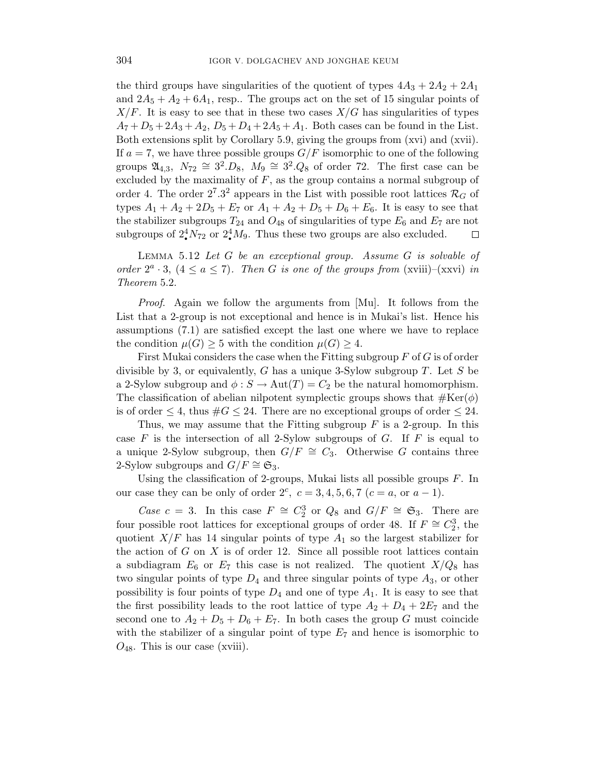the third groups have singularities of the quotient of types  $4A_3 + 2A_2 + 2A_1$ and  $2A_5 + A_2 + 6A_1$ , resp.. The groups act on the set of 15 singular points of  $X/F$ . It is easy to see that in these two cases  $X/G$  has singularities of types  $A_7 + D_5 + 2A_3 + A_2$ ,  $D_5 + D_4 + 2A_5 + A_1$ . Both cases can be found in the List. Both extensions split by Corollary 5.9, giving the groups from (xvi) and (xvii). If  $a = 7$ , we have three possible groups  $G/F$  isomorphic to one of the following groups  $\mathfrak{A}_{4,3}$ ,  $N_{72} \cong 3^2 \cdot D_8$ ,  $M_9 \cong 3^2 \cdot Q_8$  of order 72. The first case can be excluded by the maximality of  $F$ , as the group contains a normal subgroup of order 4. The order  $2^7 \cdot 3^2$  appears in the List with possible root lattices  $\mathcal{R}_G$  of types  $A_1 + A_2 + 2D_5 + E_7$  or  $A_1 + A_2 + D_5 + D_6 + E_6$ . It is easy to see that the stabilizer subgroups  $T_{24}$  and  $O_{48}$  of singularities of type  $E_6$  and  $E_7$  are not subgroups of  $2^4 \cdot N_{72}$  or  $2^4 \cdot M_9$ . Thus these two groups are also excluded.  $\Box$ 

LEMMA  $5.12$  Let  $G$  be an exceptional group. Assume  $G$  is solvable of order  $2^a \cdot 3$ ,  $(4 \le a \le 7)$ . Then G is one of the groups from (xviii)–(xxvi) in Theorem 5.2.

Proof. Again we follow the arguments from [Mu]. It follows from the List that a 2-group is not exceptional and hence is in Mukai's list. Hence his assumptions (7.1) are satisfied except the last one where we have to replace the condition  $\mu(G) \geq 5$  with the condition  $\mu(G) \geq 4$ .

First Mukai considers the case when the Fitting subgroup  $F$  of  $G$  is of order divisible by 3, or equivalently, G has a unique 3-Sylow subgroup  $T$ . Let S be a 2-Sylow subgroup and  $\phi : S \to \text{Aut}(T) = C_2$  be the natural homomorphism. The classification of abelian nilpotent symplectic groups shows that  $#Ker(\phi)$ is of order  $\leq 4$ , thus  $\#G \leq 24$ . There are no exceptional groups of order  $\leq 24$ .

Thus, we may assume that the Fitting subgroup  $F$  is a 2-group. In this case  $F$  is the intersection of all 2-Sylow subgroups of  $G$ . If  $F$  is equal to a unique 2-Sylow subgroup, then  $G/F \cong C_3$ . Otherwise G contains three 2-Sylow subgroups and  $G/F \cong \mathfrak{S}_3$ .

Using the classification of 2-groups, Mukai lists all possible groups  $F$ . In our case they can be only of order  $2^c$ ,  $c = 3, 4, 5, 6, 7$  ( $c = a$ , or  $a - 1$ ).

Case  $c = 3$ . In this case  $F \cong C_2^3$  or  $Q_8$  and  $G/F \cong \mathfrak{S}_3$ . There are four possible root lattices for exceptional groups of order 48. If  $F \cong C_2^3$ , the quotient  $X/F$  has 14 singular points of type  $A_1$  so the largest stabilizer for the action of  $G$  on  $X$  is of order 12. Since all possible root lattices contain a subdiagram  $E_6$  or  $E_7$  this case is not realized. The quotient  $X/Q_8$  has two singular points of type  $D_4$  and three singular points of type  $A_3$ , or other possibility is four points of type  $D_4$  and one of type  $A_1$ . It is easy to see that the first possibility leads to the root lattice of type  $A_2 + D_4 + 2E_7$  and the second one to  $A_2 + D_5 + D_6 + E_7$ . In both cases the group G must coincide with the stabilizer of a singular point of type  $E_7$  and hence is isomorphic to  $O_{48}$ . This is our case (xviii).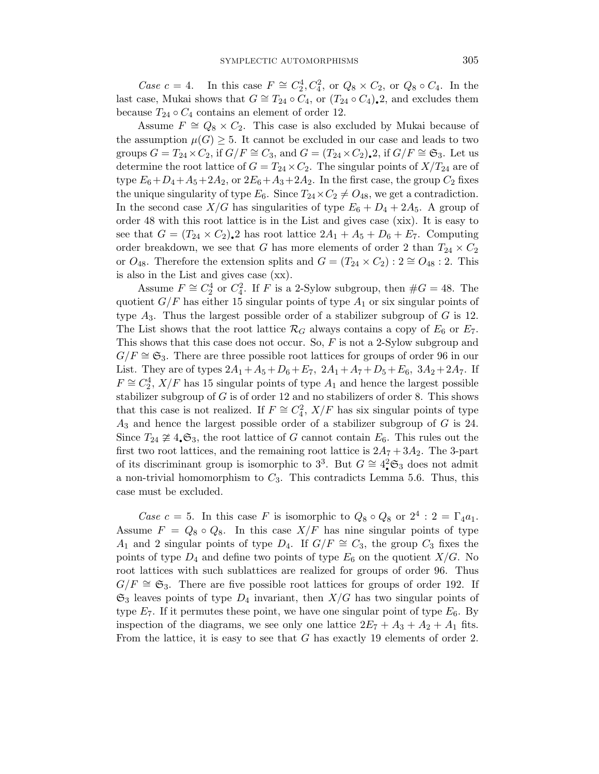Case  $c = 4$ . In this case  $F \cong C_2^4, C_4^2$ , or  $Q_8 \times C_2$ , or  $Q_8 \circ C_4$ . In the last case, Mukai shows that  $G \cong T_{24} \circ C_4$ , or  $(T_{24} \circ C_4)$ , 2, and excludes them because  $T_{24} \circ C_4$  contains an element of order 12.

Assume  $F \cong Q_8 \times C_2$ . This case is also excluded by Mukai because of the assumption  $\mu(G) \geq 5$ . It cannot be excluded in our case and leads to two groups  $G = T_{24} \times C_2$ , if  $G/F \cong C_3$ , and  $G = (T_{24} \times C_2)$ . if  $G/F \cong \mathfrak{S}_3$ . Let us determine the root lattice of  $G = T_{24} \times C_2$ . The singular points of  $X/T_{24}$  are of type  $E_6+D_4+A_5+2A_2$ , or  $2E_6+A_3+2A_2$ . In the first case, the group  $C_2$  fixes the unique singularity of type  $E_6$ . Since  $T_{24} \times C_2 \neq O_{48}$ , we get a contradiction. In the second case  $X/G$  has singularities of type  $E_6 + D_4 + 2A_5$ . A group of order 48 with this root lattice is in the List and gives case (xix). It is easy to see that  $G = (T_{24} \times C_2)$ . 2 has root lattice  $2A_1 + A_5 + D_6 + E_7$ . Computing order breakdown, we see that G has more elements of order 2 than  $T_{24} \times C_2$ or  $O_{48}$ . Therefore the extension splits and  $G = (T_{24} \times C_2) : 2 \cong O_{48} : 2$ . This is also in the List and gives case (xx).

Assume  $F \cong C_2^4$  or  $C_4^2$ . If F is a 2-Sylow subgroup, then  $\#G = 48$ . The quotient  $G/F$  has either 15 singular points of type  $A_1$  or six singular points of type  $A_3$ . Thus the largest possible order of a stabilizer subgroup of  $G$  is 12. The List shows that the root lattice  $\mathcal{R}_G$  always contains a copy of  $E_6$  or  $E_7$ . This shows that this case does not occur. So,  $F$  is not a 2-Sylow subgroup and  $G/F \cong \mathfrak{S}_3$ . There are three possible root lattices for groups of order 96 in our List. They are of types  $2A_1 + A_5 + D_6 + E_7$ ,  $2A_1 + A_7 + D_5 + E_6$ ,  $3A_2 + 2A_7$ . If  $F \cong C_2^4$ ,  $X/F$  has 15 singular points of type  $A_1$  and hence the largest possible stabilizer subgroup of  $G$  is of order 12 and no stabilizers of order 8. This shows that this case is not realized. If  $F \cong C_4^2$ ,  $X/F$  has six singular points of type  $A_3$  and hence the largest possible order of a stabilizer subgroup of  $G$  is 24. Since  $T_{24} \not\cong 4.6_3$ , the root lattice of G cannot contain  $E_6$ . This rules out the first two root lattices, and the remaining root lattice is  $2A_7 + 3A_2$ . The 3-part of its discriminant group is isomorphic to  $3^3$ . But  $G \cong 4^2 \mathfrak{S}_3$  does not admit a non-trivial homomorphism to  $C_3$ . This contradicts Lemma 5.6. Thus, this case must be excluded.

Case  $c = 5$ . In this case F is isomorphic to  $Q_8 \circ Q_8$  or  $2^4 : 2 = \Gamma_4 a_1$ . Assume  $F = Q_8 \circ Q_8$ . In this case  $X/F$  has nine singular points of type A<sub>1</sub> and 2 singular points of type  $D_4$ . If  $G/F \cong C_3$ , the group  $C_3$  fixes the points of type  $D_4$  and define two points of type  $E_6$  on the quotient  $X/G$ . No root lattices with such sublattices are realized for groups of order 96. Thus  $G/F \cong \mathfrak{S}_3$ . There are five possible root lattices for groups of order 192. If  $\mathfrak{S}_3$  leaves points of type  $D_4$  invariant, then  $X/G$  has two singular points of type  $E_7$ . If it permutes these point, we have one singular point of type  $E_6$ . By inspection of the diagrams, we see only one lattice  $2E_7 + A_3 + A_2 + A_1$  fits. From the lattice, it is easy to see that G has exactly 19 elements of order 2.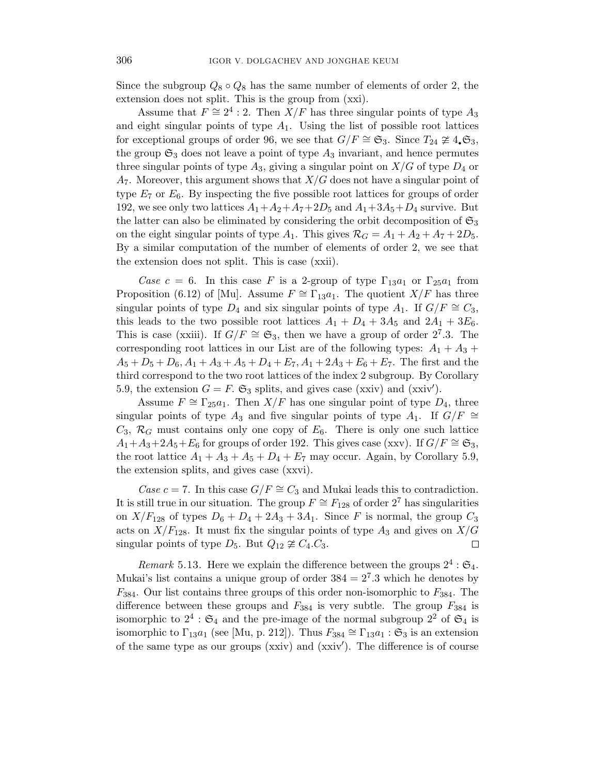Since the subgroup  $Q_8 \circ Q_8$  has the same number of elements of order 2, the extension does not split. This is the group from (xxi).

Assume that  $F \cong 2^4 : 2$ . Then  $X/F$  has three singular points of type  $A_3$ and eight singular points of type  $A_1$ . Using the list of possible root lattices for exceptional groups of order 96, we see that  $G/F \cong \mathfrak{S}_3$ . Since  $T_{24} \not\cong 4_{\bullet} \mathfrak{S}_3$ , the group  $\mathfrak{S}_3$  does not leave a point of type  $A_3$  invariant, and hence permutes three singular points of type  $A_3$ , giving a singular point on  $X/G$  of type  $D_4$  or  $A_7$ . Moreover, this argument shows that  $X/G$  does not have a singular point of type  $E_7$  or  $E_6$ . By inspecting the five possible root lattices for groups of order 192, we see only two lattices  $A_1+A_2+A_7+2D_5$  and  $A_1+3A_5+D_4$  survive. But the latter can also be eliminated by considering the orbit decomposition of  $\mathfrak{S}_3$ on the eight singular points of type  $A_1$ . This gives  $\mathcal{R}_G = A_1 + A_2 + A_7 + 2D_5$ . By a similar computation of the number of elements of order 2, we see that the extension does not split. This is case (xxii).

Case c = 6. In this case F is a 2-group of type  $\Gamma_{13}a_1$  or  $\Gamma_{25}a_1$  from Proposition (6.12) of [Mu]. Assume  $F \cong \Gamma_{13}a_1$ . The quotient  $X/F$  has three singular points of type  $D_4$  and six singular points of type  $A_1$ . If  $G/F \cong C_3$ , this leads to the two possible root lattices  $A_1 + D_4 + 3A_5$  and  $2A_1 + 3E_6$ . This is case (xxiii). If  $G/F \cong \mathfrak{S}_3$ , then we have a group of order 2<sup>7</sup>.3. The corresponding root lattices in our List are of the following types:  $A_1 + A_3 +$  $A_5 + D_5 + D_6$ ,  $A_1 + A_3 + A_5 + D_4 + E_7$ ,  $A_1 + 2A_3 + E_6 + E_7$ . The first and the third correspond to the two root lattices of the index 2 subgroup. By Corollary 5.9, the extension  $G = F$ .  $\mathfrak{S}_3$  splits, and gives case (xxiv) and (xxiv').

Assume  $F \cong \Gamma_{25}a_1$ . Then  $X/F$  has one singular point of type  $D_4$ , three singular points of type  $A_3$  and five singular points of type  $A_1$ . If  $G/F \cong$  $C_3$ ,  $\mathcal{R}_G$  must contains only one copy of  $E_6$ . There is only one such lattice  $A_1+A_3+2A_5+E_6$  for groups of order 192. This gives case (xxv). If  $G/F \cong \mathfrak{S}_3$ , the root lattice  $A_1 + A_3 + A_5 + D_4 + E_7$  may occur. Again, by Corollary 5.9, the extension splits, and gives case (xxvi).

Case c = 7. In this case  $G/F \cong C_3$  and Mukai leads this to contradiction. It is still true in our situation. The group  $F \cong F_{128}$  of order 2<sup>7</sup> has singularities on  $X/F_{128}$  of types  $D_6 + D_4 + 2A_3 + 3A_1$ . Since F is normal, the group  $C_3$ acts on  $X/F_{128}$ . It must fix the singular points of type  $A_3$  and gives on  $X/G$ singular points of type  $D_5$ . But  $Q_{12} \not\cong C_4.C_3$ .  $\Box$ 

Remark 5.13. Here we explain the difference between the groups  $2^4$ :  $\mathfrak{S}_4$ . Mukai's list contains a unique group of order  $384 = 2^7.3$  which he denotes by  $F<sub>384</sub>$ . Our list contains three groups of this order non-isomorphic to  $F<sub>384</sub>$ . The difference between these groups and  $F_{384}$  is very subtle. The group  $F_{384}$  is isomorphic to  $2^4$ :  $\mathfrak{S}_4$  and the pre-image of the normal subgroup  $2^2$  of  $\mathfrak{S}_4$  is isomorphic to  $\Gamma_{13}a_1$  (see [Mu, p. 212]). Thus  $F_{384} \cong \Gamma_{13}a_1 : \mathfrak{S}_3$  is an extension of the same type as our groups  $(xxiv)$  and  $(xxiv')$ . The difference is of course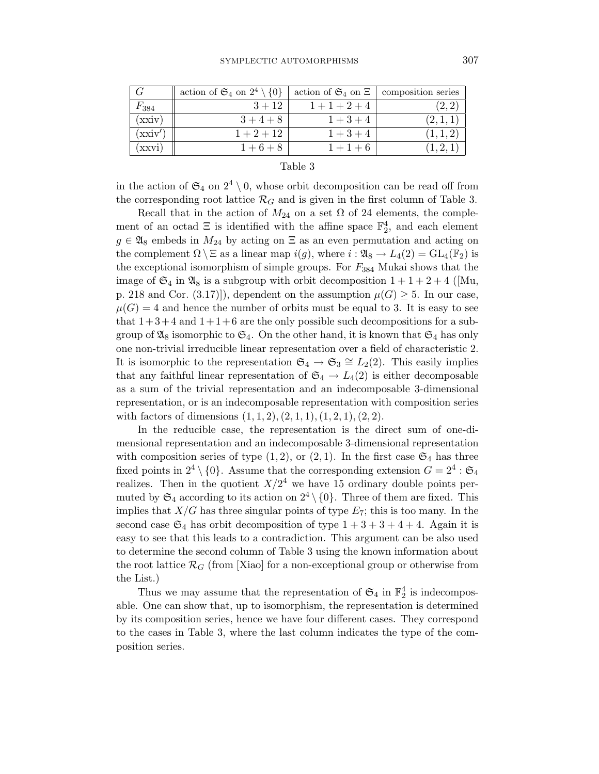|           | action of $\mathfrak{S}_4$ on $2^4 \setminus \{0\}$ | action of $\mathfrak{S}_4$ on $\Xi$ | composition series |
|-----------|-----------------------------------------------------|-------------------------------------|--------------------|
| $F_{384}$ | $3 + 12$                                            | $1+1+2+4$                           | (2, 2)             |
| (xxiiv)   | $3+4+8$                                             | $1 + 3 + 4$                         | (2,1,1)            |
| (xxiv')   | $1 + 2 + 12$                                        | $1 + 3 + 4$                         | (1, 1, 2)          |
| (xxvi)    | $1+6+8$                                             | $1+1+6$                             |                    |

## Table 3

in the action of  $\mathfrak{S}_4$  on  $2^4 \setminus 0$ , whose orbit decomposition can be read off from the corresponding root lattice  $\mathcal{R}_G$  and is given in the first column of Table 3.

Recall that in the action of  $M_{24}$  on a set  $\Omega$  of 24 elements, the complement of an octad  $\Xi$  is identified with the affine space  $\mathbb{F}_2^4$ , and each element  $g \in \mathfrak{A}_8$  embeds in  $M_{24}$  by acting on  $\Xi$  as an even permutation and acting on the complement  $\Omega \setminus \Xi$  as a linear map  $i(g)$ , where  $i : \mathfrak{A}_8 \to L_4(2) = GL_4(\mathbb{F}_2)$  is the exceptional isomorphism of simple groups. For  $F_{384}$  Mukai shows that the image of  $\mathfrak{S}_4$  in  $\mathfrak{A}_8$  is a subgroup with orbit decomposition  $1+1+2+4$  (Mu, p. 218 and Cor. (3.17)]), dependent on the assumption  $\mu(G) \geq 5$ . In our case,  $\mu(G) = 4$  and hence the number of orbits must be equal to 3. It is easy to see that  $1+3+4$  and  $1+1+6$  are the only possible such decompositions for a subgroup of  $\mathfrak{A}_8$  isomorphic to  $\mathfrak{S}_4$ . On the other hand, it is known that  $\mathfrak{S}_4$  has only one non-trivial irreducible linear representation over a field of characteristic 2. It is isomorphic to the representation  $\mathfrak{S}_4 \to \mathfrak{S}_3 \cong L_2(2)$ . This easily implies that any faithful linear representation of  $\mathfrak{S}_4 \to L_4(2)$  is either decomposable as a sum of the trivial representation and an indecomposable 3-dimensional representation, or is an indecomposable representation with composition series with factors of dimensions  $(1, 1, 2), (2, 1, 1), (1, 2, 1), (2, 2).$ 

In the reducible case, the representation is the direct sum of one-dimensional representation and an indecomposable 3-dimensional representation with composition series of type  $(1, 2)$ , or  $(2, 1)$ . In the first case  $\mathfrak{S}_4$  has three fixed points in  $2^4 \setminus \{0\}$ . Assume that the corresponding extension  $G = 2^4 : \mathfrak{S}_4$ realizes. Then in the quotient  $X/2<sup>4</sup>$  we have 15 ordinary double points permuted by  $\mathfrak{S}_4$  according to its action on  $2^4 \setminus \{0\}$ . Three of them are fixed. This implies that  $X/G$  has three singular points of type  $E_7$ ; this is too many. In the second case  $\mathfrak{S}_4$  has orbit decomposition of type  $1+3+3+4+4$ . Again it is easy to see that this leads to a contradiction. This argument can be also used to determine the second column of Table 3 using the known information about the root lattice  $\mathcal{R}_G$  (from [Xiao] for a non-exceptional group or otherwise from the List.)

Thus we may assume that the representation of  $\mathfrak{S}_4$  in  $\mathbb{F}_2^4$  is indecomposable. One can show that, up to isomorphism, the representation is determined by its composition series, hence we have four different cases. They correspond to the cases in Table 3, where the last column indicates the type of the composition series.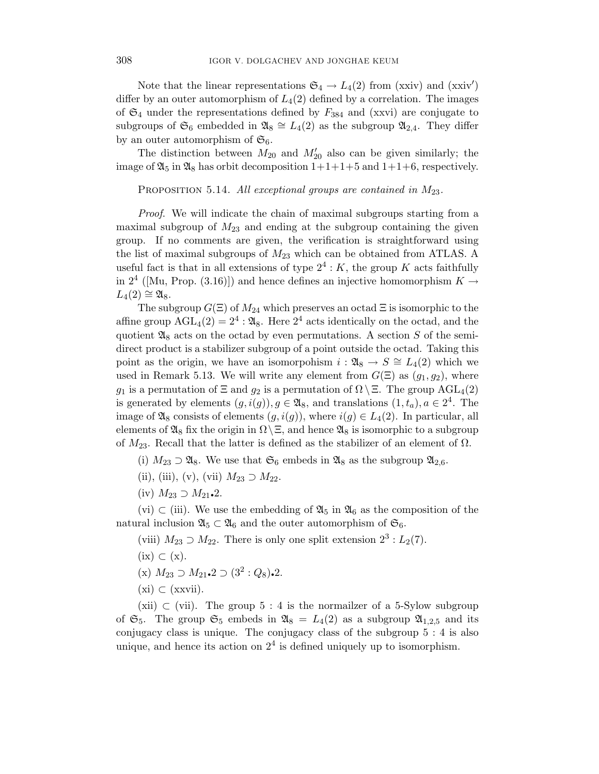Note that the linear representations  $\mathfrak{S}_4 \to L_4(2)$  from (xxiv) and (xxiv') differ by an outer automorphism of  $L_4(2)$  defined by a correlation. The images of  $\mathfrak{S}_4$  under the representations defined by  $F_{384}$  and (xxvi) are conjugate to subgroups of  $\mathfrak{S}_6$  embedded in  $\mathfrak{A}_8 \cong L_4(2)$  as the subgroup  $\mathfrak{A}_{2,4}$ . They differ by an outer automorphism of  $\mathfrak{S}_6$ .

The distinction between  $M_{20}$  and  $M'_{20}$  also can be given similarly; the image of  $\mathfrak{A}_5$  in  $\mathfrak{A}_8$  has orbit decomposition  $1+1+1+5$  and  $1+1+6$ , respectively.

PROPOSITION 5.14. All exceptional groups are contained in  $M_{23}$ .

Proof. We will indicate the chain of maximal subgroups starting from a maximal subgroup of  $M_{23}$  and ending at the subgroup containing the given group. If no comments are given, the verification is straightforward using the list of maximal subgroups of  $M_{23}$  which can be obtained from ATLAS. A useful fact is that in all extensions of type  $2^4: K$ , the group K acts faithfully in  $2<sup>4</sup>$  ([Mu, Prop. (3.16)]) and hence defines an injective homomorphism  $K \rightarrow$  $L_4(2) \cong \mathfrak{A}_8.$ 

The subgroup  $G(\Xi)$  of  $M_{24}$  which preserves an octad  $\Xi$  is isomorphic to the affine group  $\text{AGL}_4(2) = 2^4 : \mathfrak{A}_8$ . Here  $2^4$  acts identically on the octad, and the quotient  $\mathfrak{A}_8$  acts on the octad by even permutations. A section S of the semidirect product is a stabilizer subgroup of a point outside the octad. Taking this point as the origin, we have an isomorpohism  $i : \mathfrak{A}_8 \to S \cong L_4(2)$  which we used in Remark 5.13. We will write any element from  $G(\Xi)$  as  $(g_1, g_2)$ , where g<sub>1</sub> is a permutation of  $\Xi$  and  $g_2$  is a permutation of  $\Omega \setminus \Xi$ . The group  $\text{AGL}_4(2)$ is generated by elements  $(g, i(g)), g \in \mathfrak{A}_8$ , and translations  $(1, t_a), a \in 2^4$ . The image of  $\mathfrak{A}_8$  consists of elements  $(g, i(g))$ , where  $i(g) \in L_4(2)$ . In particular, all elements of  $\mathfrak{A}_8$  fix the origin in  $\Omega \setminus \Xi$ , and hence  $\mathfrak{A}_8$  is isomorphic to a subgroup of  $M_{23}$ . Recall that the latter is defined as the stabilizer of an element of  $\Omega$ .

- (i)  $M_{23} \supset \mathfrak{A}_8$ . We use that  $\mathfrak{S}_6$  embeds in  $\mathfrak{A}_8$  as the subgroup  $\mathfrak{A}_{2,6}$ .
- (ii), (iii), (v), (vii)  $M_{23} \supset M_{22}$ .
- (iv)  $M_{23}$  ⊃  $M_{21}$ •2.

(vi)  $\subset$  (iii). We use the embedding of  $\mathfrak{A}_5$  in  $\mathfrak{A}_6$  as the composition of the natural inclusion  $\mathfrak{A}_5 \subset \mathfrak{A}_6$  and the outer automorphism of  $\mathfrak{S}_6$ .

(viii)  $M_{23} \supset M_{22}$ . There is only one split extension  $2^3$ :  $L_2(7)$ .  $(ix) \subset (x).$ (x)  $M_{23} \supset M_{21}$ •2  $\supset (3^2 : Q_8)$ •2.  $(xi) \subset (xxvii)$ .

(xii)  $\subset$  (vii). The group 5 : 4 is the normalizer of a 5-Sylow subgroup of  $\mathfrak{S}_5$ . The group  $\mathfrak{S}_5$  embeds in  $\mathfrak{A}_8 = L_4(2)$  as a subgroup  $\mathfrak{A}_{1,2,5}$  and its conjugacy class is unique. The conjugacy class of the subgroup 5 : 4 is also unique, and hence its action on  $2<sup>4</sup>$  is defined uniquely up to isomorphism.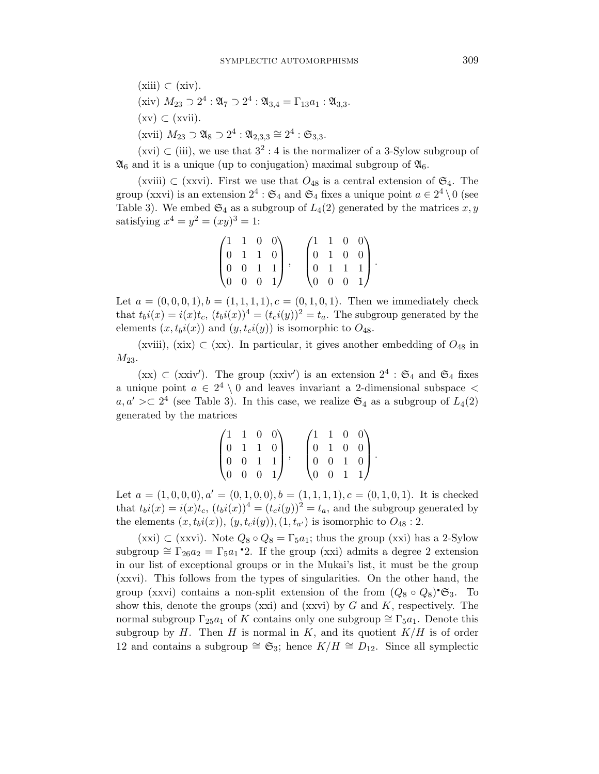$(xiii) \subset (xiv).$ (xiv)  $M_{23} \supset 2^4 : \mathfrak{A}_7 \supset 2^4 : \mathfrak{A}_{3,4} = \Gamma_{13} a_1 : \mathfrak{A}_{3,3}.$  $(xv) \subset (xvii)$ . (xvii)  $M_{23} \supset \mathfrak{A}_8 \supset 2^4 : \mathfrak{A}_{2,3,3} \cong 2^4 : \mathfrak{S}_{3,3}.$ 

 $(xvi) \subset (iii)$ , we use that  $3^2 : 4$  is the normalizer of a 3-Sylow subgroup of  $\mathfrak{A}_6$  and it is a unique (up to conjugation) maximal subgroup of  $\mathfrak{A}_6$ .

(xviii)  $\subset$  (xxvi). First we use that  $O_{48}$  is a central extension of  $\mathfrak{S}_4$ . The group (xxvi) is an extension  $2^4$ :  $\mathfrak{S}_4$  and  $\mathfrak{S}_4$  fixes a unique point  $a \in 2^4 \setminus 0$  (see Table 3). We embed  $\mathfrak{S}_4$  as a subgroup of  $L_4(2)$  generated by the matrices  $x, y$ satisfying  $x^4 = y^2 = (xy)^3 = 1$ :

|                                                                                                  |  |  |  |  | $(1 \ 1 \ 0 \ 0)$                             |  |
|--------------------------------------------------------------------------------------------------|--|--|--|--|-----------------------------------------------|--|
|                                                                                                  |  |  |  |  | $\begin{bmatrix} 0 & 1 & 0 & 0 \end{bmatrix}$ |  |
| $\begin{pmatrix} 1 & 1 & 0 & 0 \\ 0 & 1 & 1 & 0 \\ 0 & 0 & 1 & 1 \\ 0 & 0 & 0 & 1 \end{pmatrix}$ |  |  |  |  | $\begin{bmatrix} 0 & 1 & 1 & 1 \end{bmatrix}$ |  |
|                                                                                                  |  |  |  |  | $(0 \t 0 \t 0 \t 1)$                          |  |

Let  $a = (0, 0, 0, 1), b = (1, 1, 1, 1), c = (0, 1, 0, 1).$  Then we immediately check that  $t_bi(x) = i(x)t_c$ ,  $(t_bi(x))^4 = (t_ci(y))^2 = t_a$ . The subgroup generated by the elements  $(x, t_b i(x))$  and  $(y, t_c i(y))$  is isomorphic to  $O_{48}$ .

(xviii), (xix) ⊂ (xx). In particular, it gives another embedding of  $O_{48}$  in  $M_{23}$ .

 $(xx) \subset (xxiv')$ . The group  $(xxiv')$  is an extension  $2^4 : \mathfrak{S}_4$  and  $\mathfrak{S}_4$  fixes a unique point  $a \in 2^4 \setminus 0$  and leaves invariant a 2-dimensional subspace  $\lt$  $a, a' >\subset 2^4$  (see Table 3). In this case, we realize  $\mathfrak{S}_4$  as a subgroup of  $L_4(2)$ generated by the matrices

|  |  |                                                                |  |  |                                               | $(1 \ 1 \ 0 \ 0)$                             |  |
|--|--|----------------------------------------------------------------|--|--|-----------------------------------------------|-----------------------------------------------|--|
|  |  | $\begin{pmatrix} 1 & 1 & 0 & 0 \\ 0 & 1 & 1 & 0 \end{pmatrix}$ |  |  |                                               | $\begin{bmatrix} 0 & 1 & 0 & 0 \end{bmatrix}$ |  |
|  |  | $\begin{pmatrix} 0 & 0 & 1 & 1 \\ 0 & 0 & 0 \end{pmatrix}$     |  |  | $\begin{bmatrix} 0 & 0 & 1 & 0 \end{bmatrix}$ |                                               |  |
|  |  |                                                                |  |  |                                               | $(0 \t0 \t1 \t1)$                             |  |

Let  $a = (1, 0, 0, 0), a' = (0, 1, 0, 0), b = (1, 1, 1, 1), c = (0, 1, 0, 1).$  It is checked that  $t_bi(x) = i(x)t_c$ ,  $(t_bi(x))^4 = (t_ci(y))^2 = t_a$ , and the subgroup generated by the elements  $(x, t_b i(x))$ ,  $(y, t_c i(y))$ ,  $(1, t_{a'})$  is isomorphic to  $O_{48}$ : 2.

(xxi) ⊂ (xxvi). Note  $Q_8 \circ Q_8 = \Gamma_5 a_1$ ; thus the group (xxi) has a 2-Sylow subgroup  $\cong \Gamma_{26}a_2 = \Gamma_5a_1$  <sup>•</sup>2. If the group (xxi) admits a degree 2 extension in our list of exceptional groups or in the Mukai's list, it must be the group (xxvi). This follows from the types of singularities. On the other hand, the group (xxvi) contains a non-split extension of the from  $(Q_8 \circ Q_8)$ <sup>.</sup>  $\mathfrak{S}_3$ . To show this, denote the groups (xxi) and (xxvi) by  $G$  and  $K$ , respectively. The normal subgroup  $\Gamma_{25}a_1$  of K contains only one subgroup  $\cong \Gamma_5a_1$ . Denote this subgroup by H. Then H is normal in K, and its quotient  $K/H$  is of order 12 and contains a subgroup  $\cong$   $\mathfrak{S}_3$ ; hence  $K/H \cong D_{12}$ . Since all symplectic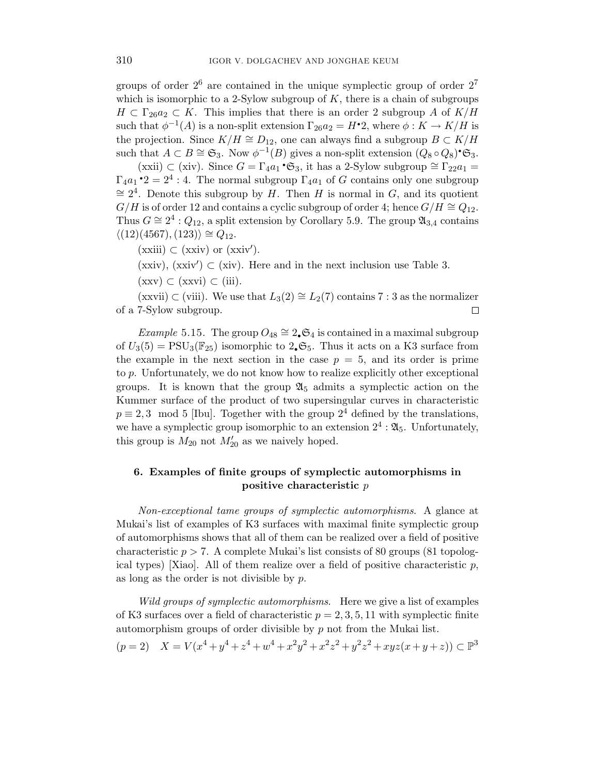groups of order  $2^6$  are contained in the unique symplectic group of order  $2^7$ which is isomorphic to a 2-Sylow subgroup of  $K$ , there is a chain of subgroups  $H \subset \Gamma_{26}a_2 \subset K$ . This implies that there is an order 2 subgroup A of  $K/H$ such that  $\phi^{-1}(A)$  is a non-split extension  $\Gamma_{26}a_2 = H^{\bullet}2$ , where  $\phi: K \to K/H$  is the projection. Since  $K/H \cong D_{12}$ , one can always find a subgroup  $B \subset K/H$ such that  $A \subset B \cong \mathfrak{S}_3$ . Now  $\phi^{-1}(B)$  gives a non-split extension  $(Q_8 \circ Q_8) \cdot \mathfrak{S}_3$ .

 $(xxii) \subset (xiv)$ . Since  $G = \Gamma_4 a_1 \cdot \mathfrak{S}_3$ , it has a 2-Sylow subgroup  $\cong \Gamma_{22} a_1 =$  $\Gamma_4 a_1 \cdot 2 = 2^4 : 4$ . The normal subgroup  $\Gamma_4 a_1$  of G contains only one subgroup  $\cong 2^4$ . Denote this subgroup by H. Then H is normal in G, and its quotient  $G/H$  is of order 12 and contains a cyclic subgroup of order 4; hence  $G/H \cong Q_{12}$ . Thus  $G \cong 2^4$ :  $Q_{12}$ , a split extension by Corollary 5.9. The group  $\mathfrak{A}_{3,4}$  contains  $\langle (12)(4567), (123) \rangle \cong Q_{12}.$ 

- $(xxiii) \subset (xxiv)$  or  $(xxiv')$ .
- $(xxiv)$ ,  $(xxiv') \subset (xiv)$ . Here and in the next inclusion use Table 3.
- $(xxy) \subset (xxvi) \subset (iii)$ .

(xxvii) ⊂ (viii). We use that  $L_3(2) \cong L_2(7)$  contains 7 : 3 as the normalizer of a 7-Sylow subgroup.  $\Box$ 

Example 5.15. The group  $O_{48} \cong 2_{\bullet} \mathfrak{S}_4$  is contained in a maximal subgroup of  $U_3(5) = \text{PSU}_3(\mathbb{F}_{25})$  isomorphic to  $2\cdot \mathfrak{S}_5$ . Thus it acts on a K3 surface from the example in the next section in the case  $p = 5$ , and its order is prime to p. Unfortunately, we do not know how to realize explicitly other exceptional groups. It is known that the group  $\mathfrak{A}_5$  admits a symplectic action on the Kummer surface of the product of two supersingular curves in characteristic  $p \equiv 2, 3 \mod 5$  [Ibu]. Together with the group  $2^4$  defined by the translations, we have a symplectic group isomorphic to an extension  $2^4 : \mathfrak{A}_5$ . Unfortunately, this group is  $M_{20}$  not  $M'_{20}$  as we naively hoped.

# 6. Examples of finite groups of symplectic automorphisms in positive characteristic p

Non-exceptional tame groups of symplectic automorphisms. A glance at Mukai's list of examples of K3 surfaces with maximal finite symplectic group of automorphisms shows that all of them can be realized over a field of positive characteristic  $p > 7$ . A complete Mukai's list consists of 80 groups (81 topological types) [Xiao]. All of them realize over a field of positive characteristic  $p$ , as long as the order is not divisible by  $p$ .

Wild groups of symplectic automorphisms. Here we give a list of examples of K3 surfaces over a field of characteristic  $p = 2, 3, 5, 11$  with symplectic finite automorphism groups of order divisible by p not from the Mukai list.

$$
(p=2) \quad X = V(x^4 + y^4 + z^4 + w^4 + x^2y^2 + x^2z^2 + y^2z^2 + xyz(x+y+z)) \subset \mathbb{P}^3
$$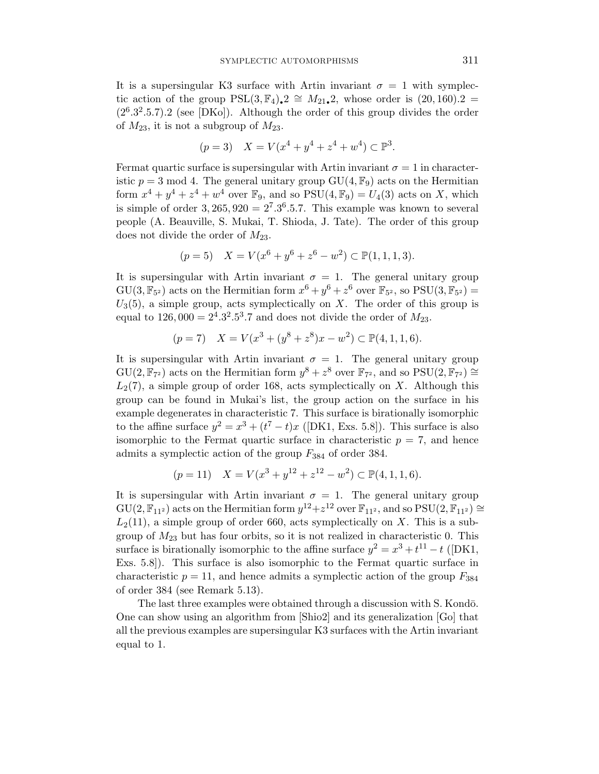It is a supersingular K3 surface with Artin invariant  $\sigma = 1$  with symplectic action of the group PSL(3,  $\mathbb{F}_4$ )•2  $\cong M_{21}$ •2, whose order is (20, 160).2 =  $(2<sup>6</sup>.3<sup>2</sup>.5.7).2$  (see [DKo]). Although the order of this group divides the order of  $M_{23}$ , it is not a subgroup of  $M_{23}$ .

$$
(p = 3)
$$
  $X = V(x^4 + y^4 + z^4 + w^4) \subset \mathbb{P}^3$ .

Fermat quartic surface is supersingular with Artin invariant  $\sigma = 1$  in characteristic  $p = 3 \text{ mod } 4$ . The general unitary group GU(4,  $\mathbb{F}_9$ ) acts on the Hermitian form  $x^4 + y^4 + z^4 + w^4$  over  $\mathbb{F}_9$ , and so  $PSU(4, \mathbb{F}_9) = U_4(3)$  acts on X, which is simple of order  $3,265,920 = 2^7.3^6.5.7$ . This example was known to several people (A. Beauville, S. Mukai, T. Shioda, J. Tate). The order of this group does not divide the order of  $M_{23}$ .

$$
(p = 5) \quad X = V(x^6 + y^6 + z^6 - w^2) \subset \mathbb{P}(1, 1, 1, 3).
$$

It is supersingular with Artin invariant  $\sigma = 1$ . The general unitary group  $GU(3, \mathbb{F}_{5^2})$  acts on the Hermitian form  $x^6 + y^6 + z^6$  over  $\mathbb{F}_{5^2}$ , so  $PSU(3, \mathbb{F}_{5^2}) =$  $U_3(5)$ , a simple group, acts symplectically on X. The order of this group is equal to  $126,000 = 2^4.3^2.5^3.7$  and does not divide the order of  $M_{23}$ .

$$
(p = 7) \quad X = V(x^3 + (y^8 + z^8)x - w^2) \subset \mathbb{P}(4, 1, 1, 6).
$$

It is supersingular with Artin invariant  $\sigma = 1$ . The general unitary group  $GU(2, \mathbb{F}_{7^2})$  acts on the Hermitian form  $y^8 + z^8$  over  $\mathbb{F}_{7^2}$ , and so  $PSU(2, \mathbb{F}_{7^2}) \cong$  $L_2(7)$ , a simple group of order 168, acts symplectically on X. Although this group can be found in Mukai's list, the group action on the surface in his example degenerates in characteristic 7. This surface is birationally isomorphic to the affine surface  $y^2 = x^3 + (t^7 - t)x$  ([DK1, Exs. 5.8]). This surface is also isomorphic to the Fermat quartic surface in characteristic  $p = 7$ , and hence admits a symplectic action of the group  $F_{384}$  of order 384.

$$
(p = 11) \quad X = V(x^3 + y^{12} + z^{12} - w^2) \subset \mathbb{P}(4, 1, 1, 6).
$$

It is supersingular with Artin invariant  $\sigma = 1$ . The general unitary group  $GU(2, \mathbb{F}_{11^2})$  acts on the Hermitian form  $y^{12}+z^{12}$  over  $\mathbb{F}_{11^2}$ , and so  $PSU(2, \mathbb{F}_{11^2}) \cong$  $L_2(11)$ , a simple group of order 660, acts symplectically on X. This is a subgroup of  $M_{23}$  but has four orbits, so it is not realized in characteristic 0. This surface is birationally isomorphic to the affine surface  $y^2 = x^3 + t^{11} - t$  ([DK1, Exs. 5.8]). This surface is also isomorphic to the Fermat quartic surface in characteristic  $p = 11$ , and hence admits a symplectic action of the group  $F_{384}$ of order 384 (see Remark 5.13).

The last three examples were obtained through a discussion with S. Kondō. One can show using an algorithm from [Shio2] and its generalization [Go] that all the previous examples are supersingular K3 surfaces with the Artin invariant equal to 1.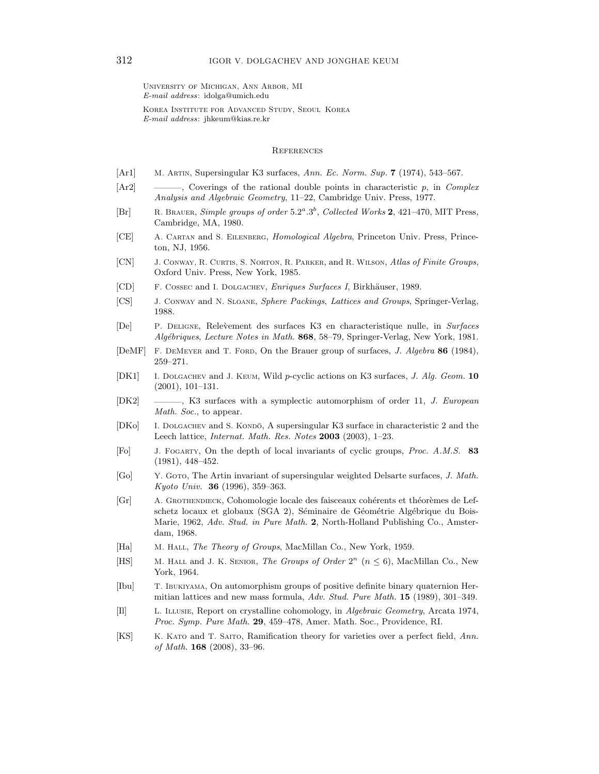University of Michigan, Ann Arbor, MI E-mail address: idolga@umich.edu

Korea Institute for Advanced Study, Seoul Korea E-mail address: jhkeum@kias.re.kr

#### **REFERENCES**

- [Ar1] M. Artin, Supersingular K3 surfaces, Ann. Ec. Norm. Sup. 7 (1974), 543–567.
- $[Ar2] \quad \_\_\_\_\!\$  Coverings of the rational double points in characteristic p, in Complex Analysis and Algebraic Geometry, 11–22, Cambridge Univ. Press, 1977.
- [Br] R. BRAUER, Simple groups of order  $5.2^a.3^b$ , Collected Works 2, 421–470, MIT Press, Cambridge, MA, 1980.
- [CE] A. Cartan and S. Eilenberg, Homological Algebra, Princeton Univ. Press, Princeton, NJ, 1956.
- [CN] J. CONWAY, R. CURTIS, S. NORTON, R. PARKER, and R. WILSON, Atlas of Finite Groups, Oxford Univ. Press, New York, 1985.
- [CD] F. Cossec and I. Dolgachev, *Enriques Surfaces I*, Birkhäuser, 1989.
- [CS] J. Conway and N. Sloane, Sphere Packings, Lattices and Groups, Springer-Verlag, 1988.
- [De] P. Deligne, Rele`vement des surfaces K3 en characteristique nulle, in Surfaces Alg´ebriques, Lecture Notes in Math. 868, 58–79, Springer-Verlag, New York, 1981.
- [DeMF] F. DEMEYER and T. FORD, On the Brauer group of surfaces, J. Algebra 86 (1984), 259–271.
- [DK1] I. DOLGACHEV and J. KEUM, Wild p-cyclic actions on K3 surfaces, J. Alg. Geom. 10 (2001), 101–131.
- [DK2] ———, K3 surfaces with a symplectic automorphism of order 11, J. European Math. Soc., to appear.
- [DKo] I. DOLGACHEV and S. KONDO, A supersingular K3 surface in characteristic 2 and the Leech lattice, Internat. Math. Res. Notes 2003 (2003), 1–23.
- [Fo] J. Fogarty, On the depth of local invariants of cyclic groups, Proc. A.M.S. 83 (1981), 448–452.
- [Go] Y. Goto, The Artin invariant of supersingular weighted Delsarte surfaces, J. Math. Kyoto Univ. 36 (1996), 359–363.
- [Gr] A. GROTHENDIECK, Cohomologie locale des faisceaux cohérents et théorèmes de Lefschetz locaux et globaux (SGA 2), Séminaire de Géométrie Algébrique du Bois-Marie, 1962, Adv. Stud. in Pure Math. 2, North-Holland Publishing Co., Amsterdam, 1968.
- [Ha] M. HALL, The Theory of Groups, MacMillan Co., New York, 1959.
- [HS] M. HALL and J. K. SENIOR, The Groups of Order  $2^n$   $(n \leq 6)$ , MacMillan Co., New York, 1964.
- [Ibu] T. Ibukiyama, On automorphism groups of positive definite binary quaternion Hermitian lattices and new mass formula, Adv. Stud. Pure Math. 15 (1989), 301–349.
- [Il] L. Illusie, Report on crystalline cohomology, in Algebraic Geometry, Arcata 1974, Proc. Symp. Pure Math. 29, 459–478, Amer. Math. Soc., Providence, RI.
- [KS] K. Kato and T. Saito, Ramification theory for varieties over a perfect field, Ann. of Math. 168 (2008), 33–96.